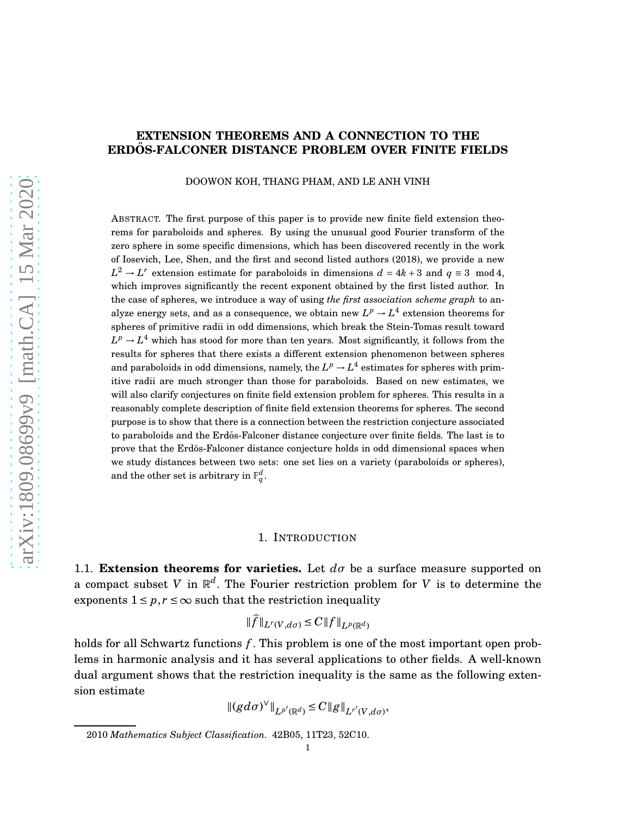# **EXTENSION THEOREMS AND A CONNECTION TO THE ERDOS-FALCONER DISTANCE PROBLEM OVER FINITE FIELDS ˝**

DOOWON KOH, THANG PHAM, AND LE ANH VINH

ABSTRACT. The first purpose of this paper is to provide new finite field extension theorems for paraboloids and spheres. By using the unusual good Fourier transform of the zero sphere in some specific dimensions, which has been discovered recently in the work of Iosevich, Lee, Shen, and the first and second listed authors (2018), we provide a new  $L^2$  → *L*<sup>*r*</sup> extension estimate for paraboloids in dimensions  $d = 4k + 3$  and  $q \equiv 3 \mod 4$ , which improves significantly the recent exponent obtained by the first listed author. In the case of spheres, we introduce a way of using *the first association scheme graph* to analyze energy sets, and as a consequence, we obtain new  $L^p \to L^4$  extension theorems for spheres of primitive radii in odd dimensions, which break the Stein-Tomas result toward  $L^p \rightarrow L^4$  which has stood for more than ten years. Most significantly, it follows from the results for spheres that there exists a different extension phenomenon between spheres and paraboloids in odd dimensions, namely, the  $L^p \rightarrow L^4$  estimates for spheres with primitive radii are much stronger than those for paraboloids. Based on new estimates, we will also clarify conjectures on finite field extension problem for spheres. This results in a reasonably complete description of finite field extension theorems for spheres. The second purpose is to show that there is a connection between the restriction conjecture associated to paraboloids and the Erdős-Falconer distance conjecture over finite fields. The last is to prove that the Erdős-Falconer distance conjecture holds in odd dimensional spaces when we study distances between two sets: one set lies on a variety (paraboloids or spheres), and the other set is arbitrary in  $\mathbb{F}_q^d$ .

## 1. INTRODUCTION

1.1. **Extension theorems for varieties.** Let *dσ* be a surface measure supported on a compact subset *V* in R *d* . The Fourier restriction problem for *V* is to determine the exponents  $1 \leq p, r \leq \infty$  such that the restriction inequality

$$
\|f\|_{L^r(V,d\sigma)} \leq C \|f\|_{L^p(\mathbb{R}^d)}
$$

holds for all Schwartz functions *f* . This problem is one of the most important open problems in harmonic analysis and it has several applications to other fields. A well-known dual argument shows that the restriction inequality is the same as the following extension estimate

$$
|| (gd\sigma)^{\vee} ||_{L^{p'}(\mathbb{R}^d)} \leq C ||g||_{L^{r'}(V,d\sigma)},
$$

<sup>2010</sup> *Mathematics Subject Classification.* 42B05, 11T23, 52C10.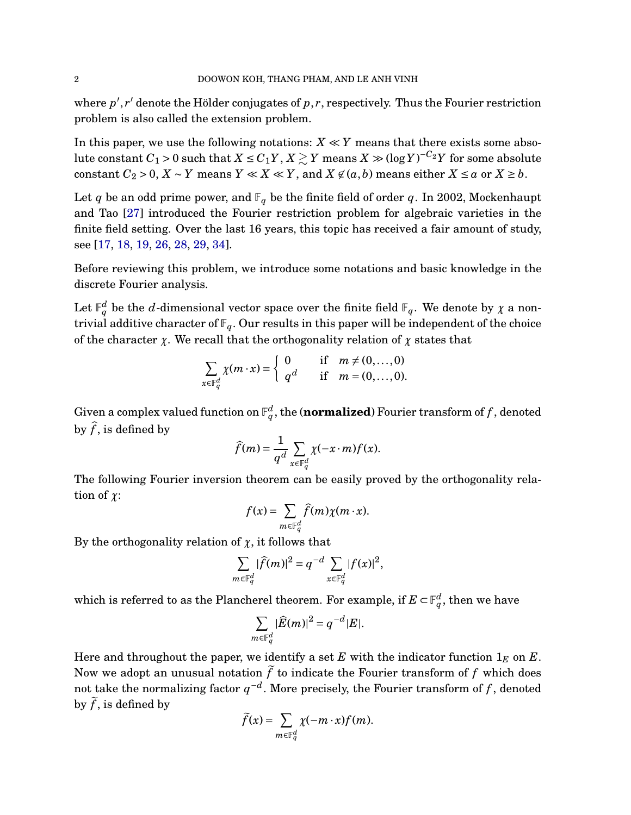where  $p', r'$  denote the Hölder conjugates of  $p, r$ , respectively. Thus the Fourier restriction problem is also called the extension problem.

In this paper, we use the following notations:  $X \ll Y$  means that there exists some abso- $\lvert \text{lute constant } C_1 > 0 \text{ such that } X \leq C_1 Y, X \gtrsim Y \text{ means } X \gg (\log Y)^{-C_2} Y \text{ for some absolute } X \ll Y$ constant  $C_2 > 0$ ,  $X \sim Y$  means  $Y \ll X \ll Y$ , and  $X \not\in (a, b)$  means either  $X \le a$  or  $X \ge b$ .

Let *q* be an odd prime power, and  $\mathbb{F}_q$  be the finite field of order *q*. In 2002, Mockenhaupt and Tao [\[27\]](#page-48-0) introduced the Fourier restriction problem for algebraic varieties in the finite field setting. Over the last 16 years, this topic has received a fair amount of study, see [\[17,](#page-48-1) [18,](#page-48-2) [19,](#page-48-3) [26,](#page-48-4) [28,](#page-48-5) [29,](#page-48-6) [34\]](#page-48-7).

Before reviewing this problem, we introduce some notations and basic knowledge in the discrete Fourier analysis.

Let  $\mathbb{F}_q^d$  be the  $d$ -dimensional vector space over the finite field  $\mathbb{F}_q.$  We denote by  $\chi$  a nontrivial additive character of  $\mathbb{F}_q$ . Our results in this paper will be independent of the choice of the character  $\chi$ . We recall that the orthogonality relation of  $\chi$  states that

$$
\sum_{x \in \mathbb{F}_q^d} \chi(m \cdot x) = \begin{cases} 0 & \text{if } m \neq (0, \dots, 0) \\ q^d & \text{if } m = (0, \dots, 0). \end{cases}
$$

Given a complex valued function on  $\mathbb{F}_q^d$ , the (**normalized**) Fourier transform of  $f$  , denoted by  $\widehat{f}$ , is defined by

$$
\widehat{f}(m) = \frac{1}{q^d} \sum_{x \in \mathbb{F}_q^d} \chi(-x \cdot m) f(x).
$$

The following Fourier inversion theorem can be easily proved by the orthogonality relation of *χ*:

$$
f(x) = \sum_{m \in \mathbb{F}_q^d} \widehat{f}(m) \chi(m \cdot x).
$$

By the orthogonality relation of  $\chi$ , it follows that

$$
\sum_{m \in \mathbb{F}_q^d} |\widehat{f}(m)|^2 = q^{-d} \sum_{x \in \mathbb{F}_q^d} |f(x)|^2,
$$

which is referred to as the Plancherel theorem. For example, if  $E \subset \mathbb{F}_q^d,$  then we have

$$
\sum_{m\in \mathbb F_q^d} |\widehat E(m)|^2 = q^{-d} |E|.
$$

Here and throughout the paper, we identify a set *E* with the indicator function  $1<sub>E</sub>$  on *E*. Now we adopt an unusual notation  $\tilde{f}$  to indicate the Fourier transform of  $f$  which does not take the normalizing factor  $q^{-d}$ . More precisely, the Fourier transform of  $f$  , denoted by  $\tilde{f}$ , is defined by

$$
\widetilde{f}(x) = \sum_{m \in \mathbb{F}_q^d} \chi(-m \cdot x) f(m).
$$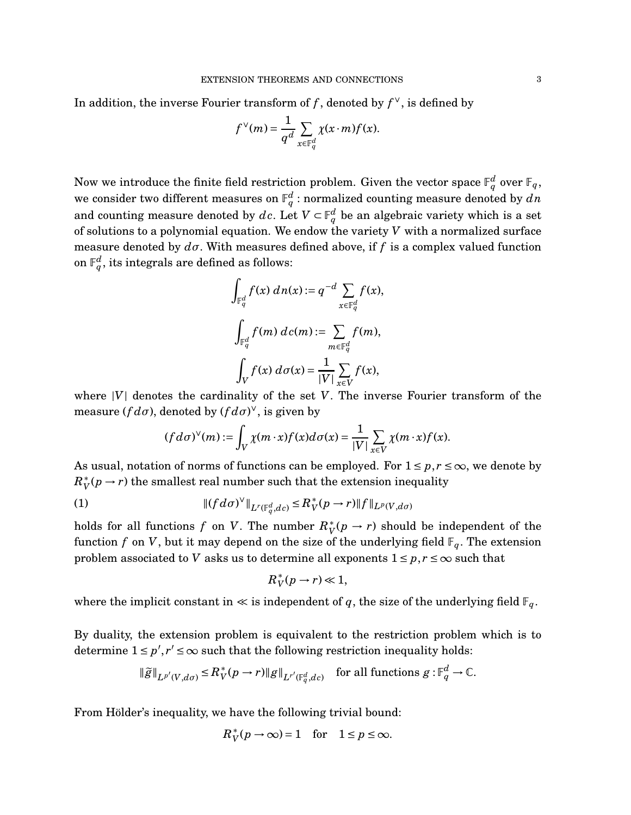In addition, the inverse Fourier transform of *f* , denoted by *f* ∨, is defined by

$$
f^{\vee}(m) = \frac{1}{q^d} \sum_{x \in \mathbb{F}_q^d} \chi(x \cdot m) f(x).
$$

Now we introduce the finite field restriction problem. Given the vector space  $\mathbb{F}_q^d$  over  $\mathbb{F}_q$ , we consider two different measures on  $\mathbb{F}_q^d$  : normalized counting measure denoted by  $dn$ and counting measure denoted by  $dc$ . Let  $V \subset \mathbb{F}_q^d$  be an algebraic variety which is a set of solutions to a polynomial equation. We endow the variety *V* with a normalized surface measure denoted by  $d\sigma$ . With measures defined above, if f is a complex valued function on  $\mathbb{F}_q^d$ , its integrals are defined as follows:

$$
\int_{\mathbb{F}_q^d} f(x) \, dn(x) := q^{-d} \sum_{x \in \mathbb{F}_q^d} f(x),
$$
\n
$$
\int_{\mathbb{F}_q^d} f(m) \, d c(m) := \sum_{m \in \mathbb{F}_q^d} f(m),
$$
\n
$$
\int_V f(x) \, d \sigma(x) = \frac{1}{|V|} \sum_{x \in V} f(x),
$$

where  $|V|$  denotes the cardinality of the set  $V$ . The inverse Fourier transform of the measure ( $fd\sigma$ ), denoted by ( $fd\sigma$ )<sup>v</sup>, is given by

$$
(fd\sigma)^{\vee}(m):=\int_{V}\chi(m\cdot x)f(x)d\sigma(x)=\frac{1}{|V|}\sum_{x\in V}\chi(m\cdot x)f(x).
$$

As usual, notation of norms of functions can be employed. For  $1 \leq p, r \leq \infty$ , we denote by  $R_V^*(p \to r)$  the smallest real number such that the extension inequality

(1) 
$$
\| (f d \sigma)^{\vee} \|_{L^r(\mathbb{F}_q^d, d c)} \le R_V^*(p \to r) \| f \|_{L^p(V, d \sigma)}
$$

holds for all functions  $f$  on  $V$ . The number  $R_V^*(p \to r)$  should be independent of the function *f* on *V*, but it may depend on the size of the underlying field  $\mathbb{F}_q$ . The extension problem associated to *V* asks us to determine all exponents  $1 \leq p, r \leq \infty$  such that

$$
R_V^*(p \to r) \ll 1,
$$

where the implicit constant in  $\ll$  is independent of q, the size of the underlying field  $\mathbb{F}_q$ .

By duality, the extension problem is equivalent to the restriction problem which is to determine  $1 \le p', r' \le \infty$  such that the following restriction inequality holds:

$$
\|\widetilde{g}\|_{L^{p'}(V,d\sigma)} \le R_V^*(p \to r) \|g\|_{L^{r'}(\mathbb{F}_q^d,dc)} \quad \text{for all functions } g: \mathbb{F}_q^d \to \mathbb{C}.
$$

From Hölder's inequality, we have the following trivial bound:

$$
R_V^*(p \to \infty) = 1 \quad \text{for} \quad 1 \le p \le \infty.
$$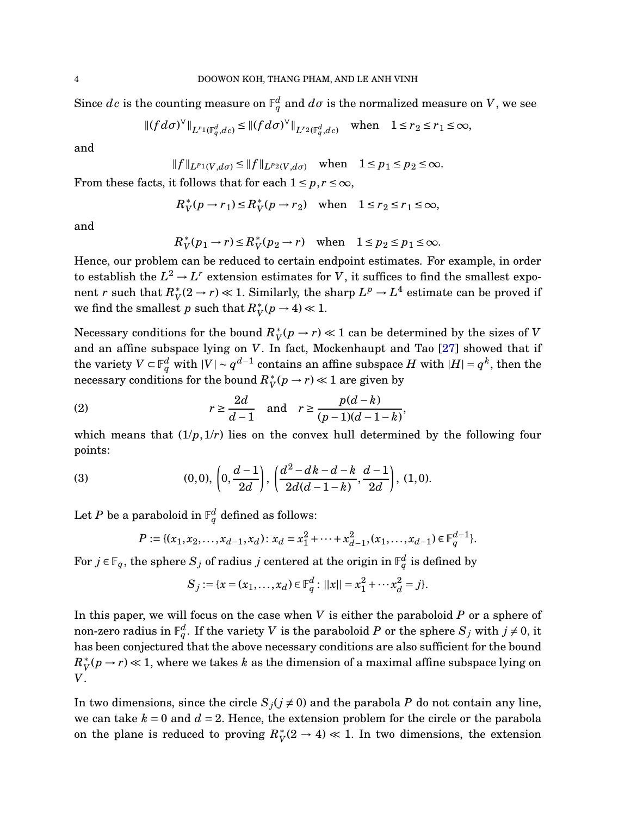Since  $dc$  is the counting measure on  $\mathbb{F}_q^d$  and  $d\sigma$  is the normalized measure on  $V$ , we see

$$
||(fd\sigma)^{\vee}||_{L^{r_1}(\mathbb{F}_q^d,dc)} \leq ||(fd\sigma)^{\vee}||_{L^{r_2}(\mathbb{F}_q^d,dc)} \quad \text{when} \quad 1 \leq r_2 \leq r_1 \leq \infty,
$$

and

$$
||f||_{L^{p_1}(V,d\sigma)} \le ||f||_{L^{p_2}(V,d\sigma)}
$$
 when  $1 \le p_1 \le p_2 \le \infty$ .

From these facts, it follows that for each  $1 \leq p, r \leq \infty$ ,

$$
R_V^*(p \to r_1) \le R_V^*(p \to r_2) \quad \text{when} \quad 1 \le r_2 \le r_1 \le \infty,
$$

and

$$
R_V^*(p_1 \to r) \le R_V^*(p_2 \to r) \quad \text{when} \quad 1 \le p_2 \le p_1 \le \infty.
$$

Hence, our problem can be reduced to certain endpoint estimates. For example, in order to establish the  $L^2 \to L^r$  extension estimates for *V*, it suffices to find the smallest exponent *r* such that  $R_V^*(2 \to r) \ll 1$ . Similarly, the sharp  $L^p \to L^4$  estimate can be proved if we find the smallest *p* such that  $R_V^*(p \to 4) \ll 1$ .

Necessary conditions for the bound  $R_V^*(p \to r) \ll 1$  can be determined by the sizes of *V* and an affine subspace lying on *V*. In fact, Mockenhaupt and Tao [\[27\]](#page-48-0) showed that if the variety  $V \subset \mathbb{F}_q^d$  with  $|V| \sim q^{d-1}$  contains an affine subspace  $H$  with  $|H| = q^k$ , then the necessary conditions for the bound  $R_V^*(p \to r) \ll 1$  are given by

<span id="page-3-1"></span>(2) 
$$
r \ge \frac{2d}{d-1} \quad \text{and} \quad r \ge \frac{p(d-k)}{(p-1)(d-1-k)},
$$

which means that  $(1/p,1/r)$  lies on the convex hull determined by the following four points:

(3) 
$$
(0,0), \left(0, \frac{d-1}{2d}\right), \left(\frac{d^2-dk-d-k}{2d(d-1-k)}, \frac{d-1}{2d}\right), (1,0).
$$

Let  $P$  be a paraboloid in  $\mathbb{F}_q^d$  defined as follows:

<span id="page-3-0"></span>
$$
P := \{ (x_1, x_2, \dots, x_{d-1}, x_d) \colon x_d = x_1^2 + \dots + x_{d-1}^2, (x_1, \dots, x_{d-1}) \in \mathbb{F}_q^{d-1} \}.
$$

For  $j \in \mathbb{F}_q$ , the sphere  $S_j$  of radius  $j$  centered at the origin in  $\mathbb{F}_q^d$  is defined by

$$
S_j := \{x = (x_1, \dots, x_d) \in \mathbb{F}_q^d : ||x|| = x_1^2 + \dots + x_d^2 = j\}.
$$

In this paper, we will focus on the case when *V* is either the paraboloid *P* or a sphere of non-zero radius in  $\mathbb{F}_q^d$ . If the variety  $V$  is the paraboloid  $P$  or the sphere  $S_j$  with  $j\neq 0,$  it has been conjectured that the above necessary conditions are also sufficient for the bound  $R_V^*(p\to r)\ll 1,$  where we takes  $k$  as the dimension of a maximal affine subspace lying on *V*.

In two dimensions, since the circle  $S_j$  ( $j \neq 0$ ) and the parabola *P* do not contain any line, we can take  $k = 0$  and  $d = 2$ . Hence, the extension problem for the circle or the parabola on the plane is reduced to proving  $R_V^*(2 \to 4) \ll 1$ . In two dimensions, the extension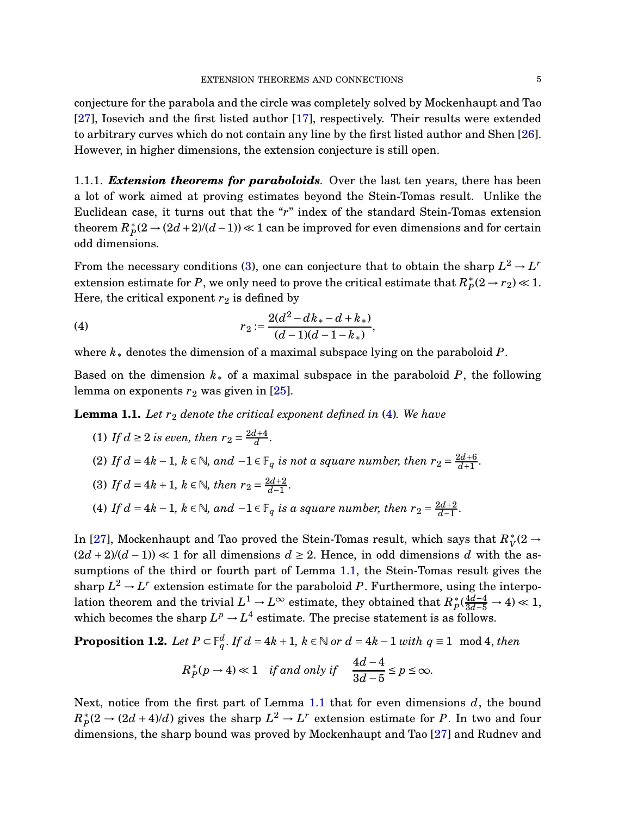conjecture for the parabola and the circle was completely solved by Mockenhaupt and Tao [\[27\]](#page-48-0), Iosevich and the first listed author [\[17\]](#page-48-1), respectively. Their results were extended to arbitrary curves which do not contain any line by the first listed author and Shen [\[26\]](#page-48-4). However, in higher dimensions, the extension conjecture is still open.

1.1.1. *Extension theorems for paraboloids.* Over the last ten years, there has been a lot of work aimed at proving estimates beyond the Stein-Tomas result. Unlike the Euclidean case, it turns out that the "*r*" index of the standard Stein-Tomas extension theorem  $R_P^*(2 \to (2d+2)/(d-1))$  ≪  $1$  can be improved for even dimensions and for certain odd dimensions.

From the necessary conditions [\(3\)](#page-3-0), one can conjecture that to obtain the sharp  $L^2 \rightarrow L^r$ extension estimate for *P*, we only need to prove the critical estimate that  $R_P^*(2 \to r_2) \ll 1$ . Here, the critical exponent  $r_2$  is defined by

<span id="page-4-0"></span>(4) 
$$
r_2 := \frac{2(d^2 - dk_* - d + k_*)}{(d-1)(d-1-k_*)},
$$

where *k*<sup>∗</sup> denotes the dimension of a maximal subspace lying on the paraboloid *P*.

Based on the dimension *k*<sup>∗</sup> of a maximal subspace in the paraboloid *P*, the following lemma on exponents  $r_2$  was given in  $[25]$ .

<span id="page-4-1"></span>**Lemma 1.1.** Let  $r_2$  denote the critical exponent defined in [\(4\)](#page-4-0). We have

\n- (1) If 
$$
d \geq 2
$$
 is even, then  $r_2 = \frac{2d+4}{d}$ .
\n- (2) If  $d = 4k - 1$ ,  $k \in \mathbb{N}$ , and  $-1 \in \mathbb{F}_q$  is not a square number, then  $r_2 = \frac{2d+6}{d+1}$ .
\n- (3) If  $d = 4k + 1$ ,  $k \in \mathbb{N}$ , then  $r_2 = \frac{2d+2}{d-1}$ .
\n- (4) If  $d = 4k - 1$ ,  $k \in \mathbb{N}$ , and  $-1 \in \mathbb{F}_q$  is a square number, then  $r_2 = \frac{2d+2}{d-1}$ .
\n

In [\[27\]](#page-48-0), Mockenhaupt and Tao proved the Stein-Tomas result, which says that  $R_V^*(2 \to$  $(2d+2)/(d-1) \ll 1$  for all dimensions  $d \geq 2$ . Hence, in odd dimensions *d* with the assumptions of the third or fourth part of Lemma [1.1,](#page-4-1) the Stein-Tomas result gives the sharp  $L^2 \to L^r$  extension estimate for the paraboloid P. Furthermore, using the interpolation theorem and the trivial  $L^1 \to L^\infty$  estimate, they obtained that  $R_P^* \left( \frac{4d-4}{3d-5} \to 4 \right) \ll 1$ , which becomes the sharp  $L^p \to L^4$  estimate. The precise statement is as follows.

<span id="page-4-2"></span>**Proposition 1.2.** *Let*  $P \subset \mathbb{F}_q^d$ . *If*  $d = 4k + 1$ ,  $k \in \mathbb{N}$  or  $d = 4k - 1$  *with*  $q \equiv 1 \mod 4$ , *then* 

$$
R_P^*(p \to 4) \ll 1
$$
 if and only if  $\frac{4d-4}{3d-5} \le p \le \infty$ .

Next, notice from the first part of Lemma [1.1](#page-4-1) that for even dimensions *d*, the bound  $R_P^*(2 \to (2d+4)/d)$  gives the sharp  $L^2 \to L^r$  extension estimate for *P*. In two and four dimensions, the sharp bound was proved by Mockenhaupt and Tao [\[27\]](#page-48-0) and Rudnev and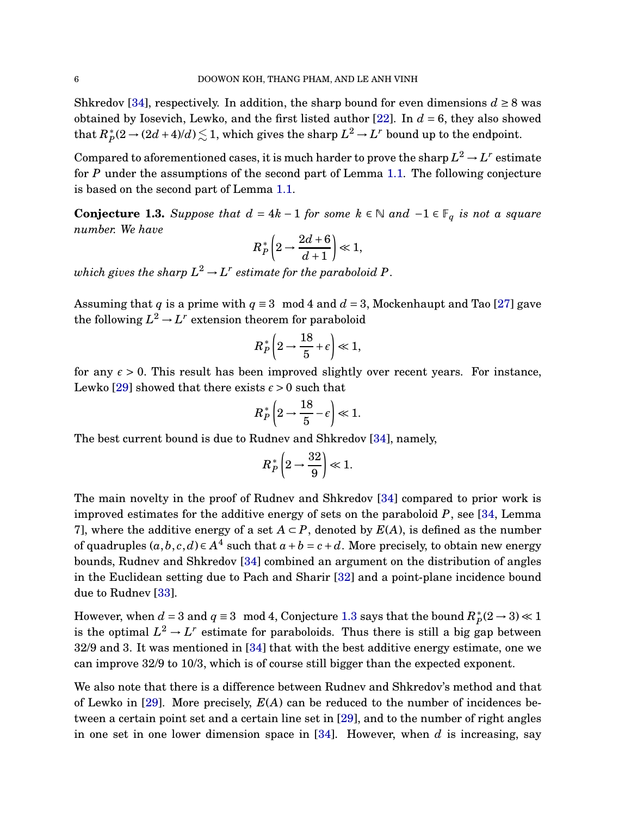Shkredov [\[34\]](#page-48-7), respectively. In addition, the sharp bound for even dimensions  $d \geq 8$  was obtained by Iosevich, Lewko, and the first listed author [\[22\]](#page-48-9). In *d* = 6, they also showed  $\text{that } R_P^*(2 \to (2d+4)/d) \lesssim 1, \text{ which gives the sharp } L^2 \to L^r \text{ bound up to the endpoint.}$ 

Compared to aforementioned cases, it is much harder to prove the sharp  $L^2 \rightarrow L^r$  estimate for *P* under the assumptions of the second part of Lemma [1.1.](#page-4-1) The following conjecture is based on the second part of Lemma [1.1.](#page-4-1)

<span id="page-5-0"></span>**Conjecture 1.3.** *Suppose that*  $d = 4k - 1$  *for some*  $k ∈ ℕ$  *and*  $-1 ∈ F_q$  *is not a square number. We have*

$$
R_P^*\left(2\rightarrow \frac{2d+6}{d+1}\right)\ll 1,
$$

 $which\ gives\ the\ sharp\ L^2\,{\rightarrow}\, L^r\ estimate\ for\ the\ paraboloid\ P.$ 

Assuming that *q* is a prime with  $q \equiv 3 \mod 4$  and  $d = 3$ , Mockenhaupt and Tao [\[27\]](#page-48-0) gave the following  $L^2 \to L^r$  extension theorem for paraboloid

$$
R_P^*\left(2\rightarrow \frac{18}{5}+\epsilon\right)\ll 1,
$$

for any  $\epsilon > 0$ . This result has been improved slightly over recent years. For instance, Lewko [\[29\]](#page-48-6) showed that there exists  $\epsilon > 0$  such that

$$
R_P^*\left(2\rightarrow\frac{18}{5}-\epsilon\right)\ll 1.
$$

The best current bound is due to Rudnev and Shkredov [\[34\]](#page-48-7), namely,

$$
R_P^*\left(2\rightarrow \frac{32}{9}\right)\ll 1.
$$

The main novelty in the proof of Rudnev and Shkredov [\[34\]](#page-48-7) compared to prior work is improved estimates for the additive energy of sets on the paraboloid *P*, see [\[34,](#page-48-7) Lemma 7], where the additive energy of a set  $A \subset P$ , denoted by  $E(A)$ , is defined as the number of quadruples  $(a, b, c, d) \in A^4$  such that  $a + b = c + d$ . More precisely, to obtain new energy bounds, Rudnev and Shkredov [\[34\]](#page-48-7) combined an argument on the distribution of angles in the Euclidean setting due to Pach and Sharir [\[32\]](#page-48-10) and a point-plane incidence bound due to Rudnev [\[33\]](#page-48-11).

However, when  $d = 3$  and  $q \equiv 3 \mod 4$ , Conjecture [1.3](#page-5-0) says that the bound  $R_P^*(2 \to 3) \ll 1$ is the optimal  $L^2 \to L^r$  estimate for paraboloids. Thus there is still a big gap between 32/9 and 3. It was mentioned in [\[34\]](#page-48-7) that with the best additive energy estimate, one we can improve 32/9 to 10/3, which is of course still bigger than the expected exponent.

We also note that there is a difference between Rudnev and Shkredov's method and that of Lewko in [\[29\]](#page-48-6). More precisely, *E*(*A*) can be reduced to the number of incidences between a certain point set and a certain line set in [\[29\]](#page-48-6), and to the number of right angles in one set in one lower dimension space in [\[34\]](#page-48-7). However, when *d* is increasing, say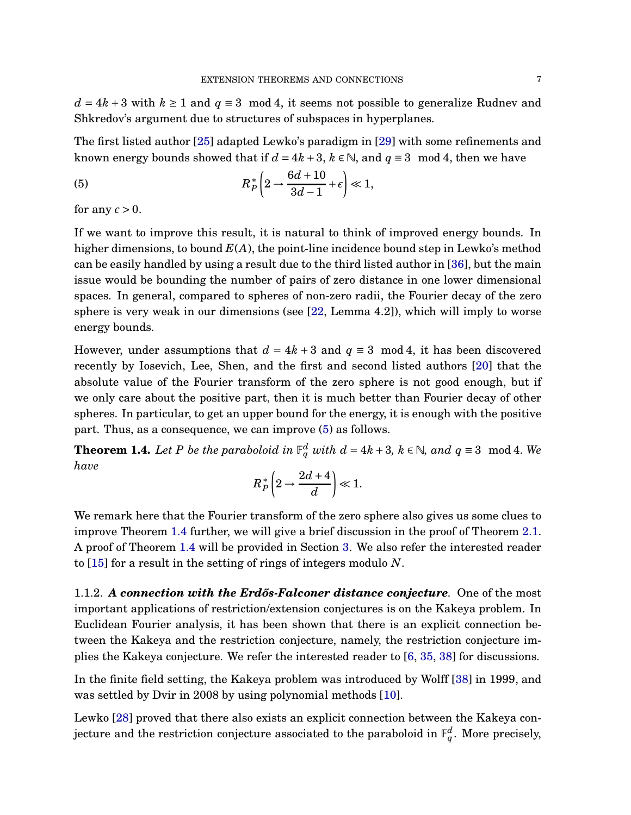$d = 4k + 3$  with  $k \ge 1$  and  $q \equiv 3 \mod 4$ , it seems not possible to generalize Rudnev and Shkredov's argument due to structures of subspaces in hyperplanes.

The first listed author [\[25\]](#page-48-8) adapted Lewko's paradigm in [\[29\]](#page-48-6) with some refinements and known energy bounds showed that if  $d = 4k + 3$ ,  $k \in \mathbb{N}$ , and  $q \equiv 3 \mod 4$ , then we have

<span id="page-6-0"></span>(5) 
$$
R_P^*\left(2\rightarrow \frac{6d+10}{3d-1}+\epsilon\right)\ll 1,
$$

for any  $\epsilon > 0$ .

If we want to improve this result, it is natural to think of improved energy bounds. In higher dimensions, to bound *E*(*A*), the point-line incidence bound step in Lewko's method can be easily handled by using a result due to the third listed author in [\[36\]](#page-48-12), but the main issue would be bounding the number of pairs of zero distance in one lower dimensional spaces. In general, compared to spheres of non-zero radii, the Fourier decay of the zero sphere is very weak in our dimensions (see  $[22, \text{Lemma } 4.2]$ ), which will imply to worse energy bounds.

However, under assumptions that  $d = 4k + 3$  and  $q \equiv 3 \mod 4$ , it has been discovered recently by Iosevich, Lee, Shen, and the first and second listed authors [\[20\]](#page-48-13) that the absolute value of the Fourier transform of the zero sphere is not good enough, but if we only care about the positive part, then it is much better than Fourier decay of other spheres. In particular, to get an upper bound for the energy, it is enough with the positive part. Thus, as a consequence, we can improve [\(5\)](#page-6-0) as follows.

<span id="page-6-1"></span>**Theorem 1.4.** Let P be the paraboloid in  $\mathbb{F}_q^d$  with  $d = 4k + 3$ ,  $k \in \mathbb{N}$ , and  $q \equiv 3 \mod 4$ . We *have*

$$
R_P^*\left(2\rightarrow \frac{2d+4}{d}\right)\ll 1.
$$

We remark here that the Fourier transform of the zero sphere also gives us some clues to improve Theorem [1.4](#page-6-1) further, we will give a brief discussion in the proof of Theorem [2.1.](#page-17-0) A proof of Theorem [1.4](#page-6-1) will be provided in Section [3.](#page-24-0) We also refer the interested reader to [\[15\]](#page-47-0) for a result in the setting of rings of integers modulo *N*.

1.1.2. A connection with the Erdős-Falconer distance conjecture. One of the most important applications of restriction/extension conjectures is on the Kakeya problem. In Euclidean Fourier analysis, it has been shown that there is an explicit connection between the Kakeya and the restriction conjecture, namely, the restriction conjecture implies the Kakeya conjecture. We refer the interested reader to [\[6,](#page-47-1) [35,](#page-48-14) [38\]](#page-48-15) for discussions.

In the finite field setting, the Kakeya problem was introduced by Wolff [\[38\]](#page-48-15) in 1999, and was settled by Dvir in 2008 by using polynomial methods [\[10\]](#page-47-2).

Lewko [\[28\]](#page-48-5) proved that there also exists an explicit connection between the Kakeya conjecture and the restriction conjecture associated to the paraboloid in  $\mathbb{F}_q^d.$  More precisely,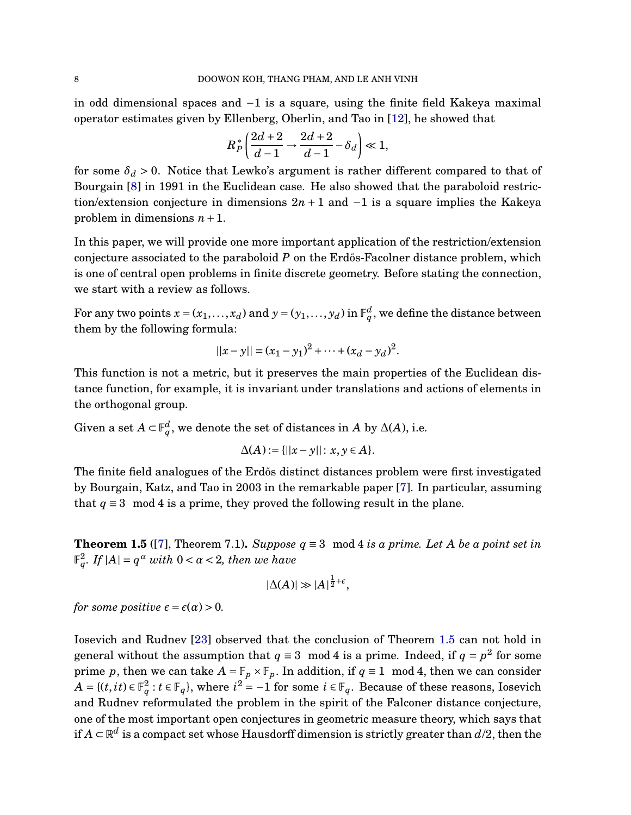in odd dimensional spaces and −1 is a square, using the finite field Kakeya maximal operator estimates given by Ellenberg, Oberlin, and Tao in [\[12\]](#page-47-3), he showed that

$$
R_P^* \left( \frac{2d+2}{d-1} \to \frac{2d+2}{d-1} - \delta_d \right) \ll 1,
$$

for some  $\delta_d > 0$ . Notice that Lewko's argument is rather different compared to that of Bourgain [\[8\]](#page-47-4) in 1991 in the Euclidean case. He also showed that the paraboloid restriction/extension conjecture in dimensions  $2n + 1$  and  $-1$  is a square implies the Kakeya problem in dimensions *n* +1.

In this paper, we will provide one more important application of the restriction/extension conjecture associated to the paraboloid *P* on the Erd<sub>os</sub>-Facolner distance problem, which is one of central open problems in finite discrete geometry. Before stating the connection, we start with a review as follows.

For any two points  $x = (x_1, ..., x_d)$  and  $y = (y_1, ..., y_d)$  in  $\mathbb{F}_q^d$ , we define the distance between them by the following formula:

$$
||x - y|| = (x_1 - y_1)^2 + \dots + (x_d - y_d)^2.
$$

This function is not a metric, but it preserves the main properties of the Euclidean distance function, for example, it is invariant under translations and actions of elements in the orthogonal group.

Given a set  $A \subset \mathbb{F}_q^d$ , we denote the set of distances in  $A$  by  $\Delta(A)$ , i.e.

$$
\Delta(A) := \{||x - y|| : x, y \in A\}.
$$

The finite field analogues of the Erdős distinct distances problem were first investigated by Bourgain, Katz, and Tao in 2003 in the remarkable paper [\[7\]](#page-47-5). In particular, assuming that  $q \equiv 3 \mod 4$  is a prime, they proved the following result in the plane.

<span id="page-7-0"></span>**Theorem 1.5** ([\[7\]](#page-47-5), Theorem 7.1). *Suppose*  $q \equiv 3 \mod 4$  *is a prime. Let A be a point set in*  $\mathbb{F}_{q}^{2}$ *. If*  $|A| = q^{\alpha}$  *with*  $0 < \alpha < 2$ *, then we have* 

$$
|\Delta(A)| \gg |A|^{\frac{1}{2}+\epsilon},
$$

*for some positive*  $\epsilon = \epsilon(\alpha) > 0$ .

Iosevich and Rudnev [\[23\]](#page-48-16) observed that the conclusion of Theorem [1.5](#page-7-0) can not hold in general without the assumption that  $q \equiv 3 \mod 4$  is a prime. Indeed, if  $q = p^2$  for some prime *p*, then we can take  $A = \mathbb{F}_p \times \mathbb{F}_p$ . In addition, if  $q \equiv 1 \mod 4$ , then we can consider  $A = {(t, it) ∈ F_q^2 : t ∈ F_q},$  where  $i^2 = -1$  for some  $i ∈ F_q$ . Because of these reasons, Iosevich and Rudnev reformulated the problem in the spirit of the Falconer distance conjecture, one of the most important open conjectures in geometric measure theory, which says that if  $A\subset \mathbb{R}^d$  is a compact set whose Hausdorff dimension is strictly greater than  $d/2$ , then the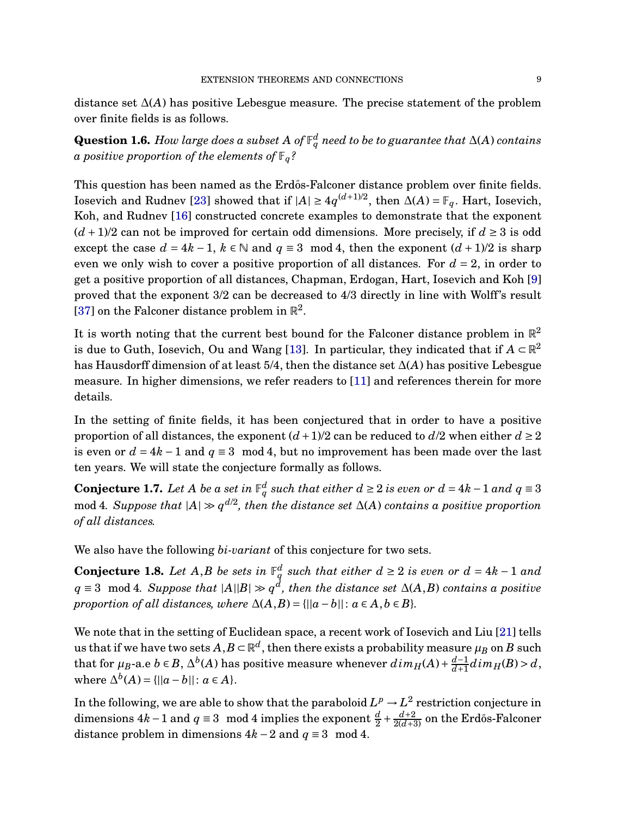distance set ∆(*A*) has positive Lebesgue measure. The precise statement of the problem over finite fields is as follows.

 ${\bf Question~1.6.}$   $How$   $large\ does\ a\ subset\ A\ of\ \mathbb{F}_q^d$   $need\ to\ be\ to\ guarantee\ that\ \Delta(A)\ contains$ *a positive proportion of the elements of*  $\mathbb{F}_q$ ?

This question has been named as the Erdős-Falconer distance problem over finite fields. Iosevich and Rudnev [\[23\]](#page-48-16) showed that if  $|A| \ge 4q^{(d+1)/2}$ , then  $\Delta(A) = \mathbb{F}_q$ . Hart, Iosevich, Koh, and Rudnev [\[16\]](#page-47-6) constructed concrete examples to demonstrate that the exponent  $(d+1)/2$  can not be improved for certain odd dimensions. More precisely, if  $d \geq 3$  is odd except the case  $d = 4k - 1$ ,  $k \in \mathbb{N}$  and  $q \equiv 3 \mod 4$ , then the exponent  $(d + 1)/2$  is sharp even we only wish to cover a positive proportion of all distances. For *d* = 2, in order to get a positive proportion of all distances, Chapman, Erdogan, Hart, Iosevich and Koh [\[9\]](#page-47-7) proved that the exponent 3/2 can be decreased to 4/3 directly in line with Wolff's result [\[37\]](#page-48-17) on the Falconer distance problem in  $\mathbb{R}^2$ .

It is worth noting that the current best bound for the Falconer distance problem in  $\mathbb{R}^2$ is due to Guth, Iosevich, Ou and Wang [\[13\]](#page-47-8). In particular, they indicated that if  $A \subset \mathbb{R}^2$ has Hausdorff dimension of at least 5/4, then the distance set ∆(*A*) has positive Lebesgue measure. In higher dimensions, we refer readers to [\[11\]](#page-47-9) and references therein for more details.

In the setting of finite fields, it has been conjectured that in order to have a positive proportion of all distances, the exponent  $(d+1)/2$  can be reduced to  $d/2$  when either  $d \ge 2$ is even or  $d = 4k - 1$  and  $q \equiv 3 \mod 4$ , but no improvement has been made over the last ten years. We will state the conjecture formally as follows.

<span id="page-8-1"></span>**Conjecture 1.7.** Let A be a set in  $\mathbb{F}_q^d$  such that either  $d \geq 2$  is even or  $d = 4k - 1$  and  $q \equiv 3$ mod 4*. Suppose that*  $|A|$   $\gg$   $q^{d/2}$ , then the distance set  $\Delta$ (*A*) contains a positive proportion *of all distances.*

We also have the following *bi-variant* of this conjecture for two sets.

<span id="page-8-0"></span>**Conjecture 1.8.** Let  $A, B$  be sets in  $\mathbb{F}_q^d$  such that either  $d \geq 2$  is even or  $d = 4k - 1$  and *q* ≡ 3 mod 4*. Suppose that*  $|A||B| \gg q^d$ , then the distance set ∆(*A*,*B*) *contains a positive proportion of all distances, where*  $\Delta(A, B) = \{||a - b|| : a \in A, b \in B\}.$ 

We note that in the setting of Euclidean space, a recent work of Iosevich and Liu [\[21\]](#page-48-18) tells us that if we have two sets  $A, B \subset \mathbb{R}^d$ , then there exists a probability measure  $\mu_B$  on  $B$  such that for  $\mu_B$ -a.e  $b \in B$ ,  $\Delta^b(A)$  has positive measure whenever  $dim_H(A) + \frac{d-1}{d+1}$  $\frac{d-1}{d+1}$ *d* im<sub>*H*</sub>(*B*) > *d*,  $\text{where } \Delta^{b}(A) = \{ ||a - b|| : a \in A \}.$ 

In the following, we are able to show that the paraboloid  $L^p \rightarrow L^2$  restriction conjecture in dimensions  $4k-1$  and  $q \equiv 3 \mod 4$  implies the exponent  $\frac{d}{2} + \frac{d+2}{2(d+3)}$  on the Erdős-Falconer distance problem in dimensions  $4k - 2$  and  $q \equiv 3 \mod 4$ .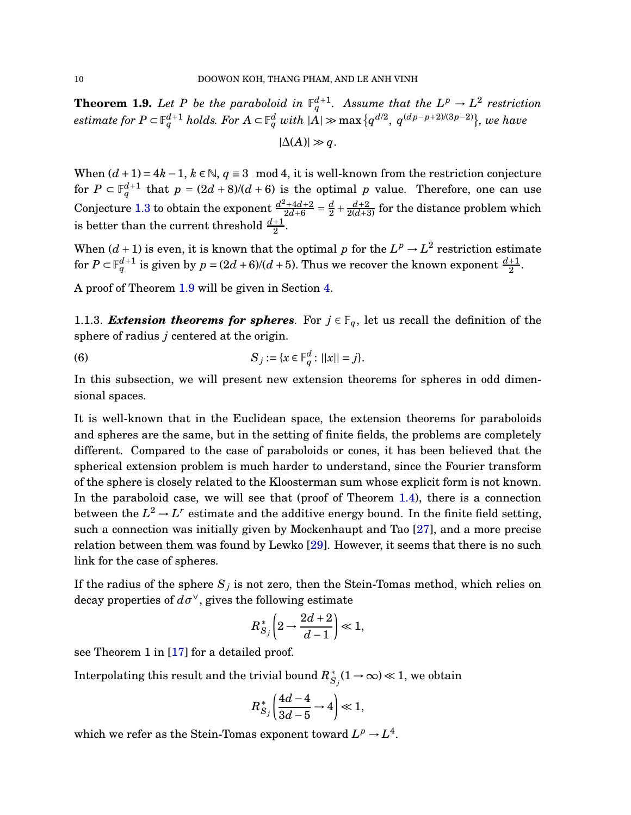<span id="page-9-0"></span>**Theorem 1.9.** Let P be the paraboloid in  $\mathbb{F}_q^{d+1}$ . Assume that the  $L^p \to L^2$  restriction  $e^{intimate}$  *for*  $P \subset \mathbb{F}_q^{d+1}$   $holds.$  For  $A \subset \mathbb{F}_q^d$  with  $|A| \gg \max{\{q^{d/2},~q^{(dp-p+2)/(3p-2)}\}}$ , we have

$$
|\Delta(A)| \gg q.
$$

When  $(d+1) = 4k - 1$ ,  $k \in \mathbb{N}$ ,  $q \equiv 3 \mod 4$ , it is well-known from the restriction conjecture for  $P \subset \mathbb{F}_q^{d+1}$  that  $p = (2d+8)/(d+6)$  is the optimal *p* value. Therefore, one can use Conjecture [1.3](#page-5-0) to obtain the exponent  $\frac{d^2+4d+2}{2d+6}$  $rac{d^2+4d+2}{2d+6}=\frac{d}{2}$  $\frac{d}{2} + \frac{d+2}{2(d+3)}$  for the distance problem which is better than the current threshold  $\frac{d+1}{2}$ .

When  $(d+1)$  is even, it is known that the optimal *p* for the  $L^p \to L^2$  restriction estimate for  $P \subset \mathbb{F}_q^{d+1}$  is given by  $p = (2d+6)/(d+5)$ . Thus we recover the known exponent  $\frac{d+1}{2}$ .

A proof of Theorem [1.9](#page-9-0) will be given in Section [4.](#page-27-0)

1.1.3. *Extension theorems for spheres*. For  $j \in \mathbb{F}_q$ , let us recall the definition of the sphere of radius *j* centered at the origin.

(6) 
$$
S_j := \{x \in \mathbb{F}_q^d : ||x|| = j\}.
$$

In this subsection, we will present new extension theorems for spheres in odd dimensional spaces.

It is well-known that in the Euclidean space, the extension theorems for paraboloids and spheres are the same, but in the setting of finite fields, the problems are completely different. Compared to the case of paraboloids or cones, it has been believed that the spherical extension problem is much harder to understand, since the Fourier transform of the sphere is closely related to the Kloosterman sum whose explicit form is not known. In the paraboloid case, we will see that (proof of Theorem [1.4\)](#page-6-1), there is a connection between the  $L^2 \to L^r$  estimate and the additive energy bound. In the finite field setting, such a connection was initially given by Mockenhaupt and Tao [\[27\]](#page-48-0), and a more precise relation between them was found by Lewko [\[29\]](#page-48-6). However, it seems that there is no such link for the case of spheres.

If the radius of the sphere  $S_j$  is not zero, then the Stein-Tomas method, which relies on decay properties of  $d\sigma^{\vee}$ , gives the following estimate

$$
R_{S_j}^*\left(2\rightarrow \frac{2d+2}{d-1}\right)\ll 1,
$$

see Theorem 1 in [\[17\]](#page-48-1) for a detailed proof.

Interpolating this result and the trivial bound  $R_{S_j}^*(1\to\infty)\ll 1,$  we obtain

$$
R_{S_j}^*\left(\frac{4d-4}{3d-5}\rightarrow 4\right)\ll 1,
$$

which we refer as the Stein-Tomas exponent toward  $L^p \to L^4$ .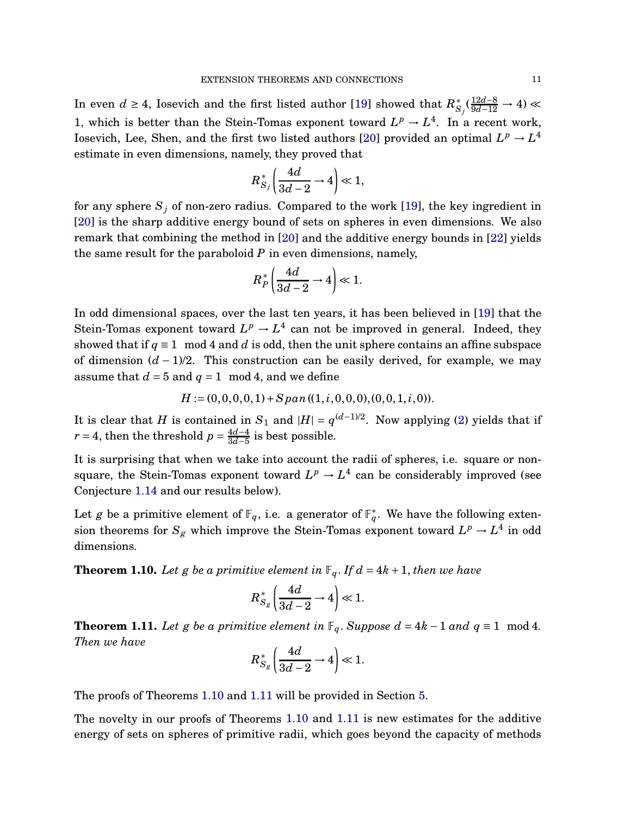In even *d* ≥ 4, Iosevich and the first listed author [\[19\]](#page-48-3) showed that  $R_{S_j}^*$  ( $\frac{12d-8}{9d-12}$  → 4) ≪ 1, which is better than the Stein-Tomas exponent toward  $L^p \to L^4$ . In a recent work, Iosevich, Lee, Shen, and the first two listed authors [\[20\]](#page-48-13) provided an optimal  $L^p \rightarrow L^4$ estimate in even dimensions, namely, they proved that

$$
R_{S_j}^*\left(\frac{4d}{3d-2}\rightarrow 4\right)\ll 1,
$$

for any sphere  $S_j$  of non-zero radius. Compared to the work [\[19\]](#page-48-3), the key ingredient in [\[20\]](#page-48-13) is the sharp additive energy bound of sets on spheres in even dimensions. We also remark that combining the method in [\[20\]](#page-48-13) and the additive energy bounds in [\[22\]](#page-48-9) yields the same result for the paraboloid *P* in even dimensions, namely,

$$
R_P^*\left(\frac{4d}{3d-2}\rightarrow 4\right)\ll 1.
$$

In odd dimensional spaces, over the last ten years, it has been believed in [\[19\]](#page-48-3) that the Stein-Tomas exponent toward  $L^p \to L^4$  can not be improved in general. Indeed, they showed that if  $q \equiv 1 \mod 4$  and *d* is odd, then the unit sphere contains an affine subspace of dimension (*d* − 1)/2. This construction can be easily derived, for example, we may assume that  $d = 5$  and  $q = 1$  mod 4, and we define

$$
H := (0,0,0,0,1) + Span((1,i,0,0,0),(0,0,1,i,0)).
$$

It is clear that *H* is contained in  $S_1$  and  $|H| = q^{(d-1)/2}$ . Now applying [\(2\)](#page-3-1) yields that if  $r = 4$ , then the threshold  $p = \frac{4d-4}{3d-5}$ 3*d*−5 is best possible.

It is surprising that when we take into account the radii of spheres, i.e. square or nonsquare, the Stein-Tomas exponent toward  $L^p \rightarrow L^4$  can be considerably improved (see Conjecture [1.14](#page-13-0) and our results below).

Let *g* be a primitive element of  $\mathbb{F}_q$ , i.e. a generator of  $\mathbb{F}_q^*$ . We have the following extension theorems for  $S_g$  which improve the Stein-Tomas exponent toward  $L^p \to L^4$  in odd dimensions.

<span id="page-10-0"></span>**Theorem 1.10.** Let g be a primitive element in  $\mathbb{F}_q$ . If  $d = 4k + 1$ , then we have

$$
R_{S_g}^*\left(\frac{4d}{3d-2}\rightarrow 4\right)\ll 1.
$$

<span id="page-10-1"></span>**Theorem 1.11.** *Let g be a primitive element in*  $\mathbb{F}_q$ *. Suppose*  $d = 4k - 1$  *and*  $q \equiv 1 \mod 4$ *. Then we have*

$$
R_{S_g}^*\left(\frac{4d}{3d-2}\rightarrow 4\right)\ll 1.
$$

The proofs of Theorems [1.10](#page-10-0) and [1.11](#page-10-1) will be provided in Section [5.](#page-27-1)

The novelty in our proofs of Theorems [1.10](#page-10-0) and [1.11](#page-10-1) is new estimates for the additive energy of sets on spheres of primitive radii, which goes beyond the capacity of methods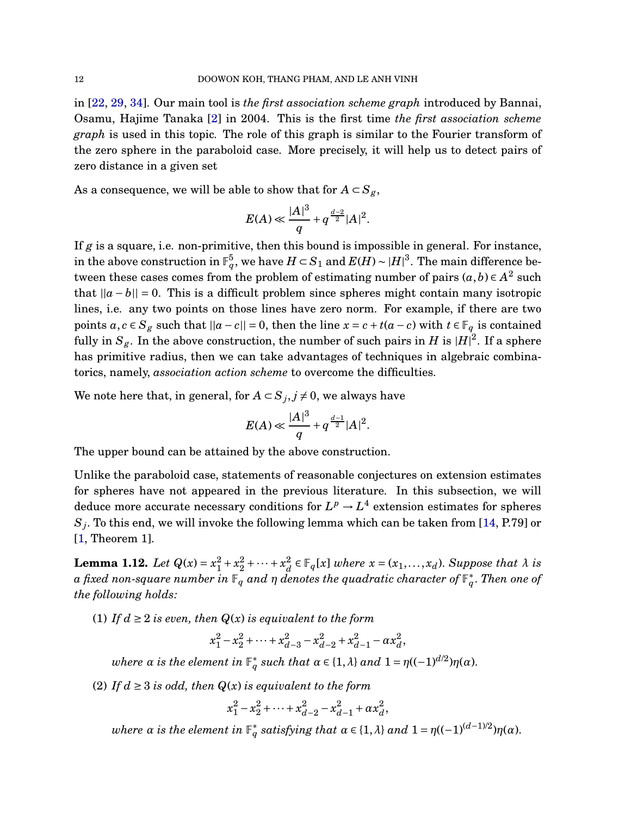in [\[22,](#page-48-9) [29,](#page-48-6) [34\]](#page-48-7). Our main tool is *the first association scheme graph* introduced by Bannai, Osamu, Hajime Tanaka [\[2\]](#page-47-10) in 2004. This is the first time *the first association scheme graph* is used in this topic. The role of this graph is similar to the Fourier transform of the zero sphere in the paraboloid case. More precisely, it will help us to detect pairs of zero distance in a given set

As a consequence, we will be able to show that for  $A \subset S_g$ ,

$$
E(A) \ll \frac{|A|^3}{q} + q^{\frac{d-2}{2}} |A|^2.
$$

If *g* is a square, i.e. non-primitive, then this bound is impossible in general. For instance, in the above construction in  $\mathbb{F}_q^5$ , we have  $H \subset S_1$  and  $E(H) \sim |H|^3$ . The main difference between these cases comes from the problem of estimating number of pairs  $(a, b) \in A^2$  such that  $||a - b|| = 0$ . This is a difficult problem since spheres might contain many isotropic lines, i.e. any two points on those lines have zero norm. For example, if there are two points *a*, *c* ∈ *S<sub><i>g*</sub> such that  $||a - c|| = 0$ , then the line *x* = *c* + *t*(*a* − *c*) with *t* ∈  $\mathbb{F}_q$  is contained fully in  $S_g$ . In the above construction, the number of such pairs in  $H$  is  $|H|^2$ . If a sphere has primitive radius, then we can take advantages of techniques in algebraic combinatorics, namely, *association action scheme* to overcome the difficulties.

We note here that, in general, for  $A \subset S_j, j \neq 0$ , we always have

$$
E(A) \ll \frac{|A|^3}{q} + q^{\frac{d-1}{2}} |A|^2.
$$

The upper bound can be attained by the above construction.

Unlike the paraboloid case, statements of reasonable conjectures on extension estimates for spheres have not appeared in the previous literature. In this subsection, we will deduce more accurate necessary conditions for  $L^p \rightarrow L^4$  extension estimates for spheres  $S_j.$  To this end, we will invoke the following lemma which can be taken from [\[14,](#page-47-11) P.79] or [\[1,](#page-47-12) Theorem 1].

<span id="page-11-0"></span>**Lemma 1.12.** *Let*  $Q(x) = x_1^2 + x_2^2 + \cdots + x_d^2$  $\frac{a}{d} \in \mathbb{F}_q[x]$  *where*  $x = (x_1, \ldots, x_d)$ . *Suppose that*  $\lambda$  *is*  $a$  *fixed non-square number in*  $\mathbb{F}_q$  *and*  $\eta$  *denotes the quadratic character of*  $\mathbb{F}_q^*$ *. Then one of the following holds:*

(1) If  $d \geq 2$  *is even, then*  $Q(x)$  *is equivalent to the form* 

$$
x_1^2 - x_2^2 + \dots + x_{d-3}^2 - x_{d-2}^2 + x_{d-1}^2 - \alpha x_d^2,
$$

*where α* is the element in  $\mathbb{F}_q^*$  such that  $\alpha \in \{1, \lambda\}$  and  $1 = \eta((-1)^{d/2})\eta(\alpha)$ .

(2) If  $d \geq 3$  *is odd, then*  $Q(x)$  *is equivalent to the form* 

$$
x_1^2 - x_2^2 + \dots + x_{d-2}^2 - x_{d-1}^2 + \alpha x_d^2,
$$

 $where \alpha is the element in  $\mathbb{F}_q^*$  satisfying that  $\alpha \in \{1, \lambda\}$  and  $1 = \eta((-1)^{(d-1)/2})\eta(\alpha)$ .$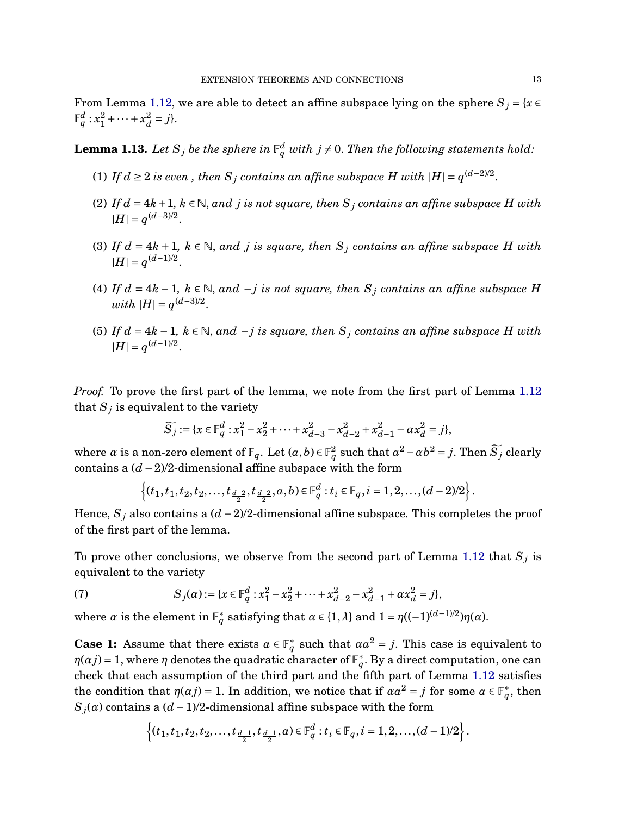From Lemma [1.12,](#page-11-0) we are able to detect an affine subspace lying on the sphere  $S_j = \{x \in$  $\mathbb{F}_q^d: x_1^2 + \cdots + x_d^2$  $\frac{2}{d} = j$ .

<span id="page-12-0"></span>**Lemma 1.13.** Let  $S_j$  be the sphere in  $\mathbb{F}_q^d$  with  $j \neq 0$ . Then the following statements hold:

- (1) *If*  $d ≥ 2$  *is even* , then  $S_j$  *contains an affine subspace*  $H$  *with*  $|H| = q^{(d-2)/2}$ .
- (2) If  $d = 4k + 1$ ,  $k \in \mathbb{N}$ , and *j* is not square, then  $S_j$  contains an affine subspace *H* with  $|H| = q^{(d-3)/2}.$
- (3) If  $d = 4k + 1$ ,  $k \in \mathbb{N}$ , and *j* is square, then  $S_j$  contains an affine subspace *H* with  $|H| = q^{(d-1)/2}.$
- (4) *If*  $d = 4k − 1$ ,  $k ∈ ℕ$ , and  $-j$  *is not square, then*  $S_j$  *contains an affine subspace H*  $with \, |H| = q^{(d-3)/2}.$
- (5) *If*  $d = 4k − 1$ ,  $k ∈ ℕ$ , and  $-j$  *is square, then*  $S_j$  *contains an affine subspace H with*  $|H| = q^{(d-1)/2}.$

*Proof.* To prove the first part of the lemma, we note from the first part of Lemma [1.12](#page-11-0) that  $S_j$  is equivalent to the variety

$$
\widetilde{S}_j := \{x \in \mathbb{F}_q^d : x_1^2 - x_2^2 + \dots + x_{d-3}^2 - x_{d-2}^2 + x_{d-1}^2 - ax_d^2 = j\},\
$$

where *α* is a non-zero element of  $\mathbb{F}_q$ . Let  $(a, b) \in \mathbb{F}_q^2$  such that  $a^2 - ab^2 = j$ . Then  $\widetilde{S_j}$  clearly contains a (*d* −2)/2-dimensional affine subspace with the form

$$
\left\{(t_1,t_1,t_2,t_2,\ldots,t_{\frac{d-2}{2}},t_{\frac{d-2}{2}},a,b)\in \mathbb{F}_q^d:t_i\in \mathbb{F}_q, i=1,2,\ldots,(d-2)/2\right\}.
$$

Hence,  $S_j$  also contains a  $(d-2)/2$ -dimensional affine subspace. This completes the proof of the first part of the lemma.

To prove other conclusions, we observe from the second part of Lemma [1.12](#page-11-0) that  $S_j$  is equivalent to the variety

<span id="page-12-1"></span>(7) 
$$
S_j(\alpha) := \{x \in \mathbb{F}_q^d : x_1^2 - x_2^2 + \dots + x_{d-2}^2 - x_{d-1}^2 + \alpha x_d^2 = j\},\
$$

where *α* is the element in  $\mathbb{F}_q^*$  satisfying that  $\alpha \in \{1, \lambda\}$  and  $1 = \eta((-1)^{(d-1)/2})\eta(\alpha)$ .

**Case 1:** Assume that there exists  $a \in \mathbb{F}_q^*$  such that  $aa^2 = j$ . This case is equivalent to  $\eta(\alpha j)$  = 1, where  $\eta$  denotes the quadratic character of  $\mathbb{F}_{q}^{*}.$  By a direct computation, one can check that each assumption of the third part and the fifth part of Lemma [1.12](#page-11-0) satisfies the condition that  $\eta(\alpha j) = 1$ . In addition, we notice that if  $\alpha a^2 = j$  for some  $a \in \mathbb{F}_q^*$ , then  $S_j(a)$  contains a  $(d-1)/2$ -dimensional affine subspace with the form

$$
\left\{(t_1,t_1,t_2,t_2,\ldots,t_{\frac{d-1}{2}},t_{\frac{d-1}{2}},a) \in \mathbb{F}_q^d : t_i \in \mathbb{F}_q, i=1,2,\ldots,(d-1)/2\right\}.
$$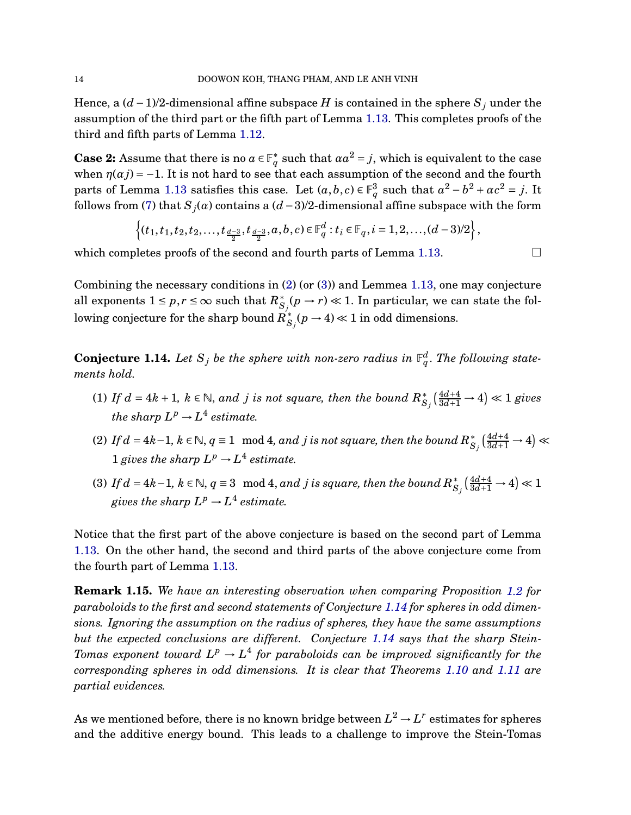Hence, a  $(d-1)/2$ -dimensional affine subspace *H* is contained in the sphere  $S_j$  under the assumption of the third part or the fifth part of Lemma [1.13.](#page-12-0) This completes proofs of the third and fifth parts of Lemma [1.12.](#page-11-0)

**Case 2:** Assume that there is no  $a \in \mathbb{F}_q^*$  such that  $aa^2 = j$ , which is equivalent to the case when  $\eta(\alpha j) = -1$ . It is not hard to see that each assumption of the second and the fourth parts of Lemma [1.13](#page-12-0) satisfies this case. Let  $(a, b, c) \in \mathbb{F}_q^3$  such that  $a^2 - b^2 + ac^2 = j$ . It follows from [\(7\)](#page-12-1) that  $S_j(a)$  contains a  $(d-3)/2$ -dimensional affine subspace with the form

$$
\left\{(t_1,t_1,t_2,t_2,\ldots,t_{\frac{d-3}{2}},t_{\frac{d-3}{2}},a,b,c)\in \mathbb{F}_q^d:t_i\in \mathbb{F}_q, i=1,2,\ldots,(d-3)/2\right\},\,
$$

which completes proofs of the second and fourth parts of Lemma [1.13.](#page-12-0)

Combining the necessary conditions in [\(2\)](#page-3-1) (or [\(3\)](#page-3-0)) and Lemmea [1.13,](#page-12-0) one may conjecture all exponents  $1 \leq p,r \leq \infty$  such that  $R^*_{S_j}(p \to r) \ll 1.$  In particular, we can state the following conjecture for the sharp bound  $R_{S_j}^*(p \to 4) \ll 1$  in odd dimensions.

<span id="page-13-0"></span>**Conjecture 1.14.** Let  $S_j$  be the sphere with non-zero radius in  $\mathbb{F}_q^d$ . The following state*ments hold.*

- (1) If  $d = 4k + 1$ ,  $k \in \mathbb{N}$ , and *j* is not square, then the bound  $R_{S_j}^* \left( \frac{4d+4}{3d+1} \rightarrow 4 \right) \ll 1$  gives *the sharp*  $L^p \rightarrow L^4$  *estimate.*
- (2) If  $d = 4k-1$ ,  $k ∈ ℕ$ ,  $q ≡ 1 \mod 4$ , and  $j$  is not square, then the bound  $R_{S_j}^* \left( \frac{4d+4}{3d+1} \rightarrow 4 \right)$  ≪ 1 *gives the sharp*  $L^p \rightarrow L^4$  *estimate.*
- (3) If  $d = 4k-1$ ,  $k ∈ ℕ$ ,  $q ≡ 3 \mod 4$ , and  $j$  is square, then the bound  $R^*_{S_j}(\frac{4d+4}{3d+1} \rightarrow 4) ≪ 1$ gives the sharp  $L^p \to L^4$  estimate.

Notice that the first part of the above conjecture is based on the second part of Lemma [1.13.](#page-12-0) On the other hand, the second and third parts of the above conjecture come from the fourth part of Lemma [1.13.](#page-12-0)

**Remark 1.15.** *We have an interesting observation when comparing Proposition [1.2](#page-4-2) for paraboloids to the first and second statements of Conjecture [1.14](#page-13-0) for spheres in odd dimensions. Ignoring the assumption on the radius of spheres, they have the same assumptions but the expected conclusions are different. Conjecture [1.14](#page-13-0) says that the sharp Stein-* $T$ omas exponent toward  $L^p \to L^4$  for paraboloids can be improved significantly for the *corresponding spheres in odd dimensions. It is clear that Theorems [1.10](#page-10-0) and [1.11](#page-10-1) are partial evidences.*

As we mentioned before, there is no known bridge between  $L^2 \rightarrow L^r$  estimates for spheres and the additive energy bound. This leads to a challenge to improve the Stein-Tomas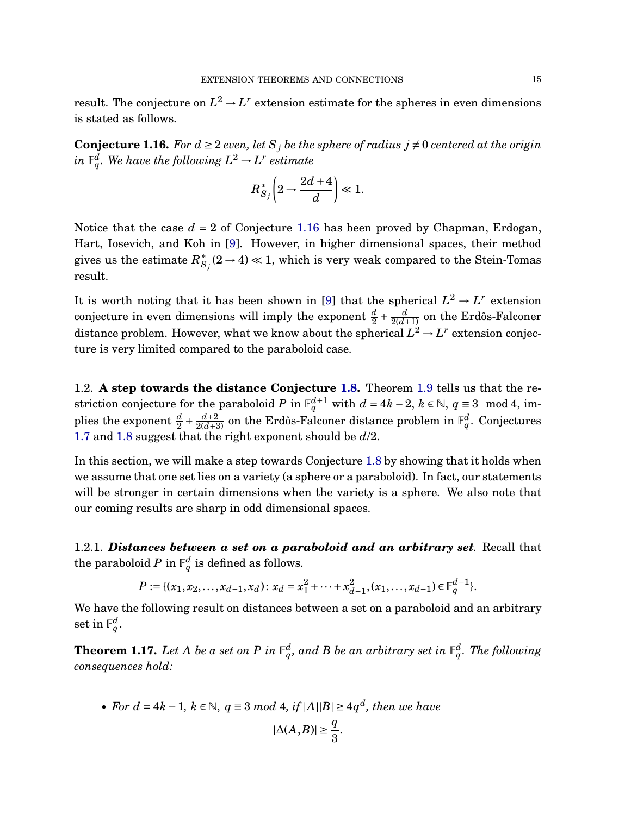result. The conjecture on  $L^2 \to L^r$  extension estimate for the spheres in even dimensions is stated as follows.

<span id="page-14-0"></span>**Conjecture 1.16.** For  $d \geq 2$  *even, let*  $S_j$  *be the sphere of radius*  $j \neq 0$  *centered at the origin*  $i$ *n*  $\mathbb{F}_q^d$ . We have the following  $L^2 \rightarrow L^r$  estimate

$$
R_{S_j}^*\left(2\rightarrow \frac{2d+4}{d}\right)\ll 1.
$$

Notice that the case  $d = 2$  of Conjecture [1.16](#page-14-0) has been proved by Chapman, Erdogan, Hart, Iosevich, and Koh in [\[9\]](#page-47-7). However, in higher dimensional spaces, their method gives us the estimate  $R_{S_j}^*(2\to4)\ll1,$  which is very weak compared to the Stein-Tomas result.

It is worth noting that it has been shown in [\[9\]](#page-47-7) that the spherical  $L^2 \to L^r$  extension conjecture in even dimensions will imply the exponent  $\frac{d}{2} + \frac{d}{2(d+1)}$  on the Erdős-Falconer distance problem. However, what we know about the spherical  $L^2 \to L^r$  extension conjecture is very limited compared to the paraboloid case.

1.2. **A step towards the distance Conjecture [1.8.](#page-8-0)** Theorem [1.9](#page-9-0) tells us that the restriction conjecture for the paraboloid *P* in  $\mathbb{F}_q^{d+1}$  with  $d = 4k - 2$ ,  $k \in \mathbb{N}$ ,  $q \equiv 3 \mod 4$ , implies the exponent  $\frac{d}{2} + \frac{d+2}{2(d+3)}$  on the Erdős-Falconer distance problem in  $\mathbb{F}_q^d$ . Conjectures [1.7](#page-8-1) and [1.8](#page-8-0) suggest that the right exponent should be *d*/2.

In this section, we will make a step towards Conjecture [1.8](#page-8-0) by showing that it holds when we assume that one set lies on a variety (a sphere or a paraboloid). In fact, our statements will be stronger in certain dimensions when the variety is a sphere. We also note that our coming results are sharp in odd dimensional spaces.

1.2.1. *Distances between a set on a paraboloid and an arbitrary set.* Recall that the paraboloid  $P$  in  $\mathbb{F}_q^d$  is defined as follows.

$$
P := \{ (x_1, x_2, \dots, x_{d-1}, x_d) : x_d = x_1^2 + \dots + x_{d-1}^2, (x_1, \dots, x_{d-1}) \in \mathbb{F}_q^{d-1} \}.
$$

We have the following result on distances between a set on a paraboloid and an arbitrary  $\operatorname{set}$  in  $\mathbb{F}_q^d.$ 

<span id="page-14-1"></span>**Theorem 1.17.** Let A be a set on P in  $\mathbb{F}_q^d$ , and B be an arbitrary set in  $\mathbb{F}_q^d$ . The following *consequences hold:*

• For 
$$
d = 4k - 1
$$
,  $k \in \mathbb{N}$ ,  $q \equiv 3 \mod 4$ , if  $|A||B| \ge 4q^d$ , then we have  

$$
|\Delta(A, B)| \ge \frac{q}{3}.
$$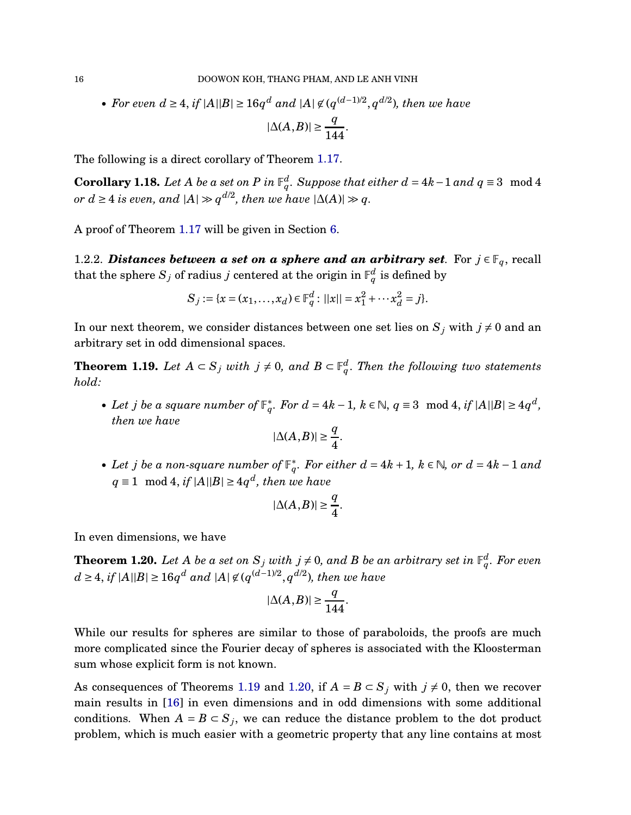• *For even*  $d \geq 4$ , *if*  $|A||B| \geq 16q^d$  *and*  $|A| \not\in (q^{(d-1)/2}, q^{d/2})$ , *then we have*  $|\Delta(A,B)| \geq \frac{q}{14}$ 144 .

The following is a direct corollary of Theorem [1.17.](#page-14-1)

**Corollary 1.18.** Let A be a set on P in  $\mathbb{F}_q^d$ . Suppose that either  $d = 4k-1$  and  $q \equiv 3 \mod 4$ *or*  $d \geq 4$  *is even, and*  $|A| \gg q^{d/2}$ *, then we have*  $|\Delta(A)| \gg q$ *.* 

A proof of Theorem [1.17](#page-14-1) will be given in Section [6.](#page-29-0)

1.2.2. *Distances between a set on a sphere and an arbitrary set.* For  $j \in \mathbb{F}_q$ , recall that the sphere  $S_j$  of radius  $j$  centered at the origin in  $\mathbb{F}_q^d$  is defined by

$$
S_j := \{x = (x_1, \dots, x_d) \in \mathbb{F}_q^d : ||x|| = x_1^2 + \dots + x_d^2 = j\}.
$$

In our next theorem, we consider distances between one set lies on  $S_j$  with  $j \neq 0$  and an arbitrary set in odd dimensional spaces.

<span id="page-15-0"></span>**Theorem 1.19.** *Let*  $A \subset S_j$  *with*  $j \neq 0$ , and  $B \subset \mathbb{F}_q^d$ . Then the following two statements *hold:*

• Let *j* be a square number of  $\mathbb{F}_q^*$ . For  $d = 4k - 1$ ,  $k \in \mathbb{N}$ ,  $q \equiv 3 \mod 4$ , if  $|A||B| \ge 4q^d$ , *then we have*

$$
|\Delta(A,B)| \ge \frac{q}{4}.
$$

• Let *j* be a non-square number of  $\mathbb{F}_q^*$ . For either  $d = 4k + 1$ ,  $k \in \mathbb{N}$ , or  $d = 4k - 1$  and *q* ≡ 1 mod 4, *if*  $|A||B|$  ≥ 4*q*<sup>*d*</sup>, *then we have* 

$$
|\Delta(A,B)| \ge \frac{q}{4}.
$$

In even dimensions, we have

<span id="page-15-1"></span>**Theorem 1.20.** Let A be a set on  $S_j$  with  $j \neq 0$ , and B be an arbitrary set in  $\mathbb{F}_q^d$ . For even *d* ≥ 4, *if*  $|A||B|$  ≥ 16 $q^d$  *and*  $|A|$  ∉  $(q^{(d-1)/2}, q^{d/2})$ *, then we have* 

$$
|\Delta(A,B)| \ge \frac{q}{144}.
$$

While our results for spheres are similar to those of paraboloids, the proofs are much more complicated since the Fourier decay of spheres is associated with the Kloosterman sum whose explicit form is not known.

As consequences of Theorems [1.19](#page-15-0) and [1.20,](#page-15-1) if  $A = B \subset S_j$  with  $j \neq 0$ , then we recover main results in [\[16\]](#page-47-6) in even dimensions and in odd dimensions with some additional conditions. When  $A = B \subset S_j$ , we can reduce the distance problem to the dot product problem, which is much easier with a geometric property that any line contains at most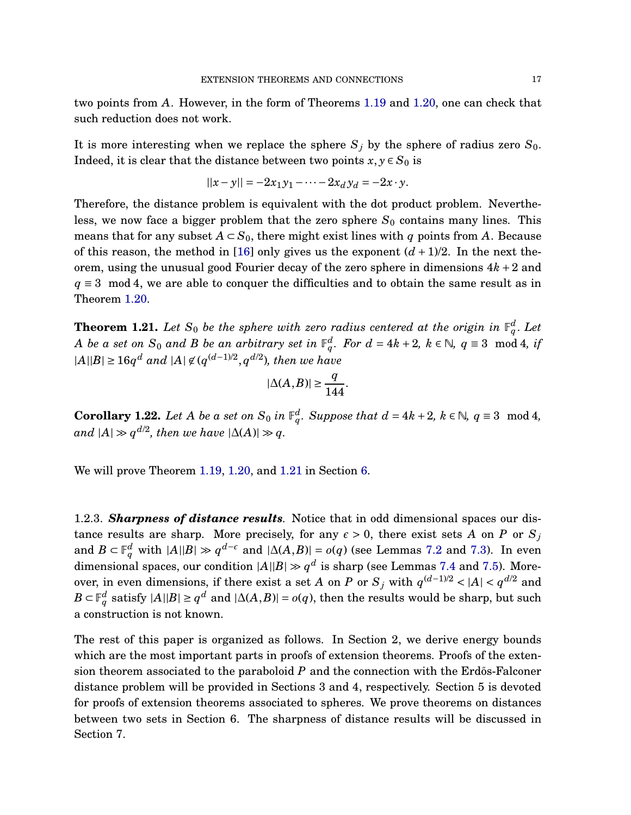two points from *A*. However, in the form of Theorems [1.19](#page-15-0) and [1.20,](#page-15-1) one can check that such reduction does not work.

It is more interesting when we replace the sphere  $S_j$  by the sphere of radius zero  $S_0$ . Indeed, it is clear that the distance between two points  $x, y \in S_0$  is

$$
||x - y|| = -2x_1y_1 - \dots - 2x_dy_d = -2x \cdot y.
$$

Therefore, the distance problem is equivalent with the dot product problem. Nevertheless, we now face a bigger problem that the zero sphere  $S_0$  contains many lines. This means that for any subset  $A \subset S_0$ , there might exist lines with q points from A. Because of this reason, the method in [\[16\]](#page-47-6) only gives us the exponent  $(d+1)/2$ . In the next theorem, using the unusual good Fourier decay of the zero sphere in dimensions 4*k* +2 and  $q \equiv 3 \mod 4$ , we are able to conquer the difficulties and to obtain the same result as in Theorem [1.20.](#page-15-1)

<span id="page-16-0"></span>**Theorem 1.21.** Let  $S_0$  be the sphere with zero radius centered at the origin in  $\mathbb{F}_q^d$ . Let *A be a set on*  $S_0$  *and B be an arbitrary set in*  $\mathbb{F}_q^d$ *. For*  $d = 4k + 2$ *,*  $k \in \mathbb{N}$ *,*  $q \equiv 3 \mod 4$ *, if*  $|A||B| ≥ 16q^d$  *and*  $|A| \not\in (q^{(d-1)/2}, q^{d/2})$ *, then we have* 

$$
|\Delta(A,B)| \ge \frac{q}{144}.
$$

**Corollary 1.22.** *Let A be a set on*  $S_0$  *in*  $\mathbb{F}_q^d$ *. Suppose that*  $d = 4k + 2$ *,*  $k \in \mathbb{N}$ *,*  $q \equiv 3 \mod 4$ *,*  $and$  |A| ≫  $q^{d/2}$ , then we have  $|\Delta(A)| \gg q$ .

We will prove Theorem [1.19,](#page-15-0) [1.20,](#page-15-1) and [1.21](#page-16-0) in Section [6.](#page-29-0)

1.2.3. *Sharpness of distance results.* Notice that in odd dimensional spaces our distance results are sharp. More precisely, for any  $\epsilon > 0$ , there exist sets *A* on *P* or  $S_j$ and  $B \subset \mathbb{F}_q^d$  with  $|A||B| \gg q^{d-\epsilon}$  and  $|\Delta(A,B)| = o(q)$  (see Lemmas [7.2](#page-44-0) and [7.3\)](#page-45-0). In even dimensional spaces, our condition  $|A||B| \gg q^d$  is sharp (see Lemmas [7.4](#page-46-0) and [7.5\)](#page-46-1). Moreover, in even dimensions, if there exist a set *A* on *P* or  $S_j$  with  $q^{(d-1)/2} < |A| < q^{d/2}$  and  $B \subset \mathbb{F}_q^d$  satisfy  $|A||B| \geq q^d$  and  $|\Delta(A,B)| = o(q),$  then the results would be sharp, but such a construction is not known.

The rest of this paper is organized as follows. In Section 2, we derive energy bounds which are the most important parts in proofs of extension theorems. Proofs of the extension theorem associated to the paraboloid  $P$  and the connection with the Erdős-Falconer distance problem will be provided in Sections 3 and 4, respectively. Section 5 is devoted for proofs of extension theorems associated to spheres. We prove theorems on distances between two sets in Section 6. The sharpness of distance results will be discussed in Section 7.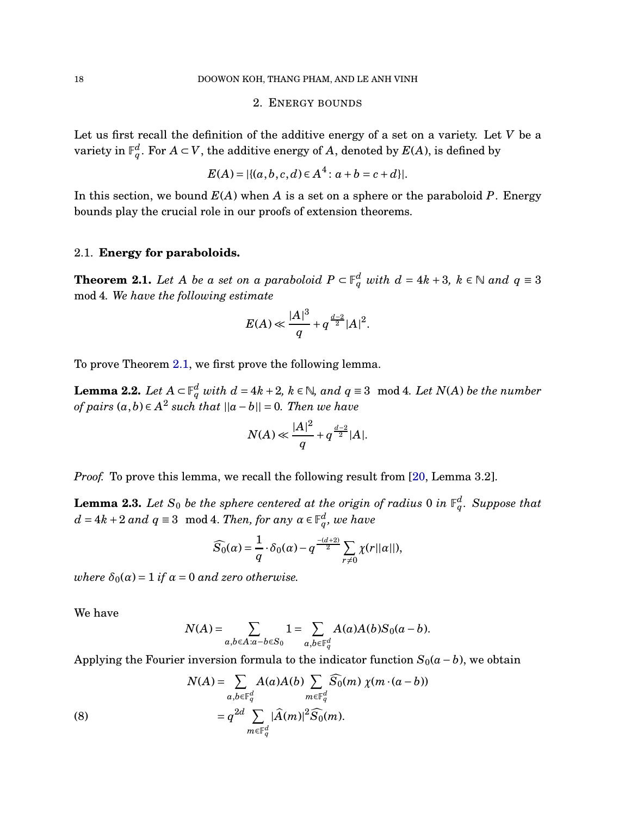## 2. ENERGY BOUNDS

Let us first recall the definition of the additive energy of a set on a variety. Let *V* be a variety in  $\mathbb{F}_q^d$ . For  $A \subset V$ , the additive energy of  $A$ , denoted by  $E(A)$ , is defined by

$$
E(A) = |\{(a, b, c, d) \in A^4 : a + b = c + d\}|.
$$

In this section, we bound *E*(*A*) when *A* is a set on a sphere or the paraboloid *P*. Energy bounds play the crucial role in our proofs of extension theorems.

## 2.1. **Energy for paraboloids.**

<span id="page-17-0"></span>**Theorem 2.1.** *Let A be a set on a paraboloid*  $P \subset \mathbb{F}_q^d$  *with*  $d = 4k + 3$ ,  $k \in \mathbb{N}$  *and*  $q \equiv 3$ mod 4*. We have the following estimate*

$$
E(A) \ll \frac{|A|^3}{q} + q^{\frac{d-2}{2}} |A|^2.
$$

To prove Theorem [2.1,](#page-17-0) we first prove the following lemma.

<span id="page-17-2"></span>**Lemma 2.2.** Let  $A \subset \mathbb{F}_q^d$  with  $d = 4k + 2$ ,  $k \in \mathbb{N}$ , and  $q \equiv 3 \mod 4$ . Let  $N(A)$  be the number *of pairs*  $(a, b) ∈ A^2$  *such that*  $||a - b|| = 0$ *. Then we have* 

$$
N(A) \ll \frac{|A|^2}{q} + q^{\frac{d-2}{2}} |A|.
$$

*Proof.* To prove this lemma, we recall the following result from [\[20,](#page-48-13) Lemma 3.2].

<span id="page-17-1"></span>**Lemma 2.3.** Let  $S_0$  be the sphere centered at the origin of radius 0 in  $\mathbb{F}_q^d$ . Suppose that  $d = 4k + 2$  *and*  $q \equiv 3 \mod 4$ . *Then, for any*  $\alpha \in \mathbb{F}_q^d$ , we have

$$
\widehat{S}_0(\alpha) = \frac{1}{q} \cdot \delta_0(\alpha) - q \frac{-(d+2)}{2} \sum_{r \neq 0} \chi(r||\alpha||),
$$

*where*  $\delta_0(\alpha) = 1$  *if*  $\alpha = 0$  *and zero otherwise.* 

We have

$$
N(A) = \sum_{a,b \in A: a-b \in S_0} 1 = \sum_{a,b \in \mathbb{F}_q^d} A(a)A(b)S_0(a-b).
$$

Applying the Fourier inversion formula to the indicator function  $S_0(a - b)$ , we obtain

(8) 
$$
N(A) = \sum_{a,b \in \mathbb{F}_q^d} A(a)A(b) \sum_{m \in \mathbb{F}_q^d} \widehat{S_0}(m) \chi(m \cdot (a-b))
$$

$$
= q^{2d} \sum_{m \in \mathbb{F}_q^d} |\widehat{A}(m)|^2 \widehat{S_0}(m).
$$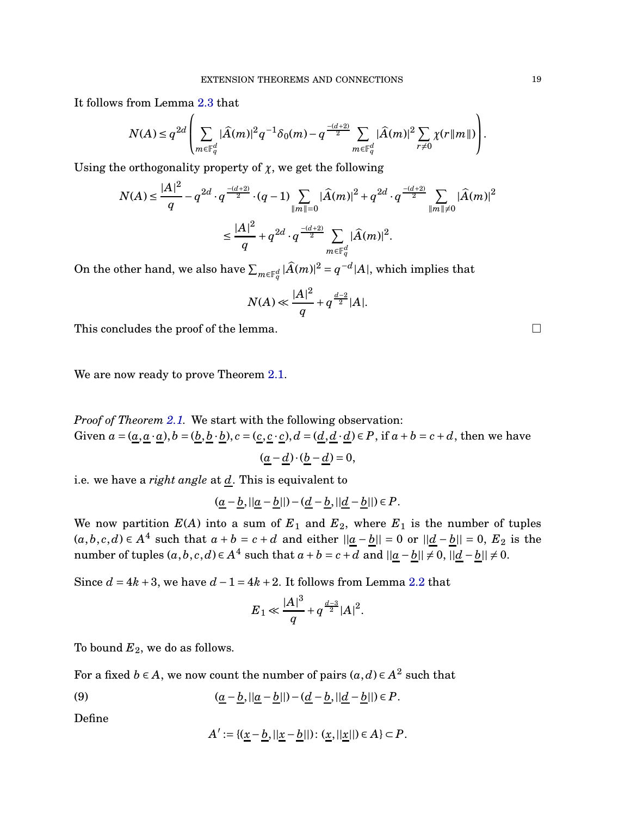It follows from Lemma [2.3](#page-17-1) that

$$
N(A)\leq q^{2d}\left(\sum_{m\in \mathbb F_q^d}|\widehat{A}(m)|^2q^{-1}\delta_0(m)-q^{\frac{-(d+2)}{2}}\sum_{m\in \mathbb F_q^d}|\widehat{A}(m)|^2\sum_{r\neq 0}\chi(r\|m\|)\right).
$$

Using the orthogonality property of  $\chi$ , we get the following

$$
N(A) \le \frac{|A|^2}{q} - q^{2d} \cdot q^{\frac{-(d+2)}{2}} \cdot (q-1) \sum_{\|m\| = 0} |\widehat{A}(m)|^2 + q^{2d} \cdot q^{\frac{-(d+2)}{2}} \sum_{\|m\| \ne 0} |\widehat{A}(m)|^2
$$
  

$$
\le \frac{|A|^2}{q} + q^{2d} \cdot q^{\frac{-(d+2)}{2}} \sum_{m \in \mathbb{F}_q^d} |\widehat{A}(m)|^2.
$$

On the other hand, we also have  $\sum_{m\in \mathbb F_q^d}|\widehat{A}(m)|^2=q^{-d}|A|,$  which implies that

$$
N(A) \ll \frac{|A|^2}{q} + q^{\frac{d-2}{2}} |A|.
$$

This concludes the proof of the lemma.  $\Box$ 

We are now ready to prove Theorem [2.1.](#page-17-0)

*Proof of Theorem [2.1.](#page-17-0)* We start with the following observation: Given  $a = (a, a \cdot a), b = (b, b \cdot b), c = (c, c \cdot c), d = (d, d \cdot d) \in P$ , if  $a + b = c + d$ , then we have

$$
(\underline{a}-\underline{d})\cdot(\underline{b}-\underline{d})=0,
$$

i.e. we have a *right angle* at *d*. This is equivalent to

$$
(\underline{a}-\underline{b},||\underline{a}-\underline{b}||)-(\underline{d}-\underline{b},||\underline{d}-\underline{b}||)\in P.
$$

We now partition  $E(A)$  into a sum of  $E_1$  and  $E_2$ , where  $E_1$  is the number of tuples  $(a, b, c, d) ∈ A<sup>4</sup>$  such that  $a + b = c + d$  and either  $||\underline{a} - \underline{b}|| = 0$  or  $||\underline{d} - \underline{b}|| = 0$ ,  $E_2$  is the number of tuples  $(a, b, c, d) ∈ A<sup>4</sup>$  such that  $a + b = c + d$  and  $||\underline{a} - \underline{b}|| \neq 0$ ,  $||\underline{d} - \underline{b}|| \neq 0$ .

Since  $d = 4k + 3$ , we have  $d - 1 = 4k + 2$ . It follows from Lemma [2.2](#page-17-2) that

$$
{E}_1 \ll \frac{|A|^3}{q} + q^{\frac{d-3}{2}} |A|^2.
$$

To bound  $E_2$ , we do as follows.

For a fixed  $b \in A$ , we now count the number of pairs  $(a,d) \in A^2$  such that

(9) 
$$
(\underline{a} - \underline{b}, ||\underline{a} - \underline{b}||) - (\underline{d} - \underline{b}, ||\underline{d} - \underline{b}||) \in P.
$$

Define

<span id="page-18-0"></span>
$$
A' := \{(\underline{x} - \underline{b}, ||\underline{x} - \underline{b}||): (\underline{x}, ||\underline{x}||) \in A\} \subset P.
$$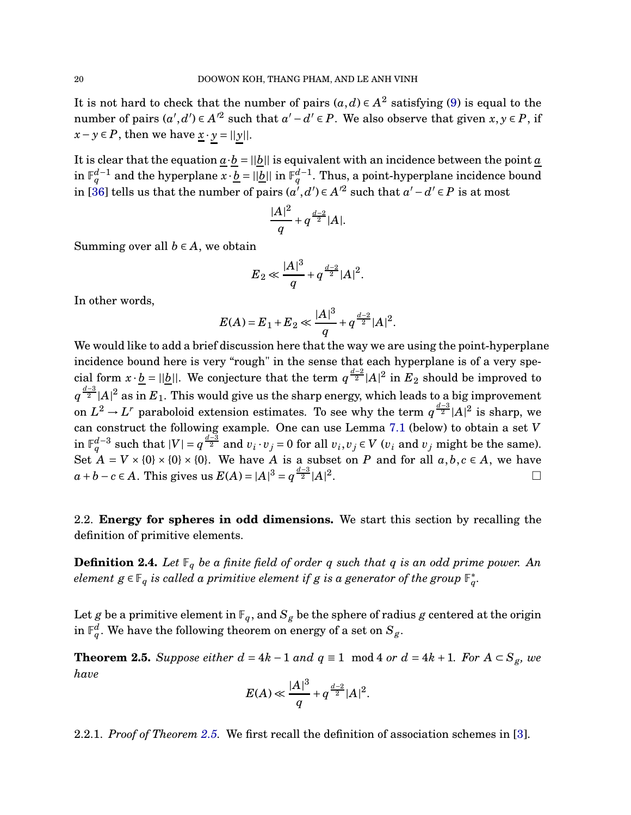It is not hard to check that the number of pairs  $(a,d) \in A^2$  satisfying [\(9\)](#page-18-0) is equal to the number of pairs  $(a', d') \in A'^2$  such that  $a' - d' \in P$ . We also observe that given  $x, y \in P$ , if *x*−*y*∈*P*, then we have  $\underline{x} \cdot \underline{y} = ||y||$ .

It is clear that the equation  $a \cdot b = ||b||$  is equivalent with an incidence between the point *a*  $\inf_{q}^{d-1}$  and the hyperplane  $x \cdot \underline{b} = ||\underline{b}||$  in  $\mathbb{F}_q^{d-1}$ . Thus, a point-hyperplane incidence bound in [\[36\]](#page-48-12) tells us that the number of pairs  $(a', d') \in A'^2$  such that  $a' - d' \in P$  is at most

$$
\frac{|A|^2}{q} + q^{\frac{d-2}{2}}|A|.
$$

Summing over all  $b \in A$ , we obtain

$$
E_2 \ll \frac{|A|^3}{q} + q^{\frac{d-2}{2}} |A|^2.
$$

In other words,

$$
E(A) = E_1 + E_2 \ll \frac{|A|^3}{q} + q^{\frac{d-2}{2}} |A|^2.
$$

We would like to add a brief discussion here that the way we are using the point-hyperplane incidence bound here is very "rough" in the sense that each hyperplane is of a very special form  $x \cdot \underline{b} = ||\underline{b}||$ . We conjecture that the term  $q^{\frac{d-2}{2}}|A|^2$  in  $E_2$  should be improved to  $q^{\frac{d-3}{2}}|A|^2$  as in  $E_1$ . This would give us the sharp energy, which leads to a big improvement on  $L^2 \to L^r$  paraboloid extension estimates. To see why the term  $q^{\frac{d-3}{2}}|A|^2$  is sharp, we can construct the following example. One can use Lemma [7.1](#page-44-1) (below) to obtain a set *V* in  $\mathbb{F}_q^{d-3}$  such that  $|V| = q^{\frac{d-3}{2}}$  and  $v_i \cdot v_j = 0$  for all  $v_i, v_j \in V$   $(v_i$  and  $v_j$  might be the same). Set  $A = V \times \{0\} \times \{0\} \times \{0\}$ . We have *A* is a subset on *P* and for all  $a, b, c \in A$ , we have *a* + *b* − *c* ∈ *A*. This gives us  $E(A) = |A|^3 = q^{\frac{d-3}{2}} |A|^2$ .

2.2. **Energy for spheres in odd dimensions.** We start this section by recalling the definition of primitive elements.

**Definition 2.4.** Let  $\mathbb{F}_q$  be a finite field of order q such that q is an odd prime power. An  $e$ lement  $g \in \mathbb{F}_q$  is called a primitive element if  $g$  is a generator of the group  $\mathbb{F}_q^*.$ 

Let *g* be a primitive element in  $\mathbb{F}_q$ , and  $S_g$  be the sphere of radius *g* centered at the origin in  $\mathbb{F}_q^d$ . We have the following theorem on energy of a set on  $S_g$ .

<span id="page-19-0"></span>**Theorem 2.5.** Suppose either  $d = 4k - 1$  and  $q \equiv 1 \mod 4$  or  $d = 4k + 1$ . For  $A \subset S_g$ , we *have*

$$
E(A) \ll \frac{|A|^3}{q} + q^{\frac{d-2}{2}} |A|^2.
$$

2.2.1. *Proof of Theorem [2.5.](#page-19-0)* We first recall the definition of association schemes in [\[3\]](#page-47-13).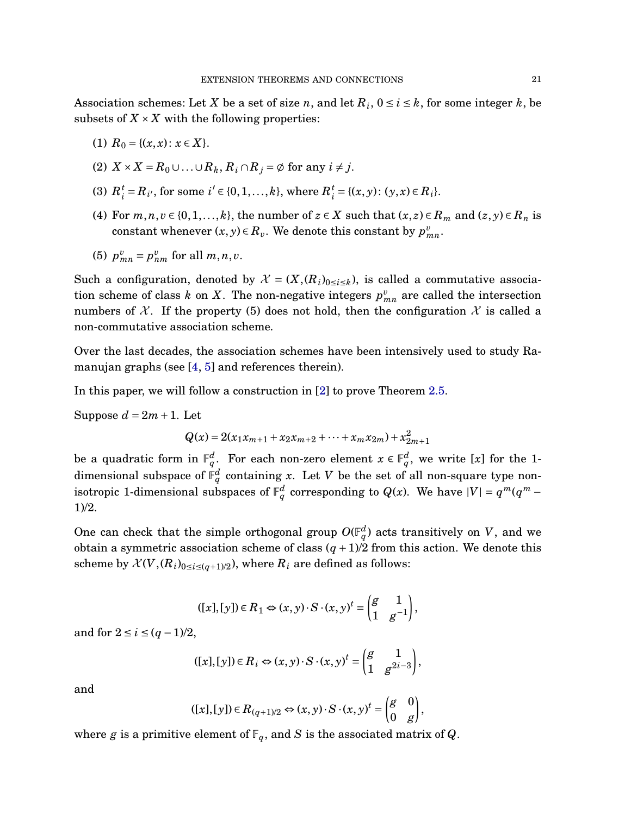Association schemes: Let *X* be a set of size *n*, and let  $R_i$ ,  $0 \le i \le k$ , for some integer *k*, be subsets of  $X \times X$  with the following properties:

- (1)  $R_0 = \{(x, x): x \in X\}.$
- $(X \times X = R_0 \cup \ldots \cup R_k, R_i \cap R_j = \emptyset$  for any  $i \neq j$ .
- (3)  $R_i^t$  $i_l^t = R_{i'}$ , for some  $i' \in \{0, 1, \ldots, k\}$ , where  $R_i^t$  $i_i^t = \{(x, y) : (y, x) \in R_i\}.$
- (4) For  $m, n, v \in \{0, 1, ..., k\}$ , the number of  $z \in X$  such that  $(x, z) \in R_m$  and  $(z, y) \in R_n$  is constant whenever  $(x, y) \in R_v$ . We denote this constant by  $p_{mn}^v$ .
- (5)  $p_{mn}^v = p_{nm}^v$  for all  $m, n, v$ .

Such a configuration, denoted by  $\mathcal{X} = (X, (R_i)_{0 \le i \le k})$ , is called a commutative association scheme of class  $k$  on  $X$ . The non-negative integers  $p_{mn}^v$  are called the intersection numbers of X. If the property (5) does not hold, then the configuration X is called a non-commutative association scheme.

Over the last decades, the association schemes have been intensively used to study Ra-manujan graphs (see [\[4,](#page-47-14) [5\]](#page-47-15) and references therein).

In this paper, we will follow a construction in [\[2\]](#page-47-10) to prove Theorem [2.5.](#page-19-0)

Suppose  $d = 2m + 1$ . Let

$$
Q(x) = 2(x_1x_{m+1} + x_2x_{m+2} + \dots + x_mx_{2m}) + x_{2m+1}^2
$$

be a quadratic form in  $\mathbb{F}_q^d$ . For each non-zero element  $x \in \mathbb{F}_q^d$ , we write [x] for the 1dimensional subspace of  $\mathbb{F}_q^d$  containing *x*. Let  $V$  be the set of all non-square type nonisotropic 1-dimensional subspaces of  $\mathbb{F}_q^d$  corresponding to  $Q(x)$ . We have  $|V| = q^m(q^m -$ 1)/2.

One can check that the simple orthogonal group  $O(\mathbb{F}_q^d)$  acts transitively on  $V$ , and we obtain a symmetric association scheme of class  $(q + 1)/2$  from this action. We denote this scheme by  $\mathcal{X}(V,(R_i)_{0\leq i\leq (q+1)/2})$ , where  $R_i$  are defined as follows:

$$
([x],[y]) \in R_1 \Leftrightarrow (x,y) \cdot S \cdot (x,y)^t = \begin{pmatrix} g & 1 \\ 1 & g^{-1} \end{pmatrix},
$$

and for  $2 \le i \le (q - 1)/2$ ,

$$
([x],[y]) \in R_i \Leftrightarrow (x,y) \cdot S \cdot (x,y)^t = \begin{pmatrix} g & 1 \\ 1 & g^{2i-3} \end{pmatrix},
$$

and

$$
([x],[y]) \in R_{(q+1)/2} \Leftrightarrow (x,y) \cdot S \cdot (x,y)^t = \begin{pmatrix} g & 0 \\ 0 & g \end{pmatrix},
$$

where *g* is a primitive element of  $\mathbb{F}_q$ , and *S* is the associated matrix of *Q*.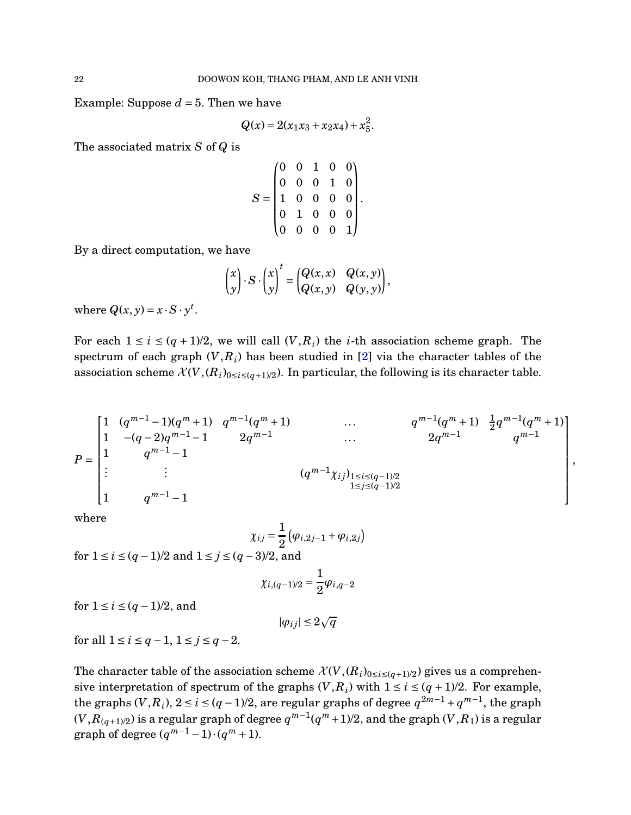Example: Suppose  $d = 5$ . Then we have

$$
Q(x) = 2(x_1x_3 + x_2x_4) + x_5^2.
$$

The associated matrix *S* of *Q* is

$$
S = \begin{pmatrix} 0 & 0 & 1 & 0 & 0 \\ 0 & 0 & 0 & 1 & 0 \\ 1 & 0 & 0 & 0 & 0 \\ 0 & 1 & 0 & 0 & 0 \\ 0 & 0 & 0 & 0 & 1 \end{pmatrix}.
$$

By a direct computation, we have

$$
\begin{pmatrix} x \\ y \end{pmatrix} \cdot S \cdot \begin{pmatrix} x \\ y \end{pmatrix}^t = \begin{pmatrix} Q(x, x) & Q(x, y) \\ Q(x, y) & Q(y, y) \end{pmatrix},
$$

where  $Q(x, y) = x \cdot S \cdot y^t$ .

For each  $1 \le i \le (q + 1)/2$ , we will call  $(V, R_i)$  the *i*-th association scheme graph. The spectrum of each graph  $(V, R_i)$  has been studied in [\[2\]](#page-47-10) via the character tables of the association scheme  $\mathcal{X}(V,(R_i)_{0\leq i\leq (q+1)/2})$ . In particular, the following is its character table.

*P* = 1 (*q <sup>m</sup>*−<sup>1</sup> <sup>−</sup>1)(*<sup>q</sup> <sup>m</sup>* <sup>+</sup>1) *<sup>q</sup> m*−1 (*q <sup>m</sup>* <sup>+</sup>1) ... *<sup>q</sup> m*−1 (*q <sup>m</sup>* <sup>+</sup>1) <sup>1</sup> 2 *q m*−1 (*q <sup>m</sup>* <sup>+</sup>1) 1 −(*q* −2)*q <sup>m</sup>*−<sup>1</sup> <sup>−</sup>1 2*<sup>q</sup> m*−1 ... 2*q <sup>m</sup>*−<sup>1</sup> *q m*−1 1 *q <sup>m</sup>*−<sup>1</sup> <sup>−</sup><sup>1</sup> . . . . . . (*q <sup>m</sup>*−1*χi j*)1≤*i*≤(*q*−1)/2 1≤*j*≤(*q*−1)/2 1 *q <sup>m</sup>*−<sup>1</sup> <sup>−</sup><sup>1</sup> ,

where

$$
\chi_{ij} = \frac{1}{2} \left( \varphi_{i,2j-1} + \varphi_{i,2j} \right)
$$
  
for  $1 \le i \le (q-1)/2$  and  $1 \le j \le (q-3)/2$ , and

$$
\chi_{i,(q-1)/2}=\frac{1}{2}\varphi_{i,q-2}
$$

for  $1 \le i \le (q - 1)/2$ , and

$$
|\varphi_{ij}|\leq 2\sqrt{q}
$$

for all  $1 \le i \le q - 1$ ,  $1 \le j \le q - 2$ .

The character table of the association scheme  $\mathcal{X}(V,(R_i)_{0\leq i\leq (q+1)/2})$  gives us a comprehensive interpretation of spectrum of the graphs  $(V, R_i)$  with  $1 \le i \le (q + 1)/2$ . For example, the graphs  $(V, R_i)$ ,  $2 \le i \le (q - 1)/2$ , are regular graphs of degree  $q^{2m-1} + q^{m-1}$ , the graph  $(V,R_{(q+1)/2})$  is a regular graph of degree  $q^{m-1}(q^m+1)/2$ , and the graph  $(V,R_1)$  is a regular graph of degree  $(q^{m-1}-1)\cdot(q^m+1)$ .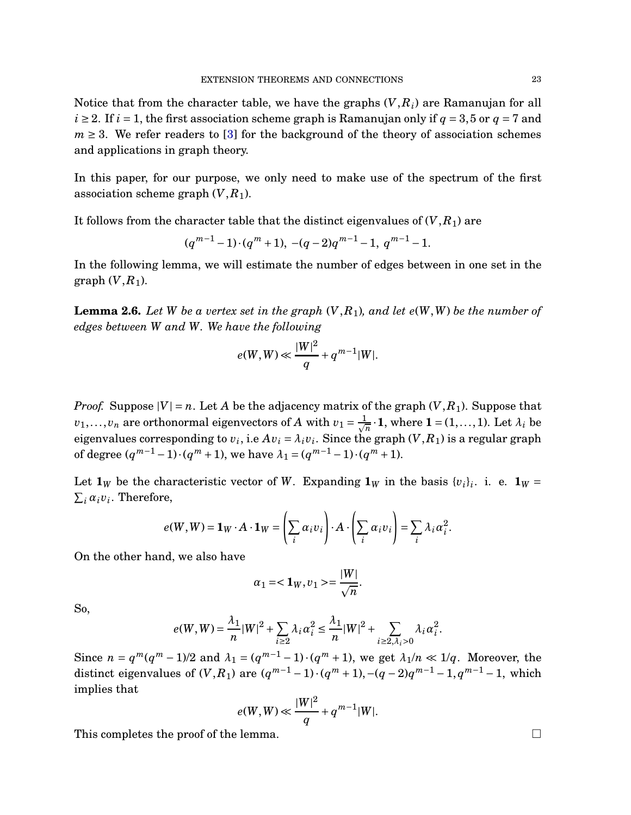Notice that from the character table, we have the graphs (*V*,*Ri*) are Ramanujan for all  $i \geq 2$ . If  $i = 1$ , the first association scheme graph is Ramanujan only if  $q = 3,5$  or  $q = 7$  and  $m \geq 3$ . We refer readers to [\[3\]](#page-47-13) for the background of the theory of association schemes and applications in graph theory.

In this paper, for our purpose, we only need to make use of the spectrum of the first association scheme graph  $(V, R_1)$ .

It follows from the character table that the distinct eigenvalues of  $(V, R_1)$  are

$$
(q^{m-1}-1)\cdot (q^m+1), -(q-2)q^{m-1}-1, q^{m-1}-1.
$$

In the following lemma, we will estimate the number of edges between in one set in the graph  $(V, R_1)$ .

<span id="page-22-0"></span>**Lemma 2.6.** *Let W be a vertex set in the graph* (*V*,*R*1)*, and let e*(*W*,*W*) *be the number of edges between W and W. We have the following*

$$
e(W, W) \ll \frac{|W|^2}{q} + q^{m-1}|W|.
$$

*Proof.* Suppose  $|V| = n$ . Let A be the adjacency matrix of the graph  $(V, R_1)$ . Suppose that  $v_1, \ldots, v_n$  are orthonormal eigenvectors of *A* with  $v_1 = \frac{1}{\sqrt{n}} \cdot \mathbf{1}$ , where  $\mathbf{1} = (1, \ldots, 1)$ . Let  $\lambda_i$  be eigenvalues corresponding to  $v_i$ , i.e  $Av_i = \lambda_i v_i$ . Since the graph  $(V, R_1)$  is a regular graph of degree  $(q^{m-1}-1) \cdot (q^m+1)$ , we have  $\lambda_1 = (q^{m-1}-1) \cdot (q^m+1)$ .

Let  $\mathbf{1}_W$  be the characteristic vector of *W*. Expanding  $\mathbf{1}_W$  in the basis  $\{v_i\}_i$ . i. e.  $\mathbf{1}_W$  =  $\sum_i \alpha_i v_i$ . Therefore,

$$
e(W, W) = \mathbf{1}_W \cdot A \cdot \mathbf{1}_W = \left(\sum_i \alpha_i v_i\right) \cdot A \cdot \left(\sum_i \alpha_i v_i\right) = \sum_i \lambda_i \alpha_i^2.
$$

On the other hand, we also have

$$
\alpha_1 = <\mathbf{1}_W, v_1> = \frac{|W|}{\sqrt{n}}.
$$

So,

$$
e(W,W)=\frac{\lambda_1}{n}|W|^2+\sum_{i\geq 2}\lambda_i\alpha_i^2\leq \frac{\lambda_1}{n}|W|^2+\sum_{i\geq 2,\lambda_i>0}\lambda_i\alpha_i^2.
$$

Since  $n = q^m(q^m - 1)/2$  and  $\lambda_1 = (q^{m-1} - 1) \cdot (q^m + 1)$ , we get  $\lambda_1/n \ll 1/q$ . Moreover, the distinct eigenvalues of  $(V, R_1)$  are  $(q^{m-1} - 1) \cdot (q^m + 1), -(q - 2)q^{m-1} - 1, q^{m-1} - 1$ , which implies that

$$
e(W, W) \ll \frac{|W|^2}{q} + q^{m-1}|W|.
$$

This completes the proof of the lemma.  $\Box$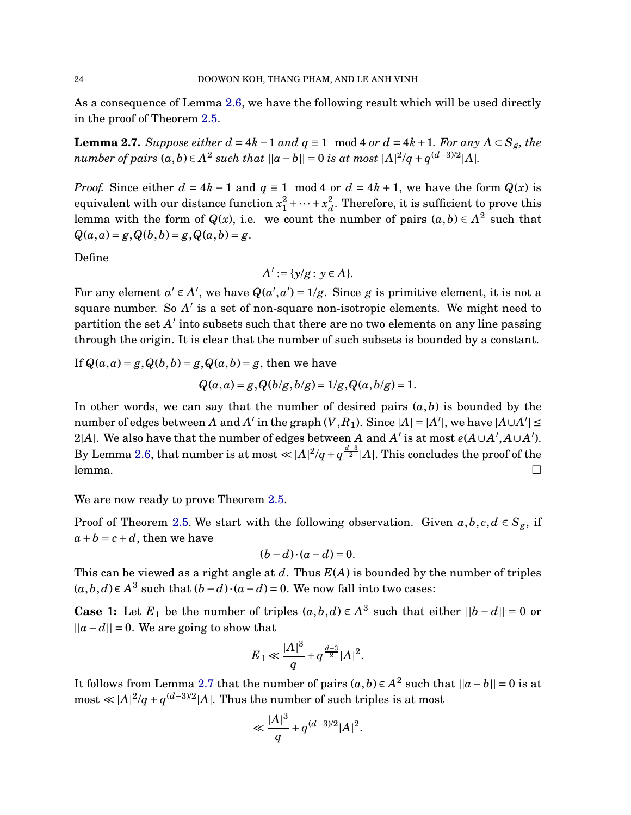As a consequence of Lemma [2.6,](#page-22-0) we have the following result which will be used directly in the proof of Theorem [2.5.](#page-19-0)

<span id="page-23-0"></span>**Lemma 2.7.** *Suppose either*  $d = 4k - 1$  *and*  $q \equiv 1 \mod 4$  *or*  $d = 4k + 1$ *. For any*  $A \subset S_g$ *, the number of pairs*  $(a, b) \in A^2$  *such that*  $||a - b|| = 0$  *is at most*  $|A|^2/q + q^{(d-3)/2}|A|$ *.* 

*Proof.* Since either  $d = 4k - 1$  and  $q \equiv 1 \mod 4$  or  $d = 4k + 1$ , we have the form  $Q(x)$  is equivalent with our distance function *x* 2  $x_1^2 + \cdots + x_d^2$  $\frac{2}{d}$ . Therefore, it is sufficient to prove this lemma with the form of  $Q(x)$ , i.e. we count the number of pairs  $(a, b) \in A^2$  such that  $Q(a, a) = g, Q(b, b) = g, Q(a, b) = g.$ 

Define

$$
A':=\{y/g:\,y\in A\}.
$$

For any element  $a' \in A'$ , we have  $Q(a', a') = 1/g$ . Since *g* is primitive element, it is not a square number. So *A* ′ is a set of non-square non-isotropic elements. We might need to partition the set  $A'$  into subsets such that there are no two elements on any line passing through the origin. It is clear that the number of such subsets is bounded by a constant.

If  $Q(a, a) = g$ ,  $Q(b, b) = g$ ,  $Q(a, b) = g$ , then we have

$$
Q(a,a) = g, Q(b/g, b/g) = 1/g, Q(a, b/g) = 1.
$$

In other words, we can say that the number of desired pairs  $(a, b)$  is bounded by the number of edges between *A* and *A'* in the graph  $(V, R_1)$ . Since  $|A| = |A'|$ , we have  $|A \cup A'| \le$ 2|A|. We also have that the number of edges between  $A$  and  $A'$  is at most  $e(A\cup A',A\cup A').$ By Lemma [2.6,](#page-22-0) that number is at most  $\ll |A|^2/q + q^{\frac{d-3}{2}}|A|$ . This concludes the proof of the  ${\sf lemma.}$  . The contract of the contract of the contract of the contract of the contract of the contract of the contract of the contract of the contract of the contract of the contract of the contract of the contract of the

We are now ready to prove Theorem [2.5.](#page-19-0)

Proof of Theorem [2.5.](#page-19-0) We start with the following observation. Given  $a, b, c, d \in S_g$ , if  $a + b = c + d$ , then we have

$$
(b-d)\cdot (a-d)=0.
$$

This can be viewed as a right angle at *d*. Thus *E*(*A*) is bounded by the number of triples  $(a, b, d) ∈ A<sup>3</sup>$  such that  $(b - d) · (a - d) = 0$ . We now fall into two cases:

**Case** 1: Let  $E_1$  be the number of triples  $(a, b, d) \in A^3$  such that either  $||b - d|| = 0$  or  $||a-d|| = 0$ . We are going to show that

$$
{E}_1\ll \frac{|A|^3}{q}+q^{\frac{d-3}{2}}|A|^2.
$$

It follows from Lemma [2.7](#page-23-0) that the number of pairs  $(a, b) \in A^2$  such that  $||a - b|| = 0$  is at  $\text{most} \ll |A|^2/q + q^{(d-3)/2}|A|$ . Thus the number of such triples is at most

$$
\ll \frac{|A|^3}{q} + q^{(d-3)/2} |A|^2.
$$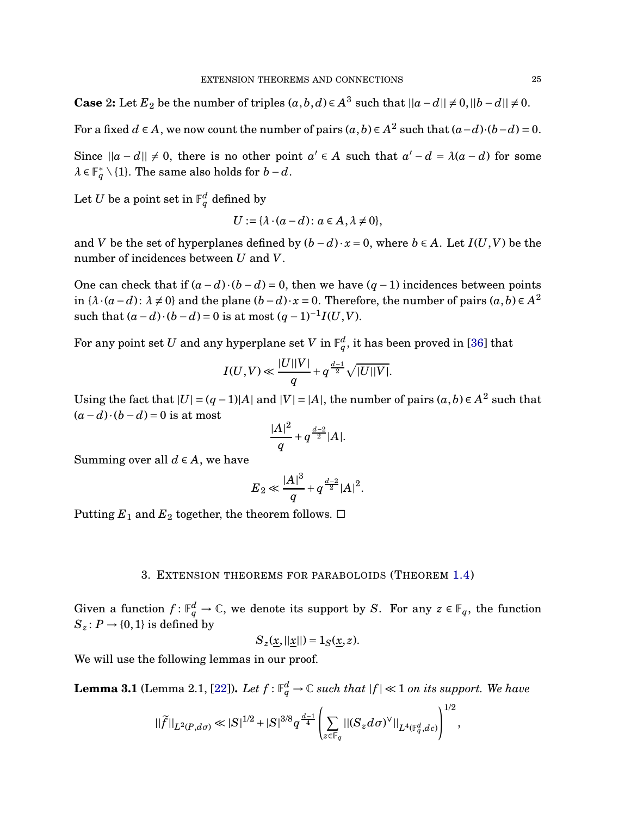**Case** 2: Let  $E_2$  be the number of triples  $(a, b, d) \in A^3$  such that  $||a - d|| \neq 0, ||b - d|| \neq 0$ .

For a fixed  $d \in A$ , we now count the number of pairs  $(a, b) \in A^2$  such that  $(a-d) \cdot (b-d) = 0$ .

Since  $||a-d|| \neq 0$ , there is no other point  $a' \in A$  such that  $a' - d = \lambda(a-d)$  for some  $\lambda \in \mathbb{F}_q^* \setminus \{1\}$ . The same also holds for  $b - d$ .

Let  $U$  be a point set in  $\mathbb{F}_q^d$  defined by

$$
U := \{\lambda \cdot (a - d) \colon a \in A, \lambda \neq 0\},\
$$

and *V* be the set of hyperplanes defined by  $(b-d) \cdot x = 0$ , where  $b \in A$ . Let  $I(U, V)$  be the number of incidences between *U* and *V*.

One can check that if  $(a-d) \cdot (b-d) = 0$ , then we have  $(q-1)$  incidences between points in  $\{\lambda \cdot (a - d) : \lambda \neq 0\}$  and the plane  $(b - d) \cdot x = 0$ . Therefore, the number of pairs  $(a, b) \in A^2$ such that  $(a-d) \cdot (b-d) = 0$  is at most  $(q-1)^{-1}I(U,V)$ .

For any point set  $U$  and any hyperplane set  $V$  in  $\mathbb{F}_q^d$ , it has been proved in [\[36\]](#page-48-12) that

$$
I(U, V) \ll \frac{|U||V|}{q} + q^{\frac{d-1}{2}} \sqrt{|U||V|}.
$$

Using the fact that  $|U| = (q-1)|A|$  and  $|V| = |A|$ , the number of pairs  $(a, b) \in A^2$  such that  $(a-d) \cdot (b-d) = 0$  is at most

$$
\frac{|A|^2}{q} + q^{\frac{d-2}{2}}|A|.
$$

Summing over all  $d \in A$ , we have

$$
{E}_2\ll \frac{|A|^3}{q}+q^{\frac{d-2}{2}}|A|^2.
$$

<span id="page-24-0"></span>Putting  $E_1$  and  $E_2$  together, the theorem follows.  $\Box$ 

## 3. EXTENSION THEOREMS FOR PARABOLOIDS (THEOREM [1.4\)](#page-6-1)

Given a function  $f: \mathbb{F}_q^d \to \mathbb{C}$ , we denote its support by *S*. For any  $z \in \mathbb{F}_q$ , the function  $S_z$ :  $P \rightarrow \{0, 1\}$  is defined by

$$
S_z(\underline{x},||\underline{x}||)=1_S(\underline{x},z).
$$

We will use the following lemmas in our proof.

<span id="page-24-1"></span> ${\bf Lemma~3.1}$  (Lemma 2.1, [\[22\]](#page-48-9)).  $Let \ f: \mathbb{F}_q^d \to \mathbb{C}$  such that  $|f| \ll 1$  on its support. We have

$$
||\widetilde{f}||_{L^2(P, d\sigma)} \ll |S|^{1/2} + |S|^{3/8} q^{\frac{d-1}{4}} \left( \sum_{z \in \mathbb{F}_q} ||(S_z d\sigma)^{\vee}||_{L^4(\mathbb{F}_q^d, dc)} \right)^{1/2},
$$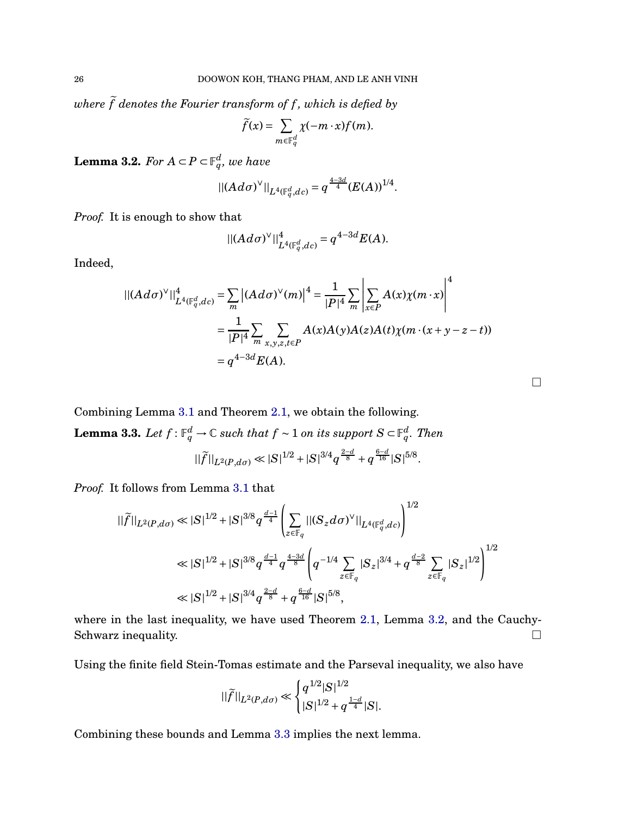*where*  $\tilde{f}$  *denotes the Fourier transform of*  $f$ *, which is defied by* 

$$
\widetilde{f}(x) = \sum_{m \in \mathbb{F}_q^d} \chi(-m \cdot x) f(m).
$$

<span id="page-25-0"></span>**Lemma 3.2.** *For*  $A \subset P \subset \mathbb{F}_q^d$ *, we have* 

$$
|| (Ad\sigma)^{\vee} ||_{L^{4}(\mathbb{F}_{q}^{d},dc)} = q^{\frac{4-3d}{4}} (E(A))^{1/4}.
$$

*Proof.* It is enough to show that

$$
|| (Ad\sigma)^{\vee}||_{L^{4}(\mathbb{F}_{q}^{d},dc)}^{4} = q^{4-3d}E(A).
$$

Indeed,

$$
\begin{split} || (Ad\sigma)^{\vee}||^4_{L^4(\mathbb{F}_q^d, dc)} &= \sum_m \left| (Ad\sigma)^{\vee}(m) \right|^4 = \frac{1}{|P|^4} \sum_m \left| \sum_{x \in P} A(x) \chi(m \cdot x) \right|^4 \\ &= \frac{1}{|P|^4} \sum_{m} \sum_{x, y, z, t \in P} A(x) A(y) A(z) A(t) \chi(m \cdot (x + y - z - t)) \\ &= q^{4-3d} E(A). \end{split}
$$

<span id="page-25-1"></span>Combining Lemma [3.1](#page-24-1) and Theorem [2.1,](#page-17-0) we obtain the following.  ${\bf Lemma~3.3.} \ \ Let \ f: \mathbb{F}_q^d \to \mathbb{C} \ \ such \ that \ f \sim 1 \ on \ its \ support \ S \subset \mathbb{F}_q^d. \ Then$  $||\widetilde{f}||_{L^2(P, d\sigma)} \ll |S|^{1/2} + |S|^{3/4} q^{\frac{2-d}{8}} + q^{\frac{6-d}{16}} |S|^{5/8}.$ 

*Proof.* It follows from Lemma [3.1](#page-24-1) that

$$
\begin{split} ||\widetilde{f}||_{L^{2}(P, d\sigma)} \ll |S|^{1/2} + |S|^{3/8} q^{\frac{d-1}{4}} \left( \sum_{z \in \mathbb{F}_q} ||(S_z d\sigma)^{\vee}||_{L^{4}(\mathbb{F}_q^d, dc)} \right)^{1/2} \\ \ll |S|^{1/2} + |S|^{3/8} q^{\frac{d-1}{4}} q^{\frac{4-3d}{8}} \left( q^{-1/4} \sum_{z \in \mathbb{F}_q} |S_z|^{3/4} + q^{\frac{d-2}{8}} \sum_{z \in \mathbb{F}_q} |S_z|^{1/2} \right)^{1/2} \\ \ll |S|^{1/2} + |S|^{3/4} q^{\frac{2-d}{8}} + q^{\frac{6-d}{16}} |S|^{5/8}, \end{split}
$$

where in the last inequality, we have used Theorem [2.1,](#page-17-0) Lemma [3.2,](#page-25-0) and the Cauchy-Schwarz inequality.  $\Box$ 

Using the finite field Stein-Tomas estimate and the Parseval inequality, we also have

$$
||\widetilde{f}||_{L^2(P, d\sigma)} \ll \begin{cases} q^{1/2}|S|^{1/2} \\ |S|^{1/2} + q^{\frac{1-d}{4}}|S|. \end{cases}
$$

Combining these bounds and Lemma [3.3](#page-25-1) implies the next lemma.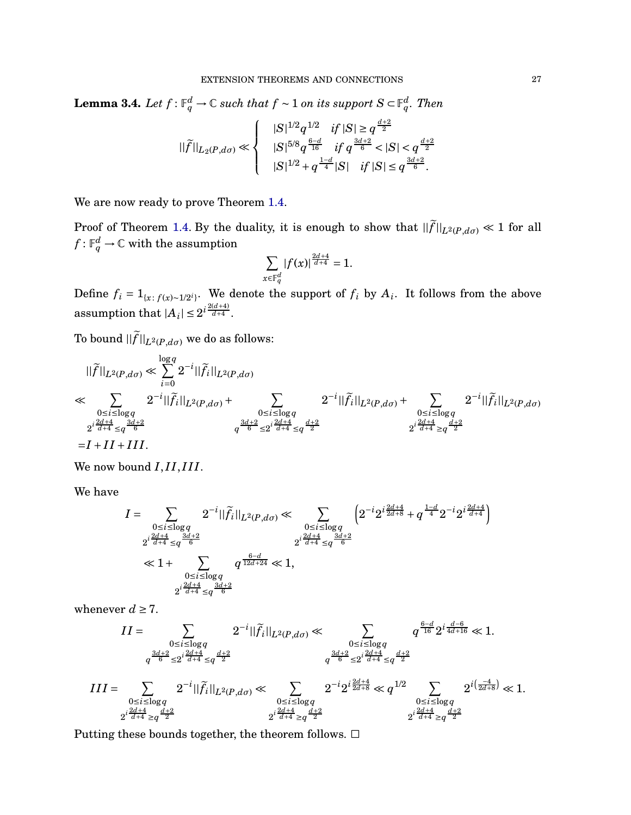$\bf{Lemma 3.4.}$  *Let*  $f: \mathbb{F}_q^d \to \mathbb{C}$  such that  $f \sim 1$  on its support  $S \subset \mathbb{F}_q^d$ . Then

$$
||\widetilde{f}||_{L_2(P, d\sigma)} \ll \left\{ \begin{array}{cc} |S|^{1/2} q^{1/2} & if \, |S| \geq q^{\frac{d+2}{2}} \\ |S|^{5/8} q^{\frac{6-d}{16}} & if \, q^{\frac{3d+2}{6}} < |S| < q^{\frac{d+2}{2}} \\ |S|^{1/2} + q^{\frac{1-d}{4}} |S| & if \, |S| \leq q^{\frac{3d+2}{6}}. \end{array} \right.
$$

We are now ready to prove Theorem [1.4.](#page-6-1)

Proof of Theorem [1.4.](#page-6-1) By the duality, it is enough to show that  $||\tilde{f}||_{L^2(P, d\sigma)} \ll 1$  for all  $f: \mathbb{F}_q^d \to \mathbb{C}$  with the assumption

$$
\sum_{x\in \mathbb F_q^d} |f(x)|^{\frac{2d+4}{d+4}} = 1.
$$

Define  $f_i = 1_{\{x: f(x) \sim 1/2^i\}}$ . We denote the support of  $f_i$  by  $A_i$ . It follows from the above assumption that  $|A_i| \leq 2^{i\frac{2(d+4)}{d+4}}$ .

To bound  $||\tilde{f}||_{L^2(P, d\sigma)}$  we do as follows:

$$
\|\tilde{f}\|_{L^{2}(P, d\sigma)} \ll \sum_{i=0}^{\log q} 2^{-i} \|\tilde{f}_{i}\|_{L^{2}(P, d\sigma)}
$$
  
\n
$$
\ll \sum_{\substack{0 \le i \le \log q \\ 2^{i \frac{2d+4}{d+4}} \le q^{\frac{3d+2}{6}}} 2^{-i} \|\tilde{f}_{i}\|_{L^{2}(P, d\sigma)} + \sum_{\substack{0 \le i \le \log q \\ q^{\frac{3d+2}{6}} \le 2^{i \frac{2d+4}{d+4}} \le q^{\frac{d+2}{2}}}} 2^{-i} \|\tilde{f}_{i}\|_{L^{2}(P, d\sigma)} + \sum_{\substack{0 \le i \le \log q \\ 2^{i \frac{2d+4}{d+4}} \ge q^{\frac{d+2}{2}}}} 2^{-i} \|\tilde{f}_{i}\|_{L^{2}(P, d\sigma)}
$$

We now bound  $I, II, III$ .

We have

$$
I = \sum_{\substack{0 \le i \le \log q \\ 2^{i} \frac{2d+4}{d+4} \le q^{\frac{3d+2}{6}}}} 2^{-i} ||\widetilde{f}_i||_{L^2(P, d\sigma)} \ll \sum_{\substack{0 \le i \le \log q \\ 2^{i} \frac{2d+4}{d+4} \le q^{\frac{3d+2}{6}}}} \left( 2^{-i} 2^{i \frac{2d+4}{2d+8}} + q^{\frac{1-d}{4}} 2^{-i} 2^{i \frac{2d+4}{d+4}} \right)
$$
  
\$\ll 1 + \sum\_{\substack{0 \le i \le \log q \\ 2^{i} \frac{2d+4}{d+4} \le q^{\frac{3d+2}{6}}}} q^{\frac{6-d}{12d+24}} \ll 1,

whenever  $d \geq 7$ .

$$
III = \sum_{\substack{0 \le i \le \log q \\ q^{\frac{3d+2}{6}} \le 2^{i \frac{2d+4}{d+4}} \le q^{\frac{d+2}{2}}}} 2^{-i} ||\tilde{f}_i||_{L^2(P, d\sigma)} \ll \sum_{\substack{0 \le i \le \log q \\ q^{\frac{3d+2}{6}} \le 2^{i \frac{2d+4}{d+4}} \le q^{\frac{d+2}{2}}}} 2^{\frac{i \frac{2d+4}{d+4}}{i \pi}} \ll 1.
$$
  
\n
$$
III = \sum_{\substack{0 \le i \le \log q \\ 2^{i \frac{2d+4}{d+4}} \ge q^{\frac{d+2}{2}}}} 2^{-i} ||\tilde{f}_i||_{L^2(P, d\sigma)} \ll \sum_{\substack{0 \le i \le \log q \\ 2^{i \frac{2d+4}{d+4}} \ge q^{\frac{d+2}{2}}}} 2^{-i} 2^{i \frac{2d+4}{2d+8}} \ll q^{1/2} \sum_{\substack{0 \le i \le \log q \\ 2^{i \frac{2d+4}{d+4}} \ge q^{\frac{d+2}{2}}}} 2^{i \frac{2d+4}{d+4}} \approx 1.
$$

Putting these bounds together, the theorem follows.  $\Box$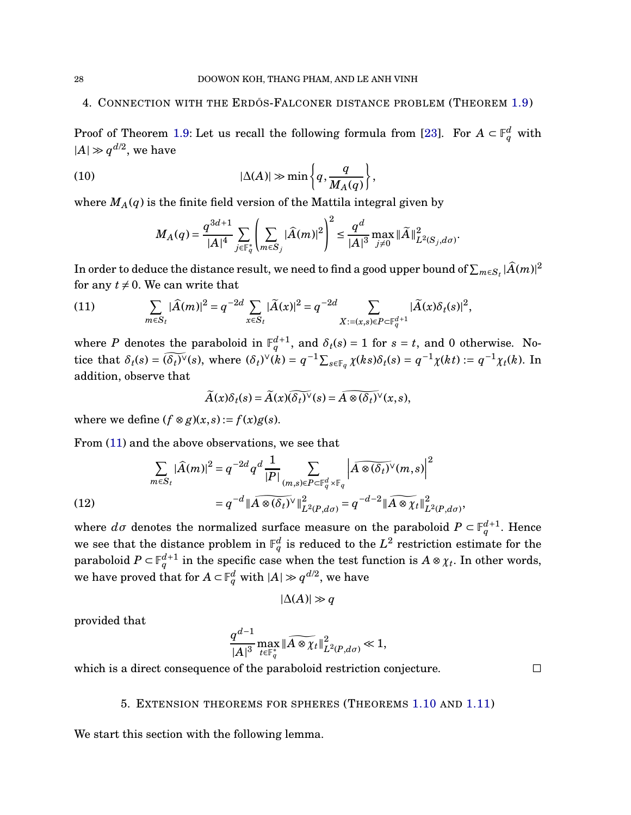## <span id="page-27-0"></span>4. CONNECTION WITH THE ERDOS-FALCONER DISTANCE PROBLEM (THEOREM [1.9\)](#page-9-0)

Proof of Theorem [1.9:](#page-9-0) Let us recall the following formula from [\[23\]](#page-48-16). For  $A \subset \mathbb{F}_q^d$  with  $|A| \gg q^{d/2}$ , we have

(10) 
$$
|\Delta(A)| \gg \min\left\{q, \frac{q}{M_A(q)}\right\},\,
$$

where  $M_A(q)$  is the finite field version of the Mattila integral given by

$$
M_A(q)=\frac{q^{3d+1}}{|A|^4}\sum_{j\in\mathbb{F}_q^*}\left(\sum_{m\in S_j}|\widehat{A}(m)|^2\right)^2\leq\frac{q^d}{|A|^3}\max_{j\neq 0}\|\widetilde{A}\|_{L^2(S_j,d\sigma)}^2
$$

.

In order to deduce the distance result, we need to find a good upper bound of  $\sum_{m\in S_t}|\widehat{A}(m)|^2$ for any  $t \neq 0$ . We can write that

<span id="page-27-2"></span>(11) 
$$
\sum_{m \in S_t} |\widehat{A}(m)|^2 = q^{-2d} \sum_{x \in S_t} |\widetilde{A}(x)|^2 = q^{-2d} \sum_{X:=(x,s) \in P \subset \mathbb{F}_q^{d+1}} |\widetilde{A}(x)\delta_t(s)|^2,
$$

where *P* denotes the paraboloid in  $\mathbb{F}_q^{d+1}$ , and  $\delta_t(s) = 1$  for  $s = t$ , and 0 otherwise. Notice that  $\delta_t(s) = (\widetilde{\delta_t})^{\vee}(s)$ , where  $(\delta_t)^{\vee}(k) = q^{-1} \sum_{s \in \mathbb{F}_q} \chi(ks) \delta_t(s) = q^{-1} \chi(kt) := q^{-1} \chi(t)$ . In addition, observe that

$$
\widetilde{A}(x)\delta_t(s) = \widetilde{A}(x)(\widetilde{\delta_t})^{\vee}(s) = \widetilde{A \otimes (\delta_t)^{\vee}}(x,s),
$$

where we define  $(f \otimes g)(x, s) := f(x)g(s)$ .

From [\(11\)](#page-27-2) and the above observations, we see that

(12) 
$$
\sum_{m \in S_t} |\widehat{A}(m)|^2 = q^{-2d} q^d \frac{1}{|P|} \sum_{(m,s) \in P \subset \mathbb{F}_q^d \times \mathbb{F}_q} \left| \widehat{A \otimes (\delta_t)} \vee (m,s) \right|^2
$$

$$
= q^{-d} \|\widehat{A \otimes (\delta_t)} \vee \|^2_{L^2(P, d\sigma)} = q^{-d-2} \|\widehat{A \otimes \chi_t} \|^2_{L^2(P, d\sigma)},
$$

where  $d\sigma$  denotes the normalized surface measure on the paraboloid  $P \subset \mathbb{F}_q^{d+1}$ . Hence we see that the distance problem in  $\mathbb{F}_q^d$  is reduced to the  $L^2$  restriction estimate for the paraboloid  $P \subset \mathbb{F}_q^{d+1}$  in the specific case when the test function is  $A \otimes \chi_t$ . In other words, we have proved that for  $A \subset \mathbb{F}_q^d$  with  $|A| \gg q^{d/2}$ , we have

$$
|\Delta(A)| \gg q
$$

provided that

$$
\frac{q^{d-1}}{|A|^3}\max_{t\in\mathbb{F}_q^*} \|\widetilde{A\otimes \chi_t}\|_{L^2(P, d\sigma)}^2\ll 1,
$$

<span id="page-27-1"></span>which is a direct consequence of the paraboloid restriction conjecture.  $\Box$ 

## 5. EXTENSION THEOREMS FOR SPHERES (THEOREMS [1.10](#page-10-0) AND [1.11\)](#page-10-1)

We start this section with the following lemma.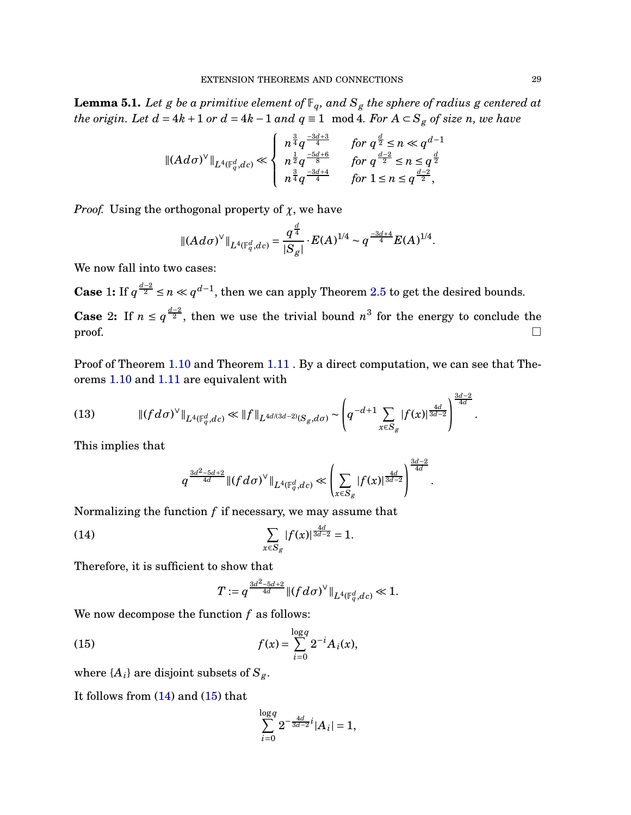<span id="page-28-2"></span>**Lemma 5.1.** *Let g be a primitive element of*  $\mathbb{F}_q$ *, and*  $S_g$  *the sphere of radius g centered at the origin. Let*  $d = 4k + 1$  *or*  $d = 4k - 1$  *and*  $q \equiv 1 \mod 4$ *. For*  $A \subset S_g$  *of size n, we have* 

$$
\|(Ad\sigma)^{\vee}\|_{L^{4}(\mathbb F_q^d, d c)} \ll \left\{ \begin{array}{ll} n^{\frac{3}{4}}q^{\frac{-3d+3}{4}} & \hbox{for $q^{\frac{d}{2}} \leq n \ll q^{d-1}$} \\ n^{\frac{1}{2}}q^{\frac{-5d+6}{8}} & \hbox{for $q^{\frac{d-2}{2}} \leq n \leq q^{\frac{d}{2}}$} \\ n^{\frac{3}{4}}q^{\frac{-3d+4}{4}} & \hbox{for $1 \leq n \leq q^{\frac{d-2}{2}}$,} \end{array} \right.
$$

*Proof.* Using the orthogonal property of *χ*, we have

$$
\|(Ad\sigma)^{\vee}\|_{L^4(\mathbb F_q^d,dc)} = \frac{q^{\frac{d}{4}}}{|S_g|} \cdot E(A)^{1/4} \sim q^{\frac{-3d+4}{4}} E(A)^{1/4}.
$$

We now fall into two cases:

**Case** 1: If  $q^{\frac{d-2}{2}} \le n \ll q^{d-1}$ , then we can apply Theorem [2.5](#page-19-0) to get the desired bounds. **Case** 2: If  $n \leq q^{\frac{d-2}{2}}$ , then we use the trivial bound  $n^3$  for the energy to conclude the  $\Box$ 

Proof of Theorem [1.10](#page-10-0) and Theorem [1.11](#page-10-1) . By a direct computation, we can see that Theorems [1.10](#page-10-0) and [1.11](#page-10-1) are equivalent with

(13) 
$$
\|(fd\sigma)^{\vee}\|_{L^{4}(\mathbb{F}_{q}^{d},dc)} \ll \|f\|_{L^{4d/(3d-2)}(S_{g},d\sigma)} \sim \left(q^{-d+1}\sum_{x \in S_{g}}|f(x)|^{\frac{4d}{3d-2}}\right)^{\frac{3d-2}{4d}}.
$$

This implies that

$$
q^{\frac{3d^2-5d+2}{4d}} \|(fd\sigma)^{\vee}\|_{L^4(\mathbb{F}_q^d,dc)} \ll \left(\sum_{x \in S_g} |f(x)|^{\frac{4d}{3d-2}}\right)^{\frac{3d-2}{4d}}
$$

Normalizing the function *f* if necessary, we may assume that

(14) 
$$
\sum_{x \in S_g} |f(x)|^{\frac{4d}{3d-2}} = 1.
$$

Therefore, it is sufficient to show that

<span id="page-28-1"></span><span id="page-28-0"></span>
$$
T\! q^{\frac{3d^2-5d+2}{4d}}\|(fd\sigma)^{\vee}\|_{L^4(\mathbb F_q^d, d{\hspace{0.025cm}} c)}\!\ll\! 1.
$$

We now decompose the function *f* as follows:

(15) 
$$
f(x) = \sum_{i=0}^{\log q} 2^{-i} A_i(x),
$$

where  $\{A_i\}$  are disjoint subsets of  $S_g$ .

It follows from [\(14\)](#page-28-0) and [\(15\)](#page-28-1) that

$$
\sum_{i=0}^{\log q} 2^{-\frac{4d}{3d-2}i} |A_i| = 1,
$$

3*d*−2

.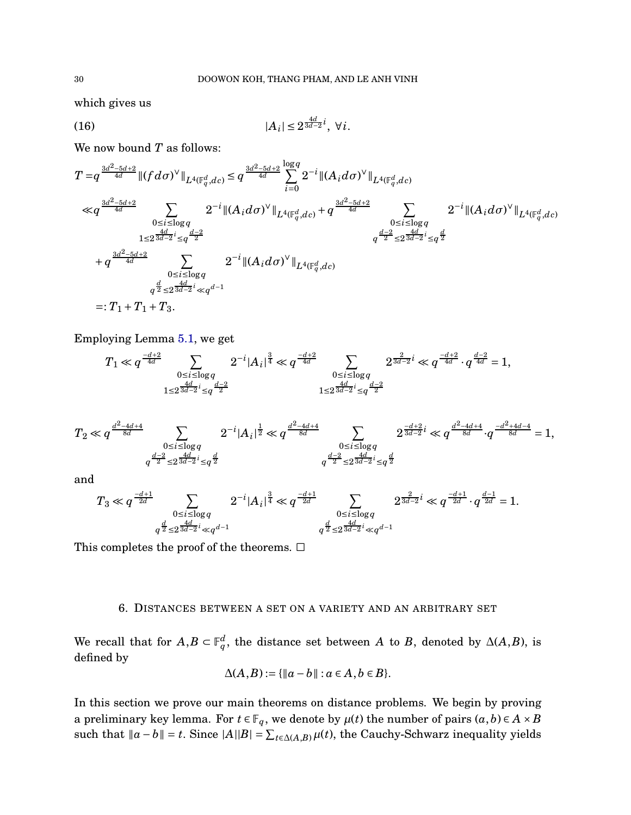which gives us

(16) 
$$
|A_i| \le 2^{\frac{4d}{3d-2}i}, \ \forall i.
$$

We now bound *T* as follows:

$$
T = q^{\frac{3d^2 - 5d + 2}{4d}} \|(fd\sigma)^{\vee}\|_{L^4(\mathbb{F}_q^d, dc)} \leq q^{\frac{3d^2 - 5d + 2}{4d}} \sum_{i=0}^{\log q} 2^{-i} \|(A_i d\sigma)^{\vee}\|_{L^4(\mathbb{F}_q^d, dc)}
$$
  
\n
$$
\ll q^{\frac{3d^2 - 5d + 2}{4d}} \sum_{\substack{0 \leq i \leq \log q \\ 1 \leq 2^{\frac{4d}{3d - 2}i} \leq q^{\frac{d - 2}{2}} \\ 1 \leq 2^{\frac{4d}{3d - 2}i} \leq q^{\frac{d - 2}{2}}} 2^{-i} \|(A_i d\sigma)^{\vee}\|_{L^4(\mathbb{F}_q^d, dc)} + q^{\frac{3d^2 - 5d + 2}{4d}} \sum_{\substack{0 \leq i \leq \log q \\ q^{\frac{d - 2}{2}} \leq 2^{\frac{4d}{3d - 2}i} \leq q^{\frac{d}{2}} \\ + q^{\frac{3d^2 - 5d + 2}{4d}}} \sum_{\substack{0 \leq i \leq \log q \\ 0 \leq i \leq \log q \\ q^{\frac{d}{2}} \leq 2^{\frac{4d}{3d - 2}i} \ll q^{d - 1}}} 2^{-i} \|(A_i d\sigma)^{\vee}\|_{L^4(\mathbb{F}_q^d, dc)}
$$
  
\n
$$
=: T_1 + T_1 + T_3.
$$

Employing Lemma [5.1,](#page-28-2) we get

$$
T_1 \ll q^{\frac{-d+2}{4d}} \sum_{\substack{0 \le i \le \log q \\ 1 \le 2^{\frac{4d}{3d-2}i} \le q^{\frac{d-2}{2}}}} 2^{-i} |A_i|^{\frac{3}{4}} \ll q^{\frac{-d+2}{4d}} \sum_{\substack{0 \le i \le \log q \\ 1 \le 2^{\frac{4d}{3d-2}i} \le q^{\frac{d-2}{2}}}} 2^{\frac{2}{3d-2}i} \ll q^{\frac{-d+2}{4d}} \cdot q^{\frac{d-2}{4d}} = 1,
$$

$$
T_2 \ll q^{\frac{d^2-4d+4}{8d}}\sum_{\substack{0 \leq i \leq \log q \\ q^{\frac{d-2}{2}} \leq 2^{\frac{4d}{3d-2}i} \leq q^{\frac{d}{2}}}} 2^{-i}|A_i|^{\frac{1}{2}} \ll q^{\frac{d^2-4d+4}{8d}}\sum_{\substack{0 \leq i \leq \log q \\ q^{\frac{d-2}{2}} \leq 2^{\frac{4d}{3d-2}i} \leq q^{\frac{d}{2}}}} 2^{\frac{-d+2}{3d-2}i} \ll q^{\frac{d^2-4d+4}{8d}}\cdot q^{\frac{-d^2+4d-4}{8d}} = 1,
$$

and

$$
T_3\ll q^{\frac{-d+1}{2d}}\sum_{\substack{0\leq i\leq \log q\\ q^{\frac{d}{2}}\leq 2^{\frac{4d}{3d-2}i}\ll q^{d-1}}}2^{-i}|A_i|^{\frac{3}{4}}\ll q^{\frac{-d+1}{2d}}\sum_{\substack{0\leq i\leq \log q\\ q^{\frac{d}{2}}\leq 2^{\frac{4d}{3d-2}i}\ll q^{d-1}}}2^{\frac{2}{3d-2}i}\ll q^{\frac{-d+1}{2d}}\cdot q^{\frac{d-1}{2d}}=1.
$$

<span id="page-29-0"></span>This completes the proof of the theorems.  $\Box$ 

## 6. DISTANCES BETWEEN A SET ON A VARIETY AND AN ARBITRARY SET

We recall that for  $A, B \subset \mathbb{F}_q^d$ , the distance set between *A* to *B*, denoted by  $\Delta(A, B)$ , is defined by

$$
\Delta(A,B):=\{\|a-b\|:a\in A,b\in B\}.
$$

In this section we prove our main theorems on distance problems. We begin by proving a preliminary key lemma. For  $t \in \mathbb{F}_q$ , we denote by  $\mu(t)$  the number of pairs  $(a, b) \in A \times B$ such that  $\|a - b\| = t$ . Since  $|A||B| = \sum_{t \in \Delta(A,B)} \mu(t)$ , the Cauchy-Schwarz inequality yields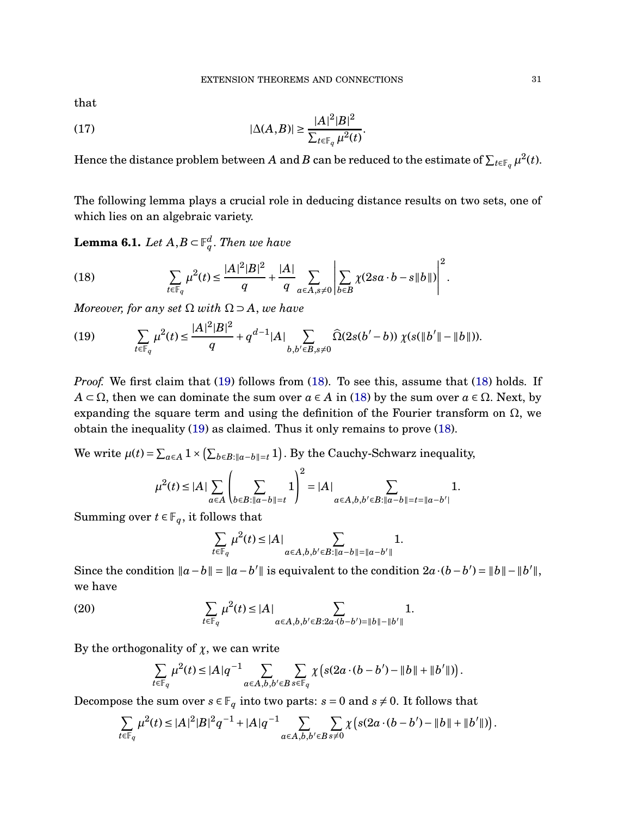that

<span id="page-30-3"></span>(17) 
$$
|\Delta(A,B)| \geq \frac{|A|^2|B|^2}{\sum_{t \in \mathbb{F}_q} \mu^2(t)}.
$$

Hence the distance problem between  $A$  and  $B$  can be reduced to the estimate of  $\sum_{t\in\mathbb{F}_q}\mu^2(t).$ 

The following lemma plays a crucial role in deducing distance results on two sets, one of which lies on an algebraic variety.

<span id="page-30-2"></span> ${\bf Lemma~6.1.}$   $Let$   $A,B \subset \mathbb{F}_q^d.$   $Then$  we have

<span id="page-30-1"></span>(18) 
$$
\sum_{t \in \mathbb{F}_q} \mu^2(t) \le \frac{|A|^2 |B|^2}{q} + \frac{|A|}{q} \sum_{a \in A, s \ne 0} \left| \sum_{b \in B} \chi(2sa \cdot b - s \|b\|) \right|^2.
$$

*Moreover, for any set*  $\Omega$  *with*  $\Omega \supset A$ *, we have* 

<span id="page-30-0"></span>(19) 
$$
\sum_{t \in \mathbb{F}_q} \mu^2(t) \le \frac{|A|^2|B|^2}{q} + q^{d-1}|A| \sum_{b,b' \in B, s \ne 0} \widehat{\Omega}(2s(b'-b)) \chi(s(\|b'\|-\|b\|)).
$$

*Proof.* We first claim that [\(19\)](#page-30-0) follows from [\(18\)](#page-30-1). To see this, assume that [\(18\)](#page-30-1) holds. If  $A \subset \Omega$ , then we can dominate the sum over  $a \in A$  in [\(18\)](#page-30-1) by the sum over  $a \in \Omega$ . Next, by expanding the square term and using the definition of the Fourier transform on  $\Omega$ , we obtain the inequality [\(19\)](#page-30-0) as claimed. Thus it only remains to prove [\(18\)](#page-30-1).

We write  $\mu(t) = \sum_{a \in A} 1 \times (\sum_{b \in B: ||a-b|| = t} 1)$ . By the Cauchy-Schwarz inequality,

$$
\mu^{2}(t) \leq |A| \sum_{a \in A} \left( \sum_{b \in B: \|a-b\| = t} 1 \right)^{2} = |A| \sum_{a \in A, b, b' \in B: \|a-b\| = t = \|a-b'\|} 1.
$$

Summing over  $t \in \mathbb{F}_q$ , it follows that

$$
\sum_{t\in\mathbb F_q}\mu^2(t)\le |A|\sum_{a\in A,b,b'\in B:||a-b||=||a-b'||}1.
$$

Since the condition  $\|a-b\| = \|a-b'\|$  is equivalent to the condition  $2a\cdot(b-b') = \|b\| - \|b'\|$ , we have

(20) 
$$
\sum_{t \in \mathbb{F}_q} \mu^2(t) \le |A| \sum_{a \in A, b, b' \in B: 2a \cdot (b-b') = ||b|| - ||b'||} 1.
$$

By the orthogonality of  $\chi$ , we can write

$$
\sum_{t\in \mathbb F_q}\mu^2(t)\le |A|q^{-1}\sum_{a\in A,b,b'\in B}\sum_{s\in \mathbb F_q}\chi\left(s(2a\cdot (b-b')-\|b\|+\|b'\|)\right).
$$

Decompose the sum over  $s \in \mathbb{F}_q$  into two parts:  $s = 0$  and  $s \neq 0$ . It follows that

$$
\sum_{t\in \mathbb{F}_q} \mu^2(t) \leq |A|^2|B|^2q^{-1} + |A|q^{-1} \sum_{a\in A, b, b'\in B} \sum_{s\neq 0} \chi\left(s(2a\cdot (b-b') - \|b\| + \|b'\|)\right).
$$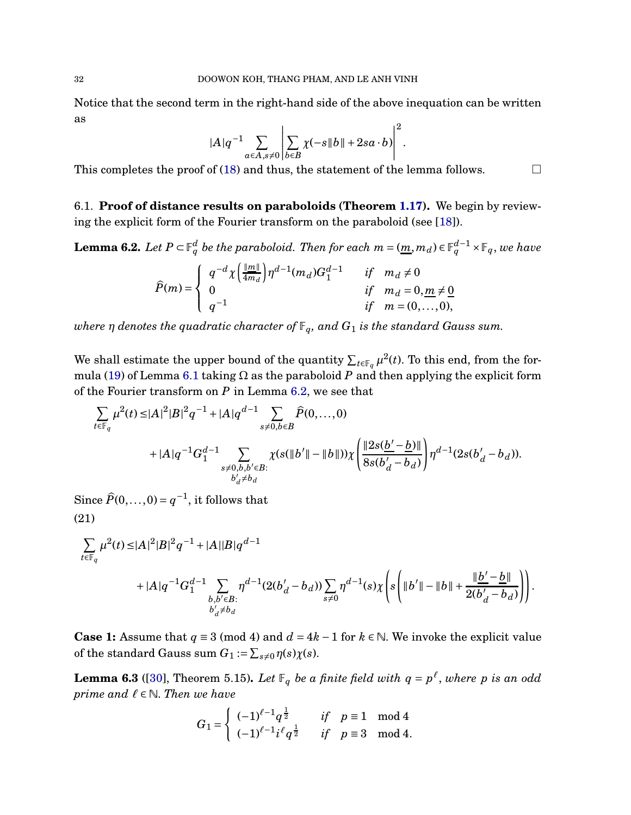Notice that the second term in the right-hand side of the above inequation can be written as

$$
|A|q^{-1}\sum_{a\in A,s\neq 0}\left|\sum_{b\in B}\chi(-s\|b\|+2sa\cdot b)\right|^2.
$$

This completes the proof of [\(18\)](#page-30-1) and thus, the statement of the lemma follows.  $\Box$ 

6.1. **Proof of distance results on paraboloids (Theorem [1.17\)](#page-14-1).** We begin by reviewing the explicit form of the Fourier transform on the paraboloid (see [\[18\]](#page-48-2)).

<span id="page-31-0"></span> ${\bf Lemma 6.2.}$  *Let*  $P\subset \mathbb{F}_q^d$  *be the paraboloid. Then for each*  $m=(\underline{m},m_d)\in \mathbb{F}_q^{d-1}\times \mathbb{F}_q$ *, we have* 

$$
\widehat{P}(m) = \begin{cases}\n q^{-d} \chi \left( \frac{\|m\|}{4m_d} \right) \eta^{d-1} (m_d) G_1^{d-1} & \text{if } m_d \neq 0 \\
0 & \text{if } m_d = 0, \underline{m} \neq \underline{0} \\
q^{-1} & \text{if } m = (0, \dots, 0),\n\end{cases}
$$

*where*  $\eta$  *denotes the quadratic character of*  $\mathbb{F}_q$ *, and*  $G_1$  *is the standard Gauss sum.* 

We shall estimate the upper bound of the quantity  $\sum_{t\in\mathbb{F}_q}\mu^2(t)$ . To this end, from the for-mula [\(19\)](#page-30-0) of Lemma [6.1](#page-30-2) taking  $\Omega$  as the paraboloid P and then applying the explicit form of the Fourier transform on *P* in Lemma [6.2,](#page-31-0) we see that

$$
\sum_{t \in \mathbb{F}_q} \mu^2(t) \le |A|^2 |B|^2 q^{-1} + |A| q^{d-1} \sum_{s \ne 0, b \in B} \widehat{P}(0, \dots, 0)
$$
  
+  $|A| q^{-1} G_1^{d-1} \sum_{\substack{s \ne 0, b, b' \in B:\\b'_d \ne b_d}} \chi(s(\|b'\| - \|b\|)) \chi\left(\frac{\|2s(b' - b)\|}{8s(b'_d - b_d)}\right) \eta^{d-1} (2s(b'_d - b_d)).$ 

<span id="page-31-2"></span>Since  $\widehat{P}(0,...,0) = q^{-1}$ , it follows that (21)

$$
\begin{split} \sum_{t\in \mathbb{F}_q}\mu^2(t)\leq &|A|^2|B|^2q^{-1}+|A||B|q^{d-1}\\ &+|A|q^{-1}G_1^{d-1}\sum_{\substack{b,b'\in B:\\ b'_d\neq b_d}}\eta^{d-1}(2(b'_d-b_d))\sum_{s\neq 0}\eta^{d-1}(s)\chi\left(s\left(\|b'\|-\|b\|+\frac{\|{\underline{b}}'-{\underline{b}}\|}{2(b'_d-b_d)}\right)\right). \end{split}
$$

**Case 1:** Assume that  $q \equiv 3 \pmod{4}$  and  $d = 4k - 1$  for  $k \in \mathbb{N}$ . We invoke the explicit value  $\text{of the standard Gauss sum } G_1 := \sum_{s \neq 0} \eta(s) \chi(s).$ 

<span id="page-31-1"></span>**Lemma 6.3** ([\[30\]](#page-48-19), Theorem 5.15). *Let*  $\mathbb{F}_q$  *be a finite field with*  $q = p^{\ell}$ , *where p is an odd prime and*  $\ell$  ∈ *N. Then we have* 

$$
G_1 = \begin{cases} (-1)^{\ell-1} q^{\frac{1}{2}} & \text{if } p \equiv 1 \mod 4 \\ (-1)^{\ell-1} i^{\ell} q^{\frac{1}{2}} & \text{if } p \equiv 3 \mod 4. \end{cases}
$$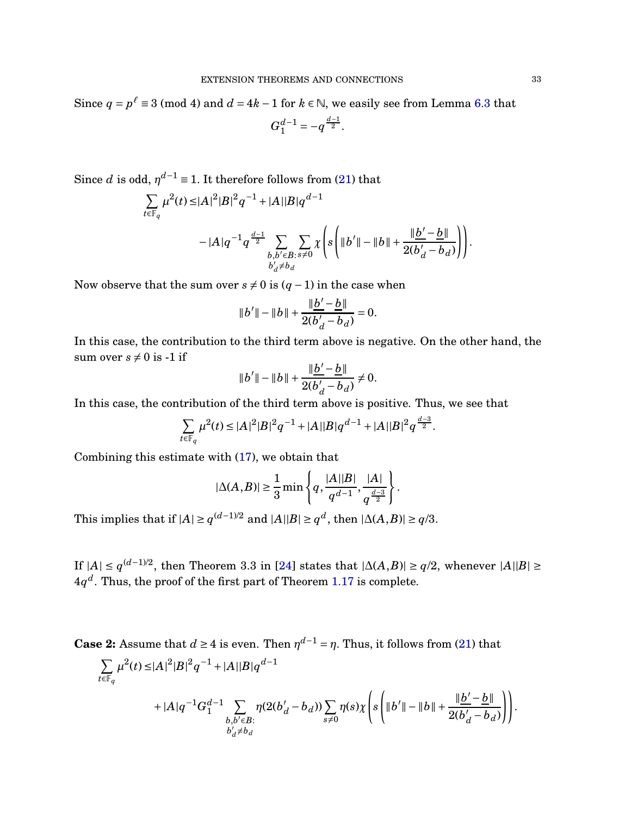Since  $q = p^{\ell} \equiv 3 \pmod{4}$  and  $d = 4k - 1$  for  $k \in \mathbb{N}$ , we easily see from Lemma [6.3](#page-31-1) that

$$
G_1^{d-1} = -q^{\frac{d-1}{2}}.
$$

Since *d* is odd,  $\eta^{d-1} \equiv 1$ . It therefore follows from [\(21\)](#page-31-2) that

$$
\sum_{t \in \mathbb{F}_q} \mu^2(t) \le |A|^2 |B|^2 q^{-1} + |A||B| q^{d-1}
$$
  
-  $|A| q^{-1} q^{\frac{d-1}{2}} \sum_{\substack{b, b' \in B : s \neq 0 \\ b'_d \neq b_d}} \sum_{x \neq 0} \chi \left( s \left( ||b'|| - ||b|| + \frac{||b' - b||}{2(b'_d - b_d)} \right) \right).$ 

Now observe that the sum over  $s \neq 0$  is  $(q-1)$  in the case when

$$
||b'|| - ||b|| + \frac{||b' - b||}{2(b'_d - b_d)} = 0.
$$

In this case, the contribution to the third term above is negative. On the other hand, the sum over  $s \neq 0$  is -1 if

$$
||b'|| - ||b|| + \frac{||b' - b||}{2(b_d' - b_d)} \neq 0.
$$

In this case, the contribution of the third term above is positive. Thus, we see that

$$
\sum_{t \in \mathbb{F}_q} \mu^2(t) \le |A|^2 |B|^2 q^{-1} + |A||B| q^{d-1} + |A||B|^2 q^{\frac{d-3}{2}}.
$$

Combining this estimate with [\(17\)](#page-30-3), we obtain that

$$
|\Delta(A,B)| \ge \frac{1}{3} \min \left\{ q, \frac{|A||B|}{q^{d-1}}, \frac{|A|}{q^{\frac{d-3}{2}}} \right\}.
$$

This implies that if  $|A| \ge q^{(d-1)/2}$  and  $|A||B| \ge q^d$ , then  $|\Delta(A,B)| \ge q/3$ .

If  $|A| \le q^{(d-1)/2}$ , then Theorem 3.3 in [\[24\]](#page-48-20) states that  $|\Delta(A,B)| \ge q/2$ , whenever  $|A||B| \ge$  $4q^d$ . Thus, the proof of the first part of Theorem [1.17](#page-14-1) is complete.

**Case 2:** Assume that  $d \ge 4$  is even. Then  $\eta^{d-1} = \eta$ . Thus, it follows from [\(21\)](#page-31-2) that

$$
\begin{split} \sum_{t\in \mathbb{F}_q}\mu^2(t)\leq &|A|^2|B|^2q^{-1}+|A||B|q^{d-1}\\ &+|A|q^{-1}G_1^{d-1}\sum_{\substack{b,b'\in B:\\ b'_d\neq b_d}}\eta(2(b'_d-b_d))\sum_{s\neq 0}\eta(s)\chi\left(s\left(\|b'\|-\|b\|+\frac{\|{\underline{b}}'-{\underline{b}}\|}{2(b'_d-b_d)}\right)\right). \end{split}
$$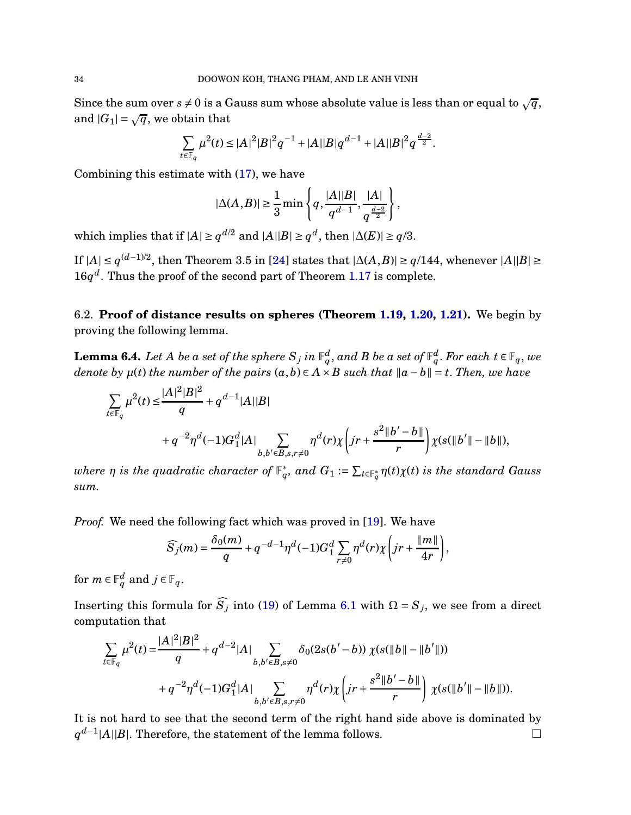Since the sum over  $s \neq 0$  is a Gauss sum whose absolute value is less than or equal to  $\sqrt{q}$ , and  $|G_1| = \sqrt{q}$ , we obtain that

$$
\sum_{t \in \mathbb{F}_q} \mu^2(t) \le |A|^2 |B|^2 q^{-1} + |A||B| q^{d-1} + |A||B|^2 q^{\frac{d-2}{2}}.
$$

Combining this estimate with [\(17\)](#page-30-3), we have

$$
|\Delta(A,B)|\geq \frac{1}{3}\min\left\{q,\frac{|A||B|}{q^{d-1}},\frac{|A|}{q^{\frac{d-2}{2}}}\right\},
$$

which implies that if  $|A| \ge q^{d/2}$  and  $|A||B| \ge q^d$ , then  $|\Delta(E)| \ge q/3$ .

If  $|A| \le q^{(d-1)/2}$ , then Theorem 3.5 in [\[24\]](#page-48-20) states that  $|\Delta(A,B)| \ge q/144$ , whenever  $|A||B| \ge$  $16q^d$ . Thus the proof of the second part of Theorem [1.17](#page-14-1) is complete.

6.2. **Proof of distance results on spheres (Theorem [1.19,](#page-15-0) [1.20,](#page-15-1) [1.21\)](#page-16-0).** We begin by proving the following lemma.

<span id="page-33-0"></span>**Lemma 6.4.** Let  $A$  be a set of the sphere  $S_j$  in  $\mathbb{F}_q^d$ , and  $B$  be a set of  $\mathbb{F}_q^d$ . For each  $t\in\mathbb{F}_q,$  we *denote by*  $\mu(t)$  *the number of the pairs*  $(a, b) \in A \times B$  *such that*  $\|a - b\| = t$ . *Then, we have* 

$$
\sum_{t \in \mathbb{F}_q} \mu^2(t) \le \frac{|A|^2 |B|^2}{q} + q^{d-1} |A||B|
$$
  
+  $q^{-2} \eta^d (-1) G_1^d |A| \sum_{b,b' \in B, s,r \ne 0} \eta^d(r) \chi \left( jr + \frac{s^2 ||b' - b||}{r} \right) \chi(s(||b'|| - ||b||),$ 

 $a$  *where*  $\eta$  *is the quadratic character of*  $\mathbb{F}_q^*$ , and  $G_1 := \sum_{t \in \mathbb{F}_q^*} \eta(t) \chi(t)$  *is the standard Gauss sum.*

*Proof.* We need the following fact which was proved in [\[19\]](#page-48-3). We have

$$
\widehat{S}_j(m) = \frac{\delta_0(m)}{q} + q^{-d-1}\eta^d(-1)G_1^d \sum_{r\neq 0} \eta^d(r)\chi\left(jr+\frac{\|m\|}{4r}\right),\,
$$

for  $m \in \mathbb{F}_q^d$  and  $j \in \mathbb{F}_q$ .

Inserting this formula for  $\widehat{S}_j$  into [\(19\)](#page-30-0) of Lemma [6.1](#page-30-2) with  $\Omega = S_j$ , we see from a direct computation that

$$
\sum_{t \in \mathbb{F}_q} \mu^2(t) = \frac{|A|^2 |B|^2}{q} + q^{d-2} |A| \sum_{b,b' \in B, s \neq 0} \delta_0(2s(b'-b)) \chi(s(\|b\| - \|b'\|))
$$
  
+  $q^{-2} \eta^d(-1) G_1^d |A| \sum_{b,b' \in B, s,r \neq 0} \eta^d(r) \chi\left(jr + \frac{s^2 \|b'-b\|}{r}\right) \chi(s(\|b'\| - \|b\|)).$ 

It is not hard to see that the second term of the right hand side above is dominated by  $q^{d-1}$ |*A*||*B*|. Therefore, the statement of the lemma follows. □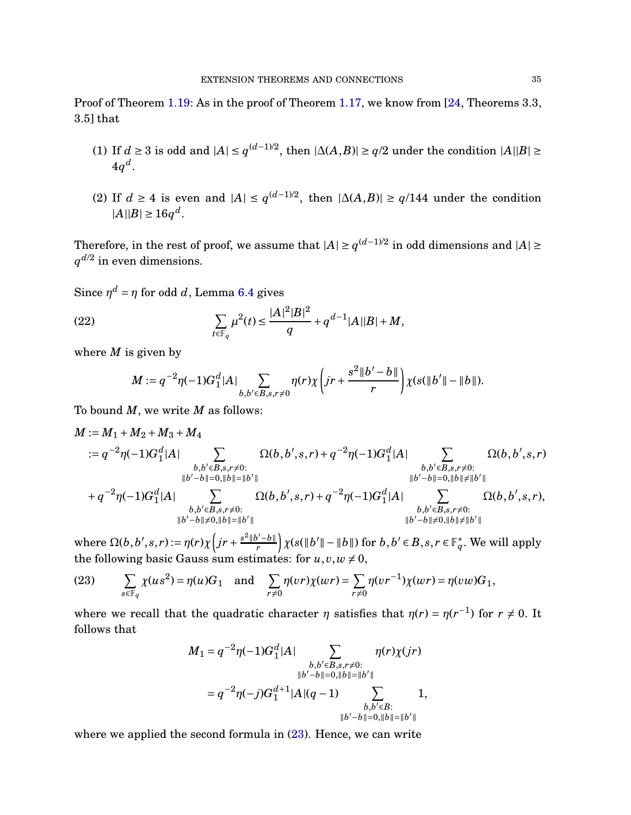Proof of Theorem [1.19:](#page-15-0) As in the proof of Theorem [1.17,](#page-14-1) we know from [\[24,](#page-48-20) Theorems 3.3, 3.5] that

- (1) If *d* ≥ 3 is odd and  $|A| \le q^{(d-1)/2}$ , then  $|\Delta(A,B)| \ge q/2$  under the condition  $|A||B| \ge$  $4q^d$ .
- (2) If *d* ≥ 4 is even and  $|A|$  ≤  $q^{(d-1)/2}$ , then  $|\Delta(A,B)| \geq q/144$  under the condition  $|A||B| \ge 16q^d$ .

Therefore, in the rest of proof, we assume that  $|A| \ge q^{(d-1)/2}$  in odd dimensions and  $|A| \ge$  $q^{d/2}$  in even dimensions.

Since  $\eta^d = \eta$  for odd *d*, Lemma [6.4](#page-33-0) gives

(22) 
$$
\sum_{t \in \mathbb{F}_q} \mu^2(t) \le \frac{|A|^2|B|^2}{q} + q^{d-1}|A||B| + M,
$$

where *M* is given by

<span id="page-34-1"></span>
$$
M:=q^{-2}\eta(-1)G_1^d|A|\sum_{b,b'\in B,s,r\neq 0}\eta(r)\chi\left(jr+\frac{s^2\|b'-b\|}{r}\right)\chi(s(\|b'\|-\|b\|).
$$

To bound *M*, we write *M* as follows:

$$
M := M_1 + M_2 + M_3 + M_4
$$
  
\n
$$
:= q^{-2} \eta(-1)G_1^d|A| \sum_{\substack{b,b' \in B, s,r \neq 0:\\|b'-b||=0,||b||=||b'|}} \Omega(b,b',s,r) + q^{-2} \eta(-1)G_1^d|A| \sum_{\substack{b,b' \in B, s,r \neq 0:\\|b'-b||=0,||b||=||b'|}} \Omega(b,b',s,r) + q^{-2} \eta(-1)G_1^d|A| \sum_{\substack{b,b' \in B, s,r \neq 0:\\|b'-b||=0,||b||=||b'|}} \Omega(b,b',s,r) + q^{-2} \eta(-1)G_1^d|A| \sum_{\substack{b,b' \in B, s,r \neq 0:\\|b'-b||\neq 0,||b||=||b'|}} \Omega(b,b',s,r),
$$

 $\text{where } \Omega(b,b',s,r) := \eta(r) \chi\left(jr + \frac{s^2\|b'-b\|}{r}\right)$  $\int \chi(s(\Vert b' \Vert - \Vert b \Vert) \text{ for } b, b' \in B, s, r \in \mathbb{F}_q^*. \text{ We will apply }$ the following basic Gauss sum estimates: for  $u, v, w \neq 0$ ,

<span id="page-34-0"></span>(23) 
$$
\sum_{s\in\mathbb{F}_q}\chi(us^2)=\eta(u)G_1 \text{ and } \sum_{r\neq 0}\eta(vr)\chi(wr)=\sum_{r\neq 0}\eta(vr^{-1})\chi(wr)=\eta(vw)G_1,
$$

where we recall that the quadratic character  $\eta$  satisfies that  $\eta(r) = \eta(r^{-1})$  for  $r \neq 0$ . It follows that

$$
M_1 = q^{-2}\eta(-1)G_1^d|A| \sum_{\substack{b,b' \in B, s,r \neq 0:\\ \|b'-b\| = 0, \|b\| = \|b'\| \\ b,b' \in B:\\ \|b'-b\| = 0, \|b\| = \|b'\|}} \eta(r)\chi(jr)
$$
  
=  $q^{-2}\eta(-j)G_1^{d+1}|A|(q-1) \sum_{\substack{b,b' \in B:\\ \|b'-b\| = 0, \|b\| = \|b'\|}} 1,$ 

where we applied the second formula in  $(23)$ . Hence, we can write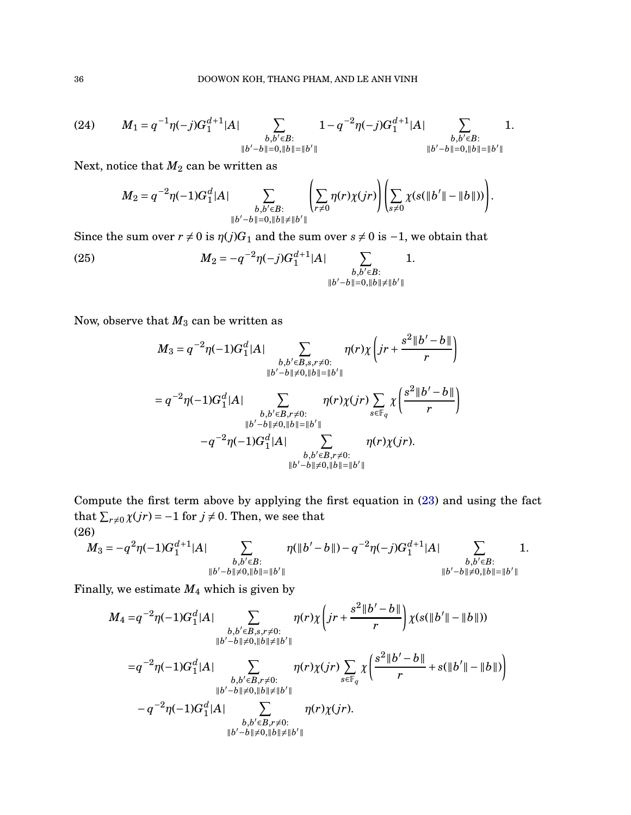<span id="page-35-0"></span>(24) 
$$
M_{1} = q^{-1}\eta(-j)G_{1}^{d+1}|A| \sum_{\substack{b,b' \in B:\\ \|b'-b\| = 0, \|b\| = \|b'\|}} 1 - q^{-2}\eta(-j)G_{1}^{d+1}|A| \sum_{\substack{b,b' \in B:\\ \|b'-b\| = 0, \|b\| = \|b'\|}} 1.
$$

Next, notice that  $M_2$  can be written as

$$
M_2 = q^{-2}\eta(-1)G_1^d|A| \sum_{\substack{b,b' \in B:\\ \|b'-b\|=0, \|b\| \neq \|b'\|}} \left( \sum_{r \neq 0} \eta(r)\chi(jr) \right) \left( \sum_{s \neq 0} \chi(s(\|b'\| - \|b\|)) \right).
$$

Since the sum over  $r \neq 0$  is  $\eta(j)G_1$  and the sum over  $s \neq 0$  is  $-1$ , we obtain that

(25) 
$$
M_2 = -q^{-2}\eta(-j)G_1^{d+1}|A| \sum_{\substack{b,b'\in B:\\ \|b'-b\|=0, \|b\|\neq \|b'\|}} 1.
$$

Now, observe that  $M_3$  can be written as

<span id="page-35-1"></span>
$$
M_3 = q^{-2} \eta(-1)G_1^d|A| \sum_{\substack{b,b' \in B, s,r \neq 0:\\|b'-b|| \neq 0, \|b\| = \|b'\|}} \eta(r) \chi\left(jr + \frac{s^2||b'-b||}{r}\right)
$$
  

$$
= q^{-2} \eta(-1)G_1^d|A| \sum_{\substack{b,b' \in B, r \neq 0:\\|b'-b|| \neq 0, \|b\| = \|b'\|\\-q^{-2} \eta(-1)G_1^d|A|}} \eta(r) \chi(jr) \sum_{s \in \mathbb{F}_q} \chi\left(\frac{s^2||b'-b||}{r}\right)
$$
  

$$
-q^{-2} \eta(-1)G_1^d|A| \sum_{\substack{b,b' \in B, r \neq 0:\\|b'-b|| \neq 0, \|b\| = \|b'\|}} \eta(r) \chi(jr).
$$

Compute the first term above by applying the first equation in [\(23\)](#page-34-0) and using the fact that  $\sum_{r\neq 0} \chi(jr) = -1$  for  $j \neq 0$ . Then, we see that (26)

<span id="page-35-2"></span>
$$
M_3 = -q^2 \eta(-1) G_1^{d+1} |A| \sum_{\substack{b,b' \in B:\\ \|b'-b\| \neq 0, \|b\| = \|b'\|}} \eta(\|b'-b\|) - q^{-2} \eta(-j) G_1^{d+1} |A| \sum_{\substack{b,b' \in B:\\ \|b'-b\| \neq 0, \|b\| = \|b'\|}} 1.
$$

Finally, we estimate *M*<sup>4</sup> which is given by

$$
M_4 = q^{-2} \eta(-1)G_1^d|A| \sum_{\substack{b,b' \in B,s,r \neq 0:\\ \|b'-b\| \neq 0, \|b\| \neq \|b'\|}} \eta(r)\chi\left(jr + \frac{s^2\|b'-b\|}{r}\right)\chi(s(\|b'\| - \|b\|))
$$
  

$$
= q^{-2} \eta(-1)G_1^d|A| \sum_{\substack{b,b' \in B,r \neq 0:\\ \|b'-b\| \neq 0, \|b\| \neq \|b'\|}} \eta(r)\chi(jr) \sum_{s \in \mathbb{F}_q} \chi\left(\frac{s^2\|b'-b\|}{r} + s(\|b'\| - \|b\|)\right)
$$
  

$$
-q^{-2} \eta(-1)G_1^d|A| \sum_{\substack{b,b' \in B,r \neq 0:\\ \|b'-b\| \neq 0, \|b\| \neq \|b'\|}} \eta(r)\chi(jr).
$$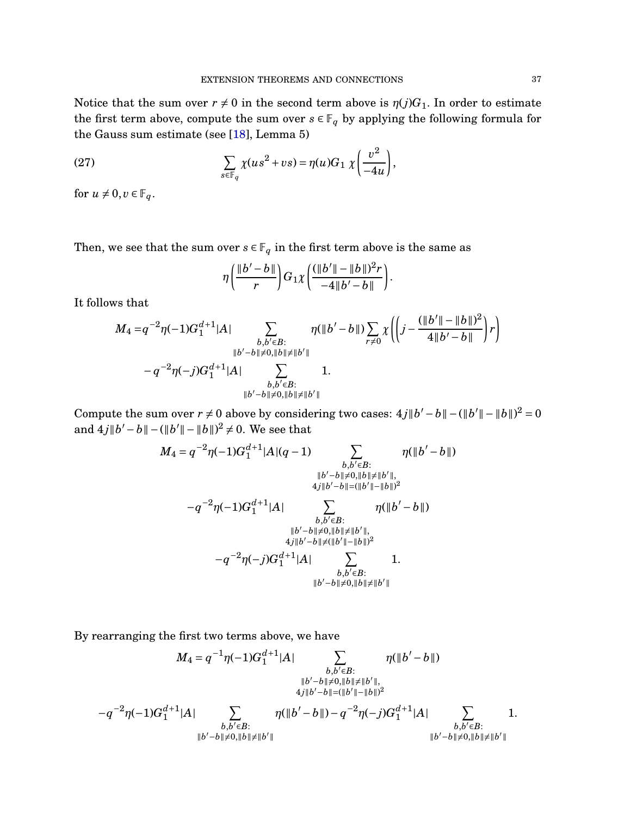Notice that the sum over  $r \neq 0$  in the second term above is  $\eta(j)G_1$ . In order to estimate the first term above, compute the sum over  $s \in \mathbb{F}_q$  by applying the following formula for the Gauss sum estimate (see [\[18\]](#page-48-2), Lemma 5)

(27) 
$$
\sum_{s \in \mathbb{F}_q} \chi(us^2 + vs) = \eta(u)G_1 \chi\left(\frac{v^2}{-4u}\right),
$$

for  $u \neq 0, v \in \mathbb{F}_q$ .

Then, we see that the sum over  $s \in \mathbb{F}_q$  in the first term above is the same as

<span id="page-36-0"></span>
$$
\eta\left(\frac{\|b'-b\|}{r}\right)G_1\chi\left(\frac{(\|b'\|-\|b\|)^2r}{-4\|b'-b\|}\right).
$$

It follows that

$$
M_4 = q^{-2}\eta(-1)G_1^{d+1}|A| \sum_{\substack{b,b' \in B:\\ \|b'-b\| \neq 0, \|b\| \neq \|b'\|}} \eta(\|b'-b\|) \sum_{r \neq 0} \chi\left(\left(j - \frac{(\|b'\| - \|b\|)^2}{4\|b' - b\|}\right)r\right) - q^{-2}\eta(-j)G_1^{d+1}|A| \sum_{\substack{b,b' \in B:\\ \|b'-b\| \neq 0, \|b\| \neq \|b'\|}} 1.
$$

Compute the sum over  $r \neq 0$  above by considering two cases:  $4j||b'-b|| - (||b'|| - ||b||)^2 = 0$ and  $4j||b'-b|| - (||b'|| - ||b||)^2 \neq 0$ . We see that

$$
M_4 = q^{-2}\eta(-1)G_1^{d+1}|A|(q-1) \sum_{\substack{b,b' \in B:\\ \|b'-b\| \neq 0, \|b\| \neq \|b'\|, \\ 4j\|b'-b\| = (\|b'\|-\|b\|)^2}} \eta(\|b'-b\|)
$$

$$
-q^{-2}\eta(-1)G_1^{d+1}|A| \sum_{\substack{b,b' \in B:\\ \|b'-b\| \neq 0, \|b\| \neq \|b'\|, \\ 4j\|b'-b\| \neq 0, \|b\| \neq \|b'\|, \\ 4j\|b'-b\| \neq ( \|b'\|-\|b\|)^2}} \eta(\|b'-b\|)
$$

$$
-q^{-2}\eta(-j)G_1^{d+1}|A| \sum_{\substack{b,b' \in B:\\ \|b'-b\| \neq 0, \|b\| \neq \|b'\| \\ b,b' \in B; \\ \|b'-b\| \neq 0, \|b\| \neq \|b'\|}} 1.
$$

By rearranging the first two terms above, we have

$$
M_4 = q^{-1}\eta(-1)G_1^{d+1}|A| \sum_{\substack{b,b' \in B:\\ ||b' - b|| \neq 0, ||b|| \neq ||b'||, \\ 4j||b' - b|| = (||b'|| - ||b||)^2}} \eta(||b' - b||)
$$
  

$$
-q^{-2}\eta(-1)G_1^{d+1}|A| \sum_{\substack{b,b' \in B:\\ ||b' - b|| \neq 0, ||b|| \neq ||b'||}} \eta(||b' - b||) - q^{-2}\eta(-j)G_1^{d+1}|A| \sum_{\substack{b,b' \in B:\\ ||b' - b|| \neq 0, ||b|| \neq ||b'||}} 1.
$$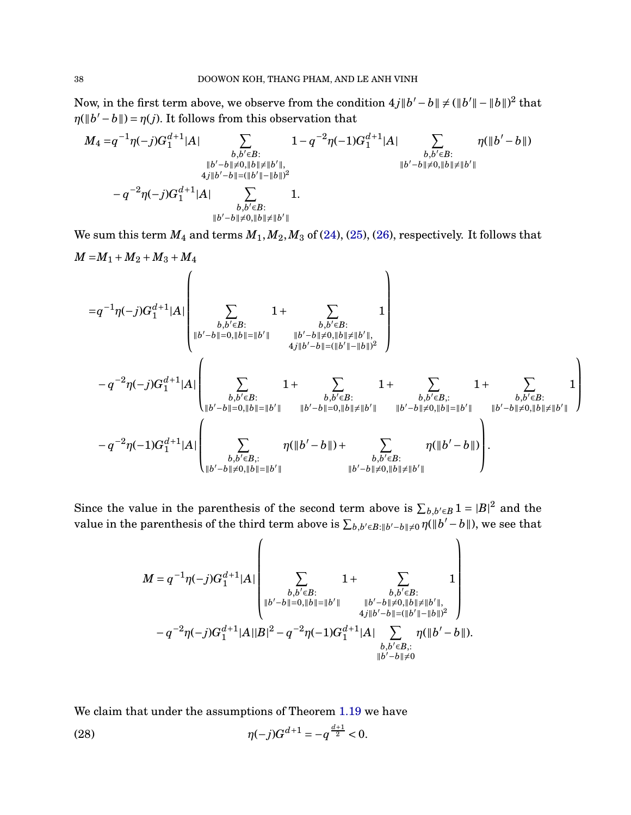Now, in the first term above, we observe from the condition  $4j||b'-b|| \neq (||b'|| - ||b||)^2$  that  $\eta(\Vert b' - b \Vert) = \eta(j)$ . It follows from this observation that

$$
M_4 = q^{-1}\eta(-j)G_1^{d+1}|A| \sum_{\substack{b,b' \in B:\\ \|b'-b\| \neq 0, \|b\| \neq \|b'\|, \\ 4j\|b'-b\| = (\|b'\| - \|b\|)^2}} 1 - q^{-2}\eta(-1)G_1^{d+1}|A| \sum_{\substack{b,b' \in B:\\ \|b'-b\| \neq 0, \|b\| \neq \|b'\| \\ b,b' \in B}} \eta(\|b'-b\|) \\ = q^{-2}\eta(-j)G_1^{d+1}|A| \sum_{\substack{b,b' \in B:\\ \|b'-b\| \neq 0, \|b\| \neq \|b'\|}} 1.
$$

We sum this term  $M_4$  and terms  $M_1, M_2, M_3$  of [\(24\)](#page-35-0), [\(25\)](#page-35-1), [\(26\)](#page-35-2), respectively. It follows that  $M = M_1 + M_2 + M_3 + M_4$ 

$$
=q^{-1}\eta(-j)G_1^{d+1}|A|\left(\sum_{\substack{b,b'\in B:\\ \|b'-b\|=0, \|b\|=\|b'\|\\ b,b'\in B:\\ \|b'-b\|=0, \|b\|=\|b'\|}}\frac{1}{b,b'\in B:}\frac{1}{b,b'\in B:}\right)\\-q^{-2}\eta(-j)G_1^{d+1}|A|\left(\sum_{\substack{b,b'\in B:\\ \|b'-b\|=0, \|b\|=\|b'\|\\ b,b'\in B:\\ \|b'-b\|=0, \|b\|=\|b'\|}}\frac{1}{b,b'\in B:}\frac{1}{b,b'\in B:}\frac{1}{b,b'\in B:}\frac{1}{b,b'\in B:}\frac{1}{b,b'\in B:}\frac{1}{b,b'\in B:}\frac{1}{b,b'\in B:}\frac{1}{b,b'\in B:}\right)\\-q^{-2}\eta(-1)G_1^{d+1}|A|\left(\sum_{\substack{b,b'\in B:\\ \|b'-b\|=0, \|b\|=\|b'\|\\ b,b'\in B:\\ \|b'-b\|=\|b'\|}}\frac{\eta(\|b'-b\|)+\sum_{\substack{b,b'\in B:\\ \|b'-b\|\neq 0, \|b\|\ne\|b'\|}}\frac{\eta(\|b'-b\|)}{b,b'\in B:}\frac{\eta(\|b'-b\|)}{b,b'\in B:}\right).
$$

Since the value in the parenthesis of the second term above is  $\sum_{b,b'\in B} 1 = |B|^2$  and the value in the parenthesis of the third term above is  $\sum_{b,b'\in B:\|b'-b\|\neq 0} \eta(\|b'-b\|)$ , we see that

 $\lambda$ 

*M* = *q* −1 *η*(−*j*)*G d*+1 1 |*A*| X *b*,*b* ′∈*B*: k*b* ′−*b*k=0,k*b*k=k*b* ′ k 1+ X *b*,*b* ′∈*B*: k*b* ′−*b*k6=0,k*b*k6=k*b* ′ k, 4 *j*k*b* ′−*b*k=(k*b* ′ k−k*b*k) 2 1 − *q* −2 *η*(−*j*)*G d*+1 1 |*A*||*B*| <sup>2</sup> <sup>−</sup> *<sup>q</sup>* −2 *η*(−1)*G d*+1 1 |*A*| X *b*,*b* ′∈*B*,: k*b* ′−*b*k6=0 *η*(k*b* ′ − *b*k).

We claim that under the assumptions of Theorem [1.19](#page-15-0) we have

<span id="page-37-0"></span>(28) 
$$
\eta(-j)G^{d+1} = -q^{\frac{d+1}{2}} < 0.
$$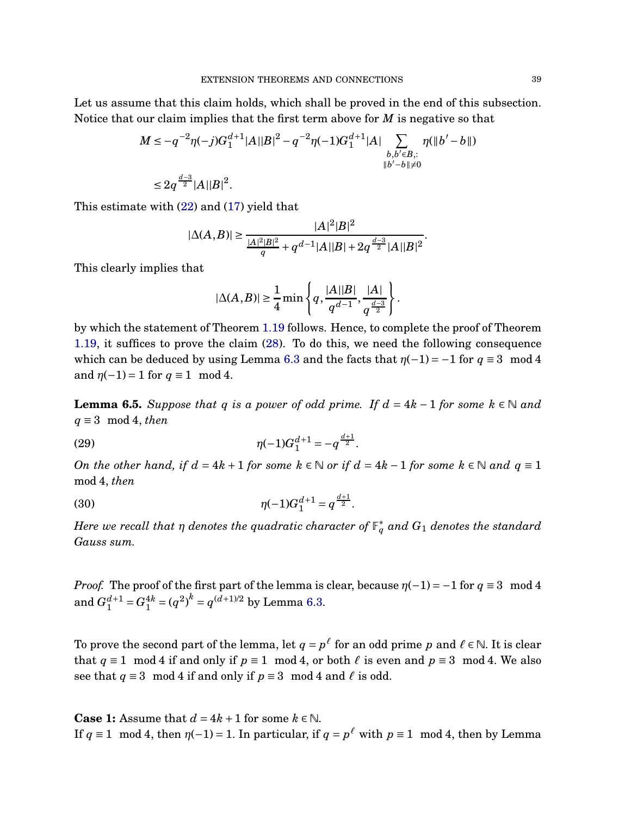Let us assume that this claim holds, which shall be proved in the end of this subsection. Notice that our claim implies that the first term above for *M* is negative so that

$$
M \le -q^{-2}\eta(-j)G_1^{d+1}|A||B|^2 - q^{-2}\eta(-1)G_1^{d+1}|A| \sum_{\substack{b,b' \in B, : \\ \|b'-b\| \ne 0}} \eta(\|b'-b\|)
$$
  

$$
\le 2q^{\frac{d-3}{2}}|A||B|^2.
$$

This estimate with [\(22\)](#page-34-1) and [\(17\)](#page-30-3) yield that

$$
|\Delta(A,B)| \ge \frac{|A|^2|B|^2}{\frac{|A|^2|B|^2}{q} + q^{d-1}|A||B| + 2q^{\frac{d-3}{2}}|A||B|^2}.
$$

This clearly implies that

$$
|\Delta(A,B)| \ge \frac{1}{4} \min \left\{ q, \frac{|A||B|}{q^{d-1}}, \frac{|A|}{q^{\frac{d-3}{2}}} \right\}.
$$

by which the statement of Theorem [1.19](#page-15-0) follows. Hence, to complete the proof of Theorem [1.19,](#page-15-0) it suffices to prove the claim [\(28\)](#page-37-0). To do this, we need the following consequence which can be deduced by using Lemma [6.3](#page-31-1) and the facts that  $\eta(-1) = -1$  for  $q \equiv 3 \mod 4$ and  $\eta(-1) = 1$  for  $q \equiv 1 \mod 4$ .

<span id="page-38-0"></span>**Lemma 6.5.** *Suppose that q is a power of odd prime. If*  $d = 4k - 1$  *for some*  $k \in \mathbb{N}$  *and q* ≡ 3 mod 4, *then*

(29) 
$$
\eta(-1)G_1^{d+1} = -q^{\frac{d+1}{2}}.
$$

*On the other hand, if*  $d = 4k + 1$  *for some*  $k \in \mathbb{N}$  *or if*  $d = 4k - 1$  *for some*  $k \in \mathbb{N}$  *and*  $q \equiv 1$ mod 4, *then*

(30) 
$$
\eta(-1)G_1^{d+1} = q^{\frac{d+1}{2}}.
$$

 $H$ ere we recall that  $\eta$  denotes the quadratic character of  $\mathbb{F}_q^*$  and  $G_1$  denotes the standard *Gauss sum.*

*Proof.* The proof of the first part of the lemma is clear, because  $\eta(-1) = -1$  for  $q \equiv 3 \mod 4$ and  $G_1^{d+1} = G_1^{4k} = (q^2)^k = q^{(d+1)/2}$  by Lemma [6.3.](#page-31-1)

To prove the second part of the lemma, let  $q = p^{\ell}$  for an odd prime  $p$  and  $\ell \in \mathbb{N}$ . It is clear that  $q \equiv 1 \mod 4$  if and only if  $p \equiv 1 \mod 4$ , or both  $\ell$  is even and  $p \equiv 3 \mod 4$ . We also see that  $q \equiv 3 \mod 4$  if and only if  $p \equiv 3 \mod 4$  and  $\ell$  is odd.

**Case 1:** Assume that  $d = 4k + 1$  for some  $k \in \mathbb{N}$ . If  $q \equiv 1 \mod 4$ , then  $\eta(-1) = 1$ . In particular, if  $q = p^{\ell}$  with  $p \equiv 1 \mod 4$ , then by Lemma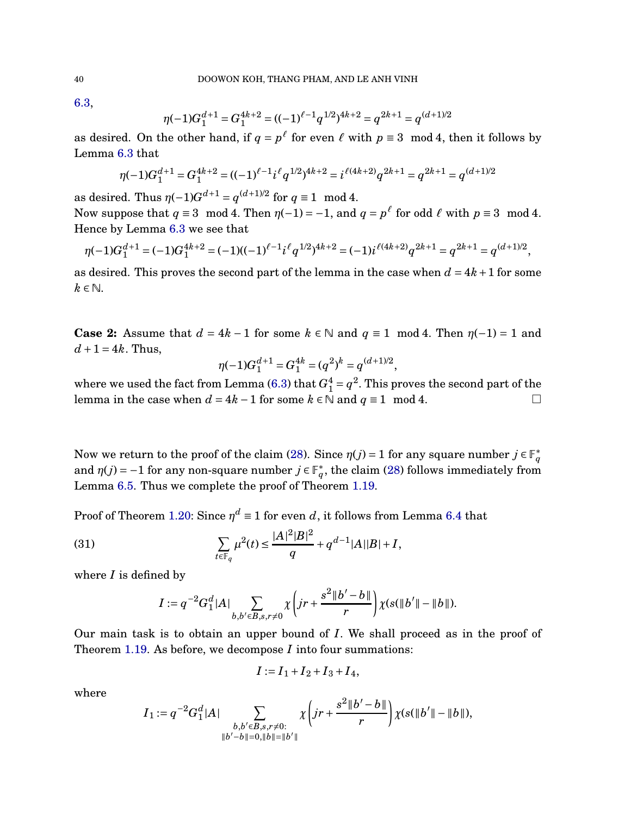[6.3,](#page-31-1)

$$
\eta(-1)G_1^{d+1} = G_1^{4k+2} = ((-1)^{\ell-1}q^{1/2})^{4k+2} = q^{2k+1} = q^{(d+1)/2}
$$

as desired. On the other hand, if  $q = p^{\ell}$  for even  $\ell$  with  $p \equiv 3 \mod 4$ , then it follows by Lemma [6.3](#page-31-1) that

$$
\eta(-1)G_1^{d+1} = G_1^{4k+2} = ((-1)^{\ell-1}i^{\ell}q^{1/2})^{4k+2} = i^{\ell(4k+2)}q^{2k+1} = q^{2k+1} = q^{(d+1)/2}
$$

as desired. Thus  $\eta(-1)G^{d+1} = q^{(d+1)/2}$  for  $q \equiv 1 \mod 4$ .

Now suppose that  $q \equiv 3 \mod 4$ . Then  $\eta(-1) = -1$ , and  $q = p^{\ell}$  for odd  $\ell$  with  $p \equiv 3 \mod 4$ . Hence by Lemma [6.3](#page-31-1) we see that

$$
\eta(-1)G_1^{d+1} = (-1)G_1^{4k+2} = (-1)((-1)^{\ell-1}i^{\ell}q^{1/2})^{4k+2} = (-1)i^{\ell(4k+2)}q^{2k+1} = q^{2k+1} = q^{(d+1)/2},
$$

as desired. This proves the second part of the lemma in the case when  $d = 4k + 1$  for some  $k \in \mathbb{N}$ .

**Case 2:** Assume that  $d = 4k - 1$  for some  $k \in \mathbb{N}$  and  $q \equiv 1 \mod 4$ . Then  $\eta(-1) = 1$  and  $d+1=4k$ . Thus,

$$
\eta(-1)G_1^{d+1}=G_1^{4k}=(q^2)^k=q^{(d+1)/2},
$$

where we used the fact from Lemma [\(6.3\)](#page-31-1) that  $G_1^4 = q^2$ . This proves the second part of the lemma in the case when  $d = 4k - 1$  for some  $k \in \mathbb{N}$  and  $q \equiv 1 \mod 4$ .  $\Box$ 

Now we return to the proof of the claim [\(28\)](#page-37-0). Since  $\eta(j) = 1$  for any square number  $j \in \mathbb{F}_q^*$ and  $\eta(j) = -1$  for any non-square number  $j \in \mathbb{F}_q^*$ , the claim [\(28\)](#page-37-0) follows immediately from Lemma [6.5.](#page-38-0) Thus we complete the proof of Theorem [1.19.](#page-15-0)

Proof of Theorem [1.20:](#page-15-1) Since  $\eta^d \equiv 1$  for even *d*, it follows from Lemma [6.4](#page-33-0) that

(31) 
$$
\sum_{t \in \mathbb{F}_q} \mu^2(t) \le \frac{|A|^2|B|^2}{q} + q^{d-1}|A||B| + I,
$$

where *I* is defined by

<span id="page-39-0"></span>
$$
I := q^{-2} G_1^d |A| \sum_{b,b' \in B, s,r \neq 0} \chi \left( jr + \frac{s^2 ||b' - b||}{r} \right) \chi(s(||b'|| - ||b||)).
$$

Our main task is to obtain an upper bound of *I*. We shall proceed as in the proof of Theorem [1.19.](#page-15-0) As before, we decompose *I* into four summations:

$$
I := I_1 + I_2 + I_3 + I_4,
$$

where

$$
I_1 := q^{-2} G_1^d |A| \sum_{\substack{b, b' \in B, s, r \neq 0:\\ \|b' - b\| = 0, \|b\| = \|b'\|}} \chi \left( jr + \frac{s^2 \|b' - b\|}{r} \right) \chi(s(\|b'\| - \|b\|)),
$$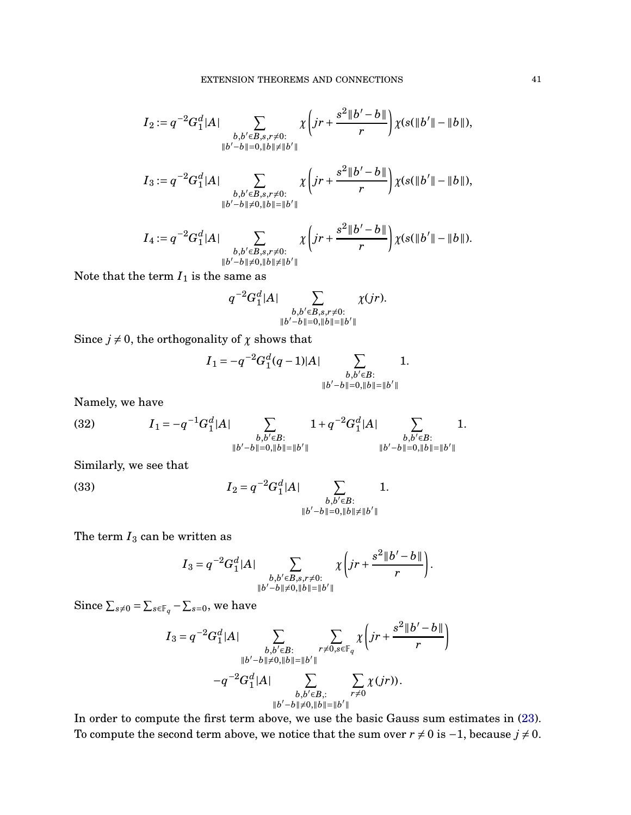$$
I_2 := q^{-2} G_1^d |A| \sum_{\substack{b,b' \in B, s,r \neq 0:\\ \|b'-b\|=0, \|b\| \neq \|b'\|}} \chi\left(jr + \frac{s^2 \|b'-b\|}{r}\right) \chi(s(\|b'\| - \|b\|),
$$
  

$$
I_3 := q^{-2} G_1^d |A| \sum_{\substack{b,b' \in B, s,r \neq 0:\\ \|b'-b\| \neq 0, \|b\| = \|b'\|}} \chi\left(jr + \frac{s^2 \|b'-b\|}{r}\right) \chi(s(\|b'\| - \|b\|),
$$

$$
b'-b\|\neq 0, \|b\|=\|b'\|
$$

$$
I_4 := q^{-2} G_1^d |A| \sum_{\substack{b,b' \in B, s,r \neq 0:\\ \|b'-b\| \neq 0, \|b\| \neq \|b'\|}} \chi\left(jr + \frac{s^2 \|b'-b\|}{r}\right) \chi(s(\|b'\| - \|b\|)).
$$

Note that the term  $I_1$  is the same as

$$
q^{-2}G_1^d|A|\sum_{\substack{b,b'\in B,s,r\neq 0:\\\|b'-b\|=0,\|b\|=\|b'\|}}\chi(jr).
$$

Since  $j \neq 0$ , the orthogonality of  $\chi$  shows that

$$
I_1 = -q^{-2}G_1^d(q-1)|A| \sum_{\substack{b,b' \in B:\\ \|b'-b\|=0, \|b\|=\|b'\|}} 1.
$$

Namely, we have

<span id="page-40-0"></span>(32) 
$$
I_1 = -q^{-1}G_1^d|A| \sum_{\substack{b,b' \in B:\\ \|b'-b\|=0, \|b\|=\|b'\|}} 1 + q^{-2}G_1^d|A| \sum_{\substack{b,b' \in B:\\ \|b'-b\|=0, \|b\|=\|b'\|}} 1.
$$

Similarly, we see that

(33) 
$$
I_2 = q^{-2} G_1^d |A| \sum_{\substack{b, b' \in B:\\ \|b' - b\| = 0, \|b\| \neq \|b'\|}} 1.
$$

The term  $I_3$  can be written as

<span id="page-40-1"></span>
$$
I_3 = q^{-2} G_1^d |A| \sum_{\substack{b,b' \in B, s,r \neq 0:\\ \|b'-b\| \neq 0, \|b\| = \|b'\|}} \chi \left(jr + \frac{s^2 \|b'-b\|}{r}\right).
$$

Since  $\sum_{s\neq 0} = \sum_{s\in\mathbb{F}_q} - \sum_{s=0}$ , we have

$$
I_3 = q^{-2} G_1^d |A| \sum_{\substack{b,b' \in B:\\ \|b'-b\| \neq 0, \|b\| = \|b'\|}} \sum_{\substack{r \neq 0, s \in \mathbb{F}_q \\ r \neq 0}} \chi \left( jr + \frac{s^2 \|b'-b\|}{r} \right) \\ -q^{-2} G_1^d |A| \sum_{\substack{b,b' \in B, : \\ \|b'-b\| \neq 0, \|b\| = \|b'\|}} \sum_{\substack{r \neq 0 \\ r \neq 0}} \chi(jr) ).
$$

In order to compute the first term above, we use the basic Gauss sum estimates in [\(23\)](#page-34-0). To compute the second term above, we notice that the sum over  $r \neq 0$  is  $-1$ , because  $j \neq 0$ .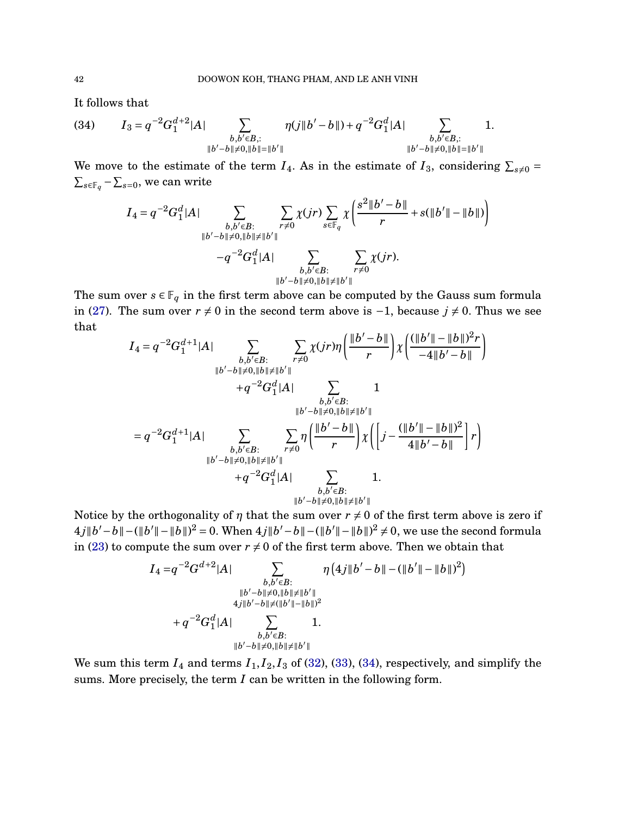It follows that

<span id="page-41-0"></span>(34) 
$$
I_3 = q^{-2}G_1^{d+2}|A| \sum_{\substack{b,b' \in B, : \\ \|b'-b\| \neq 0, \|b\| = \|b'\|}} \eta(j||b'-b||) + q^{-2}G_1^d|A| \sum_{\substack{b,b' \in B, : \\ \|b'-b\| \neq 0, \|b\| = \|b'\|}} 1.
$$

We move to the estimate of the term  $I_4$ . As in the estimate of  $I_3$ , considering  $\sum_{s\neq 0}$  =  $\sum_{s \in \mathbb{F}_q}$  −  $\sum_{s=0}$ , we can write

$$
I_4 = q^{-2} G_1^d |A| \sum_{\substack{b, b' \in B:\\ \|b' - b\| \neq 0, \|b\| \neq \|b'\|}} \sum_{r \neq 0} \chi(jr) \sum_{s \in \mathbb{F}_q} \chi \left( \frac{s^2 \|b' - b\|}{r} + s(\|b'\| - \|b\|) \right)
$$

$$
-q^{-2} G_1^d |A| \sum_{\substack{b, b' \in B:\\ \|b' - b\| \neq 0, \|b\| \neq \|b'\|}} \sum_{r \neq 0} \chi(jr).
$$

 $||b'-b|| \neq 0, ||b|| \neq ||b'||$ <br>The sum over  $s \in \mathbb{F}_q$  in the first term above can be computed by the Gauss sum formula in [\(27\)](#page-36-0). The sum over  $r \neq 0$  in the second term above is  $-1$ , because  $j \neq 0$ . Thus we see that

$$
I_{4} = q^{-2}G_{1}^{d+1}|A| \sum_{\substack{b,b' \in B:\\ \|b'-b\| \neq 0, \|b\| \neq \|b'\|}} \sum_{\substack{r \neq 0 \\ r \neq 0}} \chi(jr)\eta\left(\frac{\|b'-b\|}{r}\right) \chi\left(\frac{(\|b'\|-\|b\|)^{2}r}{-4\|b'-b\|}\right) + q^{-2}G_{1}^{d}|A| \sum_{\substack{b,b' \in B:\\ \|b'-b\| \neq 0, \|b\| \neq \|b'\|\\ b,b' \in B:\\ \|b'-b\| \neq 0, \|b\| \neq \|b'\|}} 1 = q^{-2}G_{1}^{d+1}|A| \sum_{\substack{b,b' \in B:\\ \|b'-b\| \neq 0, \|b\| \neq \|b'\|\\ +q^{-2}G_{1}^{d}|A|}} \sum_{\substack{r \neq 0 \\ b,b' \in B:\\ \|b'-b\| \neq 0, \|b\| \neq \|b'\|}} 1 + q^{-2}G_{1}^{d}|A| \sum_{\substack{b,b' \in B:\\ \|b'-b\| \neq 0, \|b\| \neq \|b'\|}} 1.
$$

Notice by the orthogonality of *η* that the sum over  $r \neq 0$  of the first term above is zero if  $4j||b'-b||-(||b'||-||b||)^2 = 0$ . When  $4j||b'-b||-(||b'||-||b||)^2 \neq 0$ , we use the second formula in [\(23\)](#page-34-0) to compute the sum over  $r \neq 0$  of the first term above. Then we obtain that

$$
I_4 = q^{-2}G^{d+2}|A| \sum_{\substack{b,b' \in B:\\ \|b'-b\| \neq 0, \|b\| \neq \|b'\|\\ 4j\|b'-b\| \neq (||b'||-||b||)^2\\ +q^{-2}G_1^d|A|}} \eta\left(4j\|b'-b\|-(\|b'\|-\|b\|)^2\right) + q^{-2}G_1^d|A| \sum_{\substack{b,b' \in B:\\ \|b'-b\| \neq 0, \|b\| \neq \|b'\|\\ b \neq 0, \|b\| \neq \|b'\|}} 1.
$$

We sum this term  $I_4$  and terms  $I_1$ ,  $I_2$ ,  $I_3$  of [\(32\)](#page-40-0), [\(33\)](#page-40-1), [\(34\)](#page-41-0), respectively, and simplify the sums. More precisely, the term *I* can be written in the following form.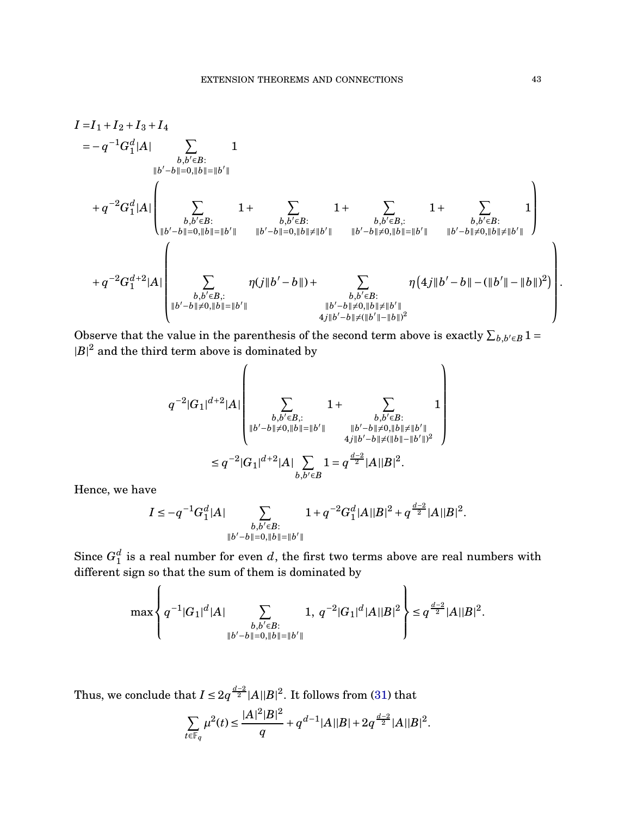$$
I = I_1 + I_2 + I_3 + I_4
$$
  
\n
$$
= -q^{-1}G_1^d|A| \sum_{\substack{b,b' \in B:\\|b'-b||=0,||b||=||b'||\\b,b' \in B:\\||b'-b||=0,||b||=||b'||}} 1 + \sum_{\substack{b,b' \in B:\\b,b' \in B:\\|b'-b||=0,||b||=||b'||\\||b'-b||=0,||b||\neq ||b'||}} 1 + \sum_{\substack{b,b' \in B:\\b,b' \in B:\\|b'-b||=0,||b||=||b'||}} 1 + \sum_{\substack{b,b' \in B:\\|b'-b||\neq 0,||b||=||b'||\\|b'-b||\neq 0,||b||=||b'||}} 1 + \sum_{\substack{b,b' \in B:\\|b'-b||\neq 0,||b||=||b'||\\b,b' \in B:\\|b'-b||\neq 0,||b||=||b'||}} 1 + \sum_{\substack{b,b' \in B:\\|b'-b||\neq 0,||b||=||b'|}} 1 + \sum_{\substack{b,b' \in B:\\|b'-b||\neq 0,||b||=||b'||\\b,b' \in B:\\||b'-b||\neq 0,||b||=||b'||}} 1 + \sum_{\substack{b,b' \in B:\\|b'-b||\neq 0,||b||=||b'||}} 1 + \sum_{\substack{b,b' \in B:\\|b'-b||\neq 0,||b||=||b'||}} 1 + \sum_{\substack{b,b' \in B:\\|b'-b||\neq 0,||b||=||b'||}} 1 + \sum_{\substack{b,b' \in B:\\|b'-b||\neq 0,||b||=||b'||}} 1 + \sum_{\substack{b,b' \in B:\\|b'-b||\neq 0,||b||=||b'||}} 1 + \sum_{\substack{b,b' \in B:\\|b'-b||\neq 0,||b||=||b'|}} 1 + \sum_{\substack{b,b' \in B:\\|b'-b||\neq 0,||b||=||b'|}} 1 + \sum_{\substack{b,b' \in B:\\|b'-b||\neq 0,||b||=||b'|}} 1 + \sum_{\substack{b,b' \in B:\\|b'-b||\neq 0,||b||=||b'|}} 1 + \sum_{\substack{b,b' \in B:\\|b'-b||\neq
$$

Observe that the value in the parenthesis of the second term above is exactly  $\sum_{b,b'\in B} 1 =$  $|B|^2$  and the third term above is dominated by

$$
\label{eq:q1} \begin{split} q^{-2}|G_1|^{d+2}|A| \left(\sum_{\substack{b,b' \in B, : \\ |b'-b| \neq 0, \|b\| = \|b'\|}} 1 + \sum_{\substack{b,b' \in B: \\ |b'-b| \neq 0, \|b\| = \|b'\|}} 1 \right)\\ \leq q^{-2}|G_1|^{d+2}|A| \sum_{\substack{b,b' \in B \\ b,b' \in B}} 1 = q^{\frac{d-2}{2}}|A||B|^2. \end{split}
$$

Hence, we have

$$
I \le -q^{-1} G_1^d |A| \sum_{\substack{b, b' \in B:\\ \|b' - b\| = 0, \|b\| = \|b'\|}} 1 + q^{-2} G_1^d |A| |B|^2 + q^{\frac{d-2}{2}} |A| |B|^2.
$$

Since  $G_1^d$  is a real number for even  $d$ , the first two terms above are real numbers with different sign so that the sum of them is dominated by

$$
\max\left\{q^{-1}|G_1|^d|A|\sum_{\substack{b,b'\in B:\\ \|b'-b\|=0, \|b\|=\|b'\|}}1,\, q^{-2}|G_1|^d|A||B|^2\right\}\leq q^{\frac{d-2}{2}}|A||B|^2.
$$

Thus, we conclude that  $I \le 2q^{\frac{d-2}{2}}|A||B|^2$ . It follows from [\(31\)](#page-39-0) that

$$
\sum_{t \in \mathbb{F}_q} \mu^2(t) \le \frac{|A|^2 |B|^2}{q} + q^{d-1} |A||B| + 2q^{\frac{d-2}{2}} |A||B|^2.
$$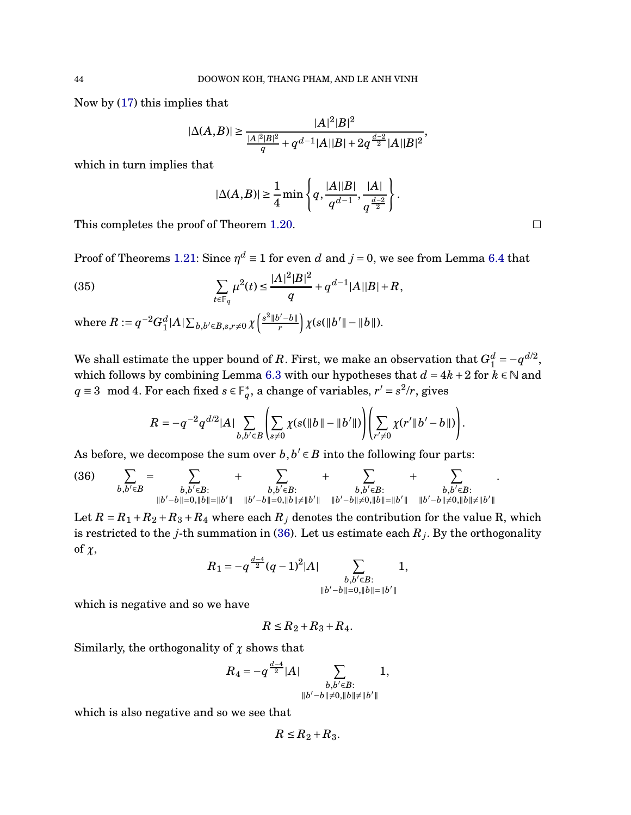Now by [\(17\)](#page-30-3) this implies that

$$
|\Delta(A,B)| \ge \frac{|A|^2|B|^2}{\frac{|A|^2|B|^2}{q} + q^{d-1}|A||B| + 2q^{\frac{d-2}{2}}|A||B|^2},
$$

which in turn implies that

<span id="page-43-1"></span>
$$
|\Delta(A,B)| \ge \frac{1}{4} \min \left\{ q, \frac{|A||B|}{q^{d-1}}, \frac{|A|}{q^{\frac{d-2}{2}}} \right\}.
$$

This completes the proof of Theorem [1.20.](#page-15-1)  $\Box$ 

Proof of Theorems [1.21:](#page-16-0) Since  $\eta^d \equiv 1$  for even *d* and  $j = 0$ , we see from Lemma [6.4](#page-33-0) that

(35) 
$$
\sum_{t \in \mathbb{F}_q} \mu^2(t) \le \frac{|A|^2 |B|^2}{q} + q^{d-1} |A||B| + R,
$$

where  $R:=q^{-2}G_1^d|A|\sum_{b,b'\in B,s,r\neq0}\chi\left(\frac{s^2\|b'-b\|}{r}\right)$  $\int \chi(s(\|b'\|-\|b\|)).$ 

We shall estimate the upper bound of *R*. First, we make an observation that  $G_1^d = -q^{d/2}$ , which follows by combining Lemma [6.3](#page-31-1) with our hypotheses that  $d = 4k + 2$  for  $k \in \mathbb{N}$  and *q* ≡ 3 mod 4. For each fixed  $s \in \mathbb{F}_q^*$ , a change of variables,  $r' = s^2/r$ , gives

$$
R = -q^{-2}q^{d/2}|A|\sum_{b,b'\in B}\left(\sum_{s\neq 0}\chi(s(\|b\|-\|b'\|)\right)\left(\sum_{r'\neq 0}\chi(r'\|b'-b\|)\right).
$$

As before, we decompose the sum over  $b, b' \in B$  into the following four parts:

<span id="page-43-0"></span>
$$
(36) \qquad \sum_{b,b'\in B} = \sum_{\substack{b,b'\in B:\\\|b'-b\|=0,\|b\|=\|b'\|}} + \sum_{\substack{b,b'\in B:\\\|b'-b\|=0,\|b\|\neq\|b'\|}} + \sum_{\substack{b,b'\in B:\\\|b'-b\|\neq 0,\|b\|=\|b'\|}} + \sum_{\substack{b,b'\in B:\\\|b'-b\|\neq 0,\|b\|=\|b'\|}} + \sum_{\substack{b,b'\in B:\\\|b'-b\|\neq 0,\|b\|=\|b'\|}} + \sum_{\substack{b,b'\in B:\\\|b'-b\|\neq 0,\|b\|\neq\|b'\|}} + \sum_{\substack{b,b'\in B:\\\|b'-b\|\neq 0,\|b\|\neq\|b'\|}} + \sum_{\substack{b,b'\in B:\\\|b'-b\|\neq 0,\|b\|\neq\|b'\|}} + \sum_{\substack{b,b'\in B:\\\|b'-b\|\neq 0,\|b\|\neq\|b'\|}} + \sum_{\substack{b,b'\in B:\\\|b'-b\|\neq 0,\|b\|\neq\|b'\|}} + \sum_{\substack{b,b'\in B:\\\|b'-b\|\neq 0,\|b\|\neq\|b'\|}} + \sum_{\substack{b,b'\in B:\\\|b'-b\|\neq 0,\|b\|\neq\|b'\|}} + \sum_{\substack{b,b'\in B:\\\|b'-b\|\neq 0,\|b\|\neq\|b'\|}} + \sum_{\substack{b,b'\in B:\\\|b'-b\|\neq 0,\|b\|\neq\|b'\|}} + \sum_{\substack{b,b'\in B:\\\|b'-b\|\neq 0,\|b\|\neq\|b'\|}} + \sum_{\substack{b,b'\in B:\\\|b'-b\|\neq 0,\|b\|\neq\|b'\|}} + \sum_{\substack{b,b'\in B:\\\|b'-b\|\neq 0,\|b\|\neq\|b'\|}} + \sum_{\substack{b,b'\in B:\\\|b'-b\|\neq 0,\|b\|\neq\|b'\|}} + \sum_{\substack{b,b'\in B:\\\|b'-b\|\neq 0,\|b\|\neq\|b'\|}} + \sum_{\substack{b,b'\in B:\\\|b'-b\|\neq 0,\|b\|\neq\|b'\
$$

Let  $R = R_1 + R_2 + R_3 + R_4$  where each  $R_j$  denotes the contribution for the value R, which is restricted to the *j*-th summation in [\(36\)](#page-43-0). Let us estimate each  $R_j$ . By the orthogonality of *χ*,

$$
R_1 = -q^{\frac{d-4}{2}}(q-1)^2|A| \sum_{\substack{b,b' \in B:\\ \|b'-b\| = 0, \|b\| = \|b'\|}} 1,
$$

which is negative and so we have

$$
R \leq R_2 + R_3 + R_4.
$$

Similarly, the orthogonality of  $\chi$  shows that

$$
R_4 = -q^{\frac{d-4}{2}}|A| \sum_{\substack{b,b' \in B:\\ \|b'-b\| \neq 0, \|b\| \neq \|b'\|}} 1,
$$

which is also negative and so we see that

$$
R \leq R_2 + R_3.
$$

.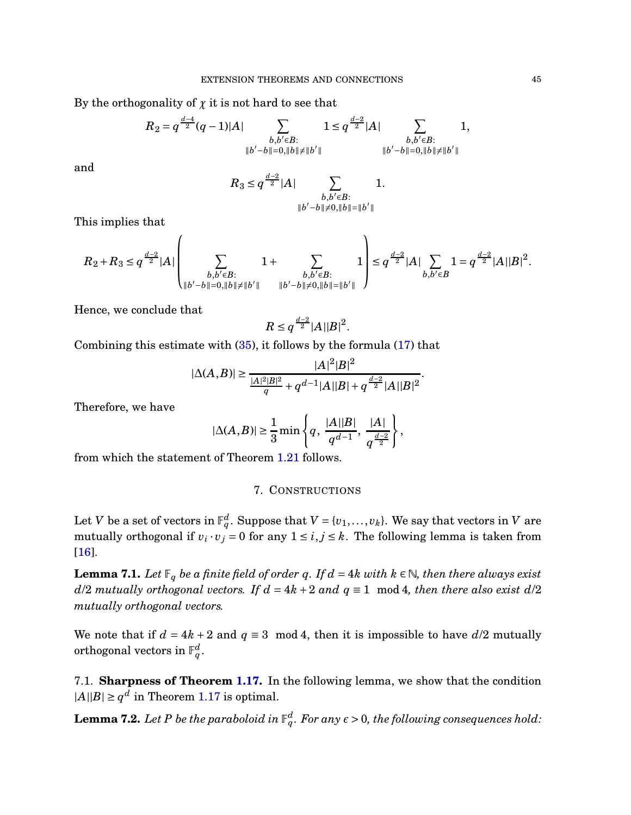By the orthogonality of  $\chi$  it is not hard to see that

$$
R_2 = q^{\frac{d-4}{2}}(q-1)|A| \sum_{\substack{b,b' \in B:\\ \|b'-b\|=0, \|b\| \neq \|b'\|}} 1 \leq q^{\frac{d-2}{2}}|A| \sum_{\substack{b,b' \in B:\\ \|b'-b\|=0, \|b\| \neq \|b'\|}} 1,
$$

and

$$
R_3 \leq q^{\frac{d-2}{2}} |A| \sum_{\substack{b, b' \in B:\\ \|b' - b\| \neq 0, \|b\| = \|b'\|}} 1.
$$

This implies that

$$
R_2+R_3 \leq q^{\frac{d-2}{2}}|A|\left(\sum_{\substack{b,b' \in B:\\ \|b'-b\|=0, \|b\| \neq \|b'\|}} 1+\sum_{\substack{b,b' \in B:\\ b,b' \in B}} 1\right) \leq q^{\frac{d-2}{2}}|A|\sum_{b,b' \in B} 1 = q^{\frac{d-2}{2}}|A||B|^2.
$$

Hence, we conclude that

$$
R\leq q^{\frac{d-2}{2}}|A||B|^2.
$$

Combining this estimate with [\(35\)](#page-43-1), it follows by the formula [\(17\)](#page-30-3) that

$$
|\Delta(A,B)| \ge \frac{|A|^2|B|^2}{\frac{|A|^2|B|^2}{q} + q^{d-1}|A||B| + q^{\frac{d-2}{2}}|A||B|^2}.
$$

Therefore, we have

$$
|\Delta(A,B)| \ge \frac{1}{3} \min \left\{ q, \frac{|A||B|}{q^{d-1}}, \frac{|A|}{q^{\frac{d-2}{2}}} \right\},\,
$$

from which the statement of Theorem [1.21](#page-16-0) follows.

#### 7. CONSTRUCTIONS

Let *V* be a set of vectors in  $\mathbb{F}_q^d$ . Suppose that  $V = \{v_1, \ldots, v_k\}$ . We say that vectors in *V* are mutually orthogonal if  $v_i \cdot v_j = 0$  for any  $1 \le i, j \le k$ . The following lemma is taken from [\[16\]](#page-47-6).

<span id="page-44-1"></span>**Lemma 7.1.** *Let*  $\mathbb{F}_q$  *be a finite field of order q. If*  $d = 4k$  *with*  $k \in \mathbb{N}$ *, then there always exist d*/2 *mutually orthogonal vectors. If*  $d = 4k + 2$  *and*  $q \equiv 1$  mod 4*, then there also exist*  $d/2$ *mutually orthogonal vectors.*

We note that if  $d = 4k + 2$  and  $q \equiv 3 \mod 4$ , then it is impossible to have  $d/2$  mutually orthogonal vectors in  $\mathbb{F}_q^d$ .

7.1. **Sharpness of Theorem [1.17.](#page-14-1)** In the following lemma, we show that the condition  $|A||B| \ge q^d$  in Theorem [1.17](#page-14-1) is optimal.

<span id="page-44-0"></span> ${\bf Lemma~7.2.}$  Let  $P$  be the paraboloid in  $\mathbb{F}_q^d.$  For any  $\epsilon > 0,$  the following consequences hold: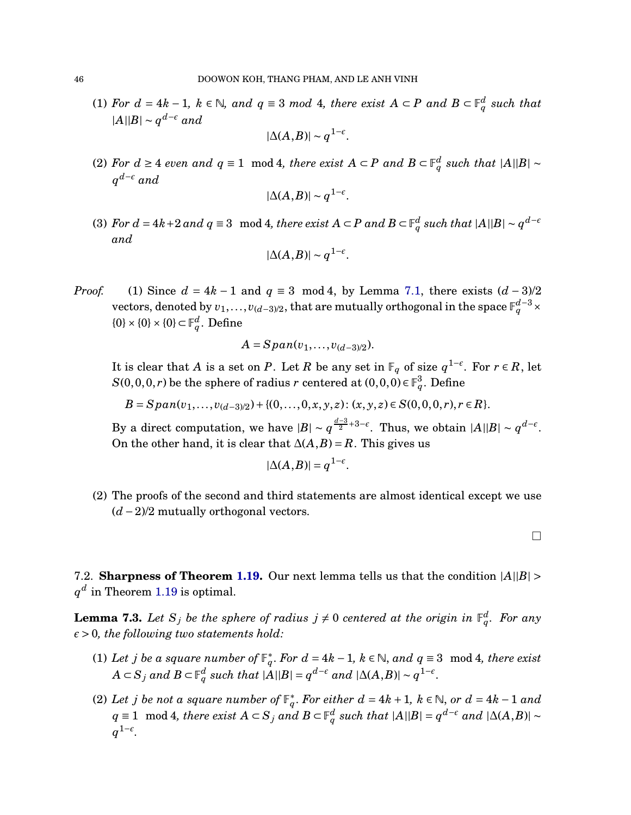(1) *For*  $d = 4k - 1$ ,  $k \in \mathbb{N}$ , and  $q \equiv 3 \mod 4$ , there exist  $A ⊂ P$  and  $B ⊂ \mathbb{F}_q^d$  such that  $|A||B|$  ∼  $q^{d-\epsilon}$  *and* 

$$
|\Delta(A,B)| \sim q^{1-\epsilon}.
$$

(2) *For*  $d \ge 4$  *even and*  $q \equiv 1 \mod 4$ , *there exist*  $A ⊂ P$  *and*  $B ⊂ \mathbb{F}_q^d$  *such that*  $|A||B| ≈$ *q <sup>d</sup>*−*<sup>ǫ</sup> and*

$$
|\Delta(A,B)| \sim q^{1-\epsilon}.
$$

(3) For  $d = 4k + 2$  and  $q ≡ 3 \mod 4$ , there exist  $A ⊂ P$  and  $B ⊂ \mathbb{F}_q^d$  such that  $|A||B| ∼ q^{d - \epsilon}$ *and*

$$
|\Delta(A,B)| \sim q^{1-\epsilon}.
$$

*Proof.* (1) Since  $d = 4k - 1$  and  $q \equiv 3 \mod 4$ , by Lemma [7.1,](#page-44-1) there exists  $(d-3)/2$ vectors, denoted by  $v_1, \ldots, v_{(d-3)/2}$ , that are mutually orthogonal in the space  $\mathbb{F}_q^{d-3} \times$  $\{0\} \times \{0\} \times \{0\} \subset \mathbb{F}_q^d$ . Define

$$
A=Span(v_1,\ldots,v_{(d-3)/2}).
$$

It is clear that *A* is a set on *P*. Let *R* be any set in  $\mathbb{F}_q$  of size  $q^{1-\epsilon}$ . For  $r \in R$ , let  $S(0,0,0,r)$  be the sphere of radius *r* centered at  $(0,0,0) \in \mathbb{F}_q^3$ . Define

*B* = *S pan*(*v*<sub>1</sub>,..., *v*(*d*−3)/2) + {(0,..., 0, *x*, *y*, *z*): (*x*, *y*, *z*) ∈ *S*(0, 0, 0, *r*), *r* ∈ *R*}.

By a direct computation, we have  $|B| \sim q^{\frac{d-3}{2}+3-\epsilon}$ . Thus, we obtain  $|A||B| \sim q^{d-\epsilon}$ . On the other hand, it is clear that  $\Delta(A, B) = R$ . This gives us

$$
|\Delta(A,B)| = q^{1-\epsilon}.
$$

(2) The proofs of the second and third statements are almost identical except we use (*d* −2)/2 mutually orthogonal vectors.

 $\Box$ 

7.2. **Sharpness of Theorem [1.19.](#page-15-0)** Our next lemma tells us that the condition  $|A||B|$  $q^d$  in Theorem [1.19](#page-15-0) is optimal.

<span id="page-45-0"></span>**Lemma 7.3.** Let  $S_j$  be the sphere of radius  $j \neq 0$  centered at the origin in  $\mathbb{F}_q^d$ . For any  $\epsilon > 0$ , the following two statements hold:

- (1) Let *j* be a square number of  $\mathbb{F}_q^*$ . For  $d = 4k 1$ ,  $k \in \mathbb{N}$ , and  $q \equiv 3 \mod 4$ , there exist *A* ⊂ *S*<sub>*j*</sub> and *B* ⊂  $\mathbb{F}_q^d$  such that  $|A||B| = q^{d-\epsilon}$  and  $|\Delta(A,B)| \sim q^{1-\epsilon}$ .
- (2) Let *j* be not a square number of  $\mathbb{F}_q^*$ . For either  $d = 4k + 1$ ,  $k \in \mathbb{N}$ , or  $d = 4k 1$  and *q* ≡ 1 mod 4*, there exist*  $A ⊂ S_j$  *and*  $B ⊂ \mathbb{F}_q^d$  *such that*  $|A||B| = q^{d-\epsilon}$  *and*  $|\Delta(A,B)| \sim$ *q* 1−*ǫ .*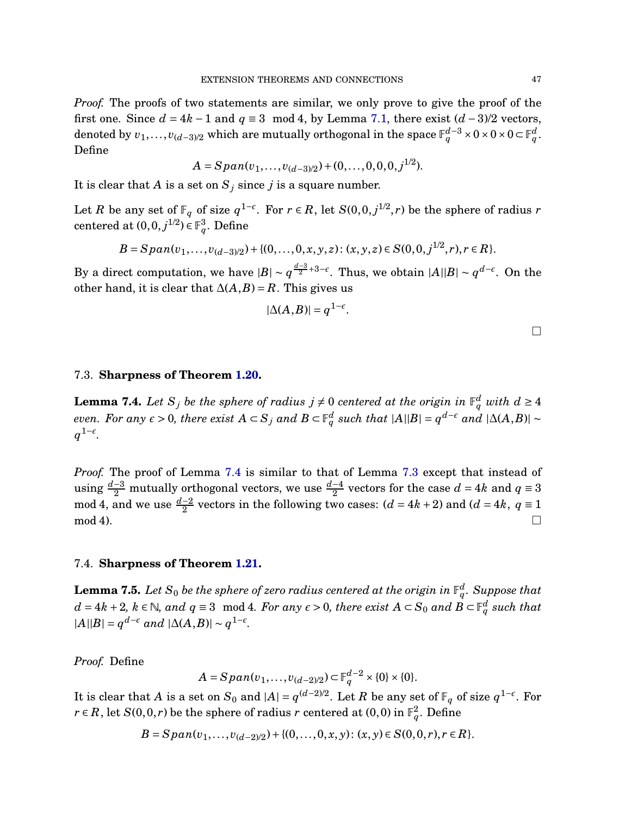*Proof.* The proofs of two statements are similar, we only prove to give the proof of the first one. Since  $d = 4k - 1$  and  $q \equiv 3 \mod 4$ , by Lemma [7.1,](#page-44-1) there exist  $(d-3)/2$  vectors,  $\alpha$  denoted by  $v_1, \ldots, v_{(d-3)/2}$  which are mutually orthogonal in the space  $\mathbb{F}_q^{d-3} \times 0 \times 0 \times 0$  ⊂  $\mathbb{F}_q^d$ . Define

$$
A = Span(v_1, \ldots, v_{(d-3)/2}) + (0, \ldots, 0, 0, 0, j^{1/2}).
$$

It is clear that *A* is a set on  $S_j$  since *j* is a square number.

Let *R* be any set of  $\mathbb{F}_q$  of size  $q^{1-\epsilon}$ . For  $r \in R$ , let  $S(0,0,j^{1/2},r)$  be the sphere of radius *r* centered at  $(0,0,j^{1/2}) \in \mathbb{F}_q^3$ . Define

$$
B = Span(v_1,\ldots,v_{(d-3)/2}) + \{(0,\ldots,0,x,y,z): (x,y,z)\in S(0,0,j^{1/2},r), r\in R\}.
$$

By a direct computation, we have  $|B| \sim q^{\frac{d-3}{2}+3-\epsilon}$ . Thus, we obtain  $|A||B| \sim q^{d-\epsilon}$ . On the other hand, it is clear that  $\Delta(A,B) = R$ . This gives us

$$
|\Delta(A,B)| = q^{1-\epsilon}.
$$

 $\Box$ 

#### 7.3. **Sharpness of Theorem [1.20.](#page-15-1)**

<span id="page-46-0"></span>**Lemma 7.4.** Let  $S_j$  be the sphere of radius  $j \neq 0$  centered at the origin in  $\mathbb{F}_q^d$  with  $d \geq 4$ even. For any  $\epsilon > 0$ , there exist  $A \subset S_j$  and  $B \subset \mathbb{F}_q^d$  such that  $|A||B| = q^{d-\epsilon}$  and  $|\Delta(A,B)| \sim$ *q* 1−*ǫ .*

*Proof.* The proof of Lemma [7.4](#page-46-0) is similar to that of Lemma [7.3](#page-45-0) except that instead of using  $\frac{d-3}{2}$  mutually orthogonal vectors, we use  $\frac{d-4}{2}$  vectors for the case  $d = 4k$  and  $q \equiv 3$ mod 4, and we use  $\frac{d-2}{2}$  vectors in the following two cases: ( $d = 4k + 2$ ) and ( $d = 4k$ ,  $q \equiv 1$  $\Box$  mod 4).

## 7.4. **Sharpness of Theorem [1.21.](#page-16-0)**

<span id="page-46-1"></span> ${\bf Lemma~7.5.}$  Let  ${\rm S}_0$  be the sphere of zero radius centered at the origin in  $\mathbb{F}_q^d.$  Suppose that  $d = 4k + 2, k ∈ ℕ$ , and  $q ≡ 3 \mod 4$ . For any  $\epsilon > 0$ , there exist  $A ⊂ S_0$  and  $B ⊂ \mathbb{F}_q^d$  such that  $|A||B| = q^{d-\epsilon}$  *and*  $|\Delta(A,B)| \sim q^{1-\epsilon}$ .

*Proof.* Define

$$
A = Span(v_1, \ldots, v_{(d-2)/2}) \subset \mathbb{F}_q^{d-2} \times \{0\} \times \{0\}.
$$

It is clear that *A* is a set on  $S_0$  and  $|A| = q^{(d-2)/2}$ . Let *R* be any set of  $\mathbb{F}_q$  of size  $q^{1-\epsilon}$ . For *r* ∈ *R*, let *S*(0,0,*r*) be the sphere of radius *r* centered at (0,0) in  $\mathbb{F}_q^2$ . Define

$$
B = Span(v_1,...,v_{(d-2)/2}) + \{(0,...,0,x,y): (x,y) \in S(0,0,r), r \in R\}.
$$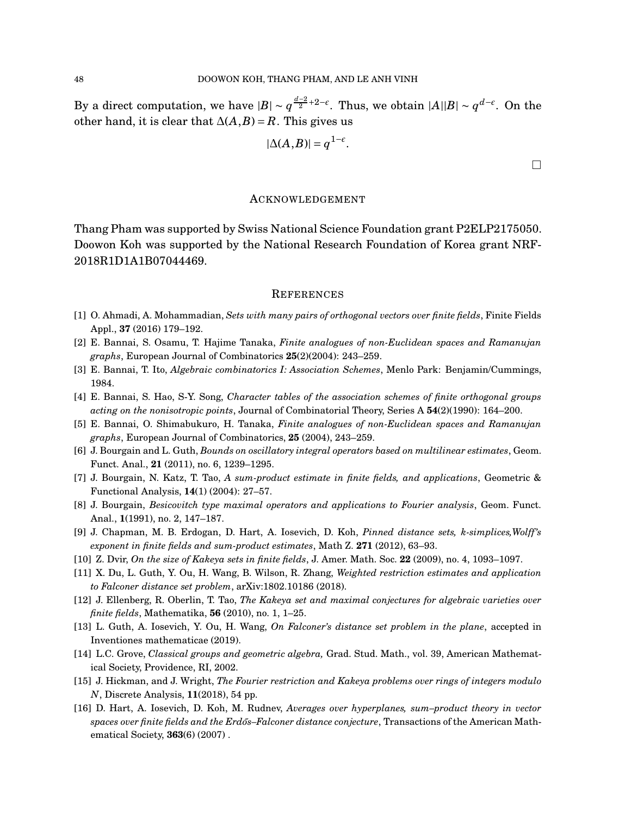By a direct computation, we have  $|B| \sim q^{\frac{d-2}{2}+2-\epsilon}$ . Thus, we obtain  $|A||B| \sim q^{d-\epsilon}$ . On the other hand, it is clear that  $\Delta(A,B) = R$ . This gives us

$$
|\Delta(A,B)| = q^{1-\epsilon}.
$$

 $\Box$ 

## ACKNOWLEDGEMENT

Thang Pham was supported by Swiss National Science Foundation grant P2ELP2175050. Doowon Koh was supported by the National Research Foundation of Korea grant NRF-2018R1D1A1B07044469.

## **REFERENCES**

- <span id="page-47-12"></span><span id="page-47-10"></span>[1] O. Ahmadi, A. Mohammadian, *Sets with many pairs of orthogonal vectors over finite fields*, Finite Fields Appl., **37** (2016) 179–192.
- <span id="page-47-13"></span>[2] E. Bannai, S. Osamu, T. Hajime Tanaka, *Finite analogues of non-Euclidean spaces and Ramanujan graphs*, European Journal of Combinatorics **25**(2)(2004): 243–259.
- <span id="page-47-14"></span>[3] E. Bannai, T. Ito, *Algebraic combinatorics I: Association Schemes*, Menlo Park: Benjamin/Cummings, 1984.
- <span id="page-47-15"></span>[4] E. Bannai, S. Hao, S-Y. Song, *Character tables of the association schemes of finite orthogonal groups acting on the nonisotropic points*, Journal of Combinatorial Theory, Series A **54**(2)(1990): 164–200.
- <span id="page-47-1"></span>[5] E. Bannai, O. Shimabukuro, H. Tanaka, *Finite analogues of non-Euclidean spaces and Ramanujan graphs*, European Journal of Combinatorics, **25** (2004), 243–259.
- <span id="page-47-5"></span>[6] J. Bourgain and L. Guth, *Bounds on oscillatory integral operators based on multilinear estimates*, Geom. Funct. Anal., **21** (2011), no. 6, 1239–1295.
- <span id="page-47-4"></span>[7] J. Bourgain, N. Katz, T. Tao, *A sum-product estimate in finite fields, and applications*, Geometric & Functional Analysis, **14**(1) (2004): 27–57.
- <span id="page-47-7"></span>[8] J. Bourgain, *Besicovitch type maximal operators and applications to Fourier analysis*, Geom. Funct. Anal., **1**(1991), no. 2, 147–187.
- <span id="page-47-2"></span>[9] J. Chapman, M. B. Erdogan, D. Hart, A. Iosevich, D. Koh, *Pinned distance sets, k-simplices,Wolff's exponent in finite fields and sum-product estimates*, Math Z. **271** (2012), 63–93.
- <span id="page-47-9"></span>[10] Z. Dvir, *On the size of Kakeya sets in finite fields*, J. Amer. Math. Soc. **22** (2009), no. 4, 1093–1097.
- <span id="page-47-3"></span>[11] X. Du, L. Guth, Y. Ou, H. Wang, B. Wilson, R. Zhang, *Weighted restriction estimates and application to Falconer distance set problem*, arXiv:1802.10186 (2018).
- <span id="page-47-8"></span>[12] J. Ellenberg, R. Oberlin, T. Tao, *The Kakeya set and maximal conjectures for algebraic varieties over finite fields*, Mathematika, **56** (2010), no. 1, 1–25.
- <span id="page-47-11"></span>[13] L. Guth, A. Iosevich, Y. Ou, H. Wang, *On Falconer's distance set problem in the plane*, accepted in Inventiones mathematicae (2019).
- <span id="page-47-0"></span>[14] L.C. Grove, *Classical groups and geometric algebra,* Grad. Stud. Math., vol. 39, American Mathematical Society, Providence, RI, 2002.
- <span id="page-47-6"></span>[15] J. Hickman, and J. Wright, *The Fourier restriction and Kakeya problems over rings of integers modulo N*, Discrete Analysis, **11**(2018), 54 pp.
- [16] D. Hart, A. Iosevich, D. Koh, M. Rudnev, *Averages over hyperplanes, sum–product theory in vector spaces over finite fields and the Erd˝os–Falconer distance conjecture*, Transactions of the American Mathematical Society, **363**(6) (2007) .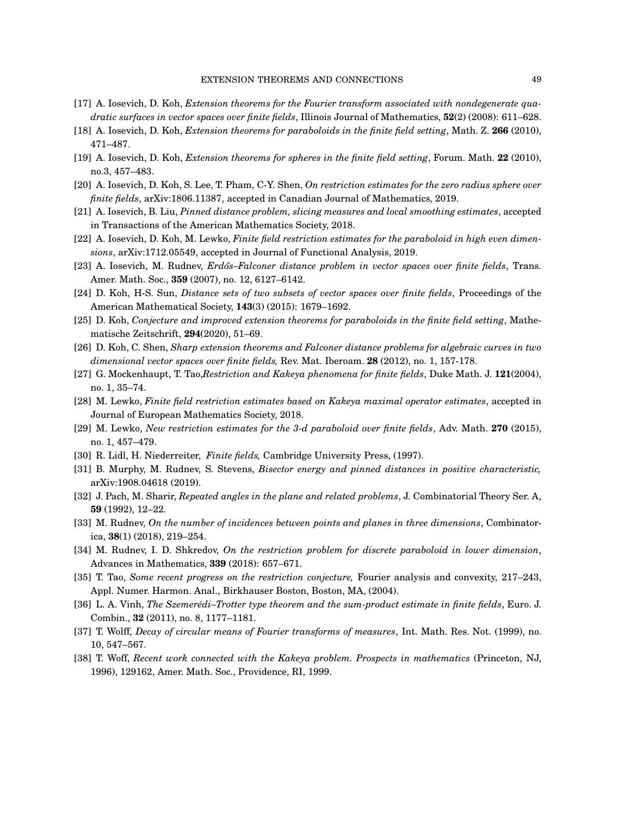- <span id="page-48-2"></span><span id="page-48-1"></span>[17] A. Iosevich, D. Koh, *Extension theorems for the Fourier transform associated with nondegenerate quadratic surfaces in vector spaces over finite fields*, Illinois Journal of Mathematics, **52**(2) (2008): 611–628.
- <span id="page-48-3"></span>[18] A. Iosevich, D. Koh, *Extension theorems for paraboloids in the finite field setting*, Math. Z. **266** (2010), 471–487.
- <span id="page-48-13"></span>[19] A. Iosevich, D. Koh, *Extension theorems for spheres in the finite field setting*, Forum. Math. **22** (2010), no.3, 457–483.
- <span id="page-48-18"></span>[20] A. Iosevich, D. Koh, S. Lee, T. Pham, C-Y. Shen, *On restriction estimates for the zero radius sphere over finite fields*, arXiv:1806.11387, accepted in Canadian Journal of Mathematics, 2019.
- <span id="page-48-9"></span>[21] A. Iosevich, B. Liu, *Pinned distance problem, slicing measures and local smoothing estimates*, accepted in Transactions of the American Mathematics Society, 2018.
- <span id="page-48-16"></span>[22] A. Iosevich, D. Koh, M. Lewko, *Finite field restriction estimates for the paraboloid in high even dimensions*, arXiv:1712.05549, accepted in Journal of Functional Analysis, 2019.
- <span id="page-48-20"></span>[23] A. Iosevich, M. Rudnev, *Erdős–Falconer distance problem in vector spaces over finite fields*, Trans. Amer. Math. Soc., **359** (2007), no. 12, 6127–6142.
- <span id="page-48-8"></span>[24] D. Koh, H-S. Sun, *Distance sets of two subsets of vector spaces over finite fields*, Proceedings of the American Mathematical Society, **143**(3) (2015): 1679–1692.
- <span id="page-48-4"></span>[25] D. Koh, *Conjecture and improved extension theorems for paraboloids in the finite field setting*, Mathematische Zeitschrift, **294**(2020), 51–69.
- <span id="page-48-0"></span>[26] D. Koh, C. Shen, *Sharp extension theorems and Falconer distance problems for algebraic curves in two dimensional vector spaces over finite fields,* Rev. Mat. Iberoam. **28** (2012), no. 1, 157-178.
- <span id="page-48-5"></span>[27] G. Mockenhaupt, T. Tao,*Restriction and Kakeya phenomena for finite fields*, Duke Math. J. **121**(2004), no. 1, 35–74.
- <span id="page-48-6"></span>[28] M. Lewko, *Finite field restriction estimates based on Kakeya maximal operator estimates*, accepted in Journal of European Mathematics Society, 2018.
- <span id="page-48-19"></span>[29] M. Lewko, *New restriction estimates for the 3-d paraboloid over finite fields*, Adv. Math. **270** (2015), no. 1, 457–479.
- [30] R. Lidl, H. Niederreiter, *Finite fields,* Cambridge University Press, (1997).
- <span id="page-48-10"></span>[31] B. Murphy, M. Rudnev, S. Stevens, *Bisector energy and pinned distances in positive characteristic,* arXiv:1908.04618 (2019).
- <span id="page-48-11"></span>[32] J. Pach, M. Sharir, *Repeated angles in the plane and related problems*, J. Combinatorial Theory Ser. A, **59** (1992), 12–22.
- <span id="page-48-7"></span>[33] M. Rudnev, *On the number of incidences between points and planes in three dimensions*, Combinatorica, **38**(1) (2018), 219–254.
- <span id="page-48-14"></span>[34] M. Rudnev, I. D. Shkredov, *On the restriction problem for discrete paraboloid in lower dimension*, Advances in Mathematics, **339** (2018): 657–671.
- [35] T. Tao, *Some recent progress on the restriction conjecture,* Fourier analysis and convexity, 217–243, Appl. Numer. Harmon. Anal., Birkhauser Boston, Boston, MA, (2004).
- <span id="page-48-17"></span><span id="page-48-12"></span>[36] L. A. Vinh, *The Szemerédi–Trotter type theorem and the sum-product estimate in finite fields*, Euro. J. Combin., **32** (2011), no. 8, 1177–1181.
- <span id="page-48-15"></span>[37] T. Wolff, *Decay of circular means of Fourier transforms of measures*, Int. Math. Res. Not. (1999), no. 10, 547–567.
- [38] T. Woff, *Recent work connected with the Kakeya problem. Prospects in mathematics* (Princeton, NJ, 1996), 129162, Amer. Math. Soc., Providence, RI, 1999.